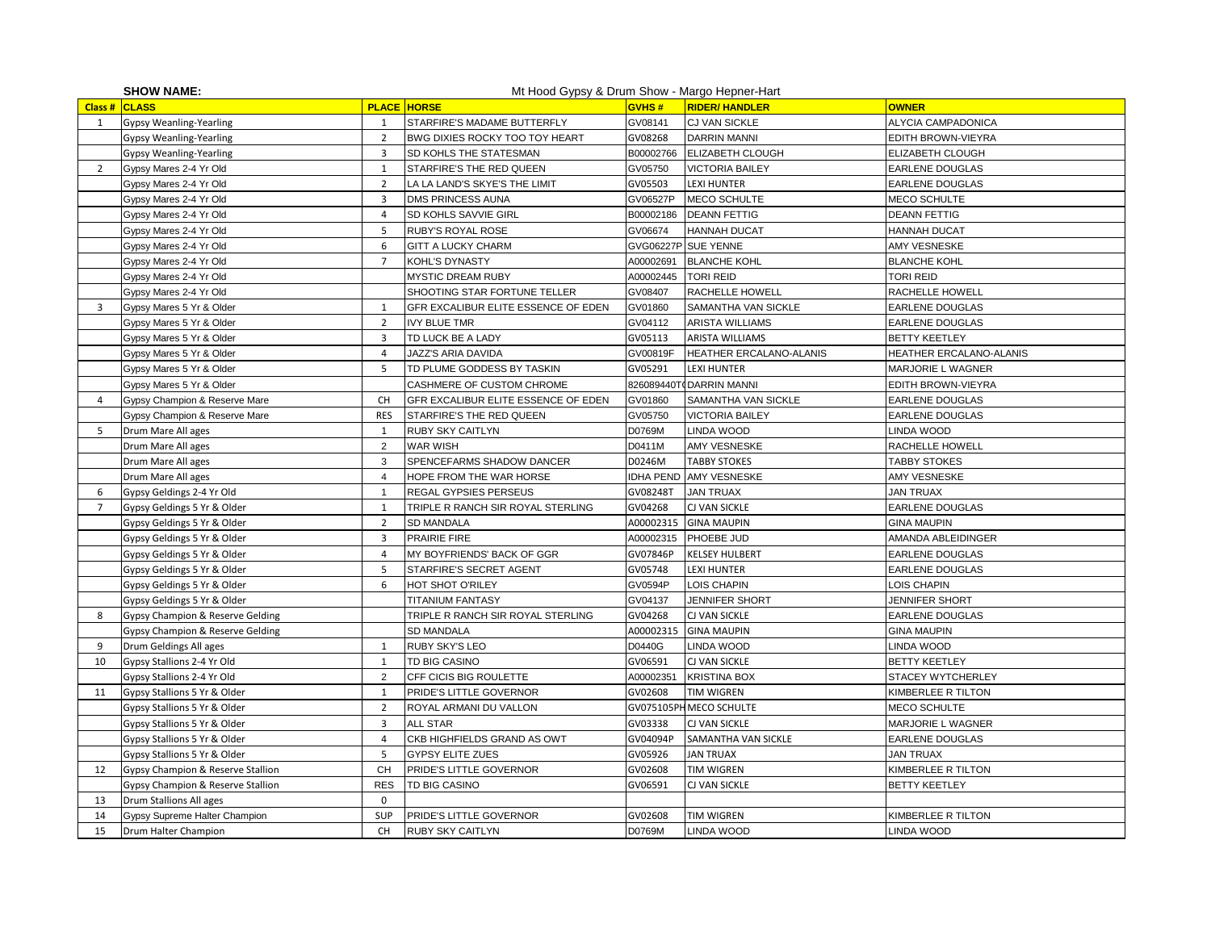|                | <b>SHOW NAME:</b><br>Mt Hood Gypsy & Drum Show - Margo Hepner-Hart |                |                                     |                  |                            |                         |  |
|----------------|--------------------------------------------------------------------|----------------|-------------------------------------|------------------|----------------------------|-------------------------|--|
|                | Class # CLASS                                                      |                | <b>PLACE HORSE</b>                  | GVHS#            | <b>RIDER/HANDLER</b>       | <b>OWNER</b>            |  |
| 1              | Gypsy Weanling-Yearling                                            | $\mathbf{1}$   | STARFIRE'S MADAME BUTTERFLY         | GV08141          | CJ VAN SICKLE              | ALYCIA CAMPADONICA      |  |
|                | Gypsy Weanling-Yearling                                            | $\overline{2}$ | BWG DIXIES ROCKY TOO TOY HEART      | GV08268          | <b>DARRIN MANNI</b>        | EDITH BROWN-VIEYRA      |  |
|                | Gypsy Weanling-Yearling                                            | $\overline{3}$ | SD KOHLS THE STATESMAN              | B00002766        | ELIZABETH CLOUGH           | ELIZABETH CLOUGH        |  |
| $\overline{2}$ | Gypsy Mares 2-4 Yr Old                                             | $\mathbf{1}$   | STARFIRE'S THE RED QUEEN            | GV05750          | <b>VICTORIA BAILEY</b>     | EARLENE DOUGLAS         |  |
|                | Gypsy Mares 2-4 Yr Old                                             | $\overline{2}$ | LA LA LAND'S SKYE'S THE LIMIT       | GV05503          | <b>LEXI HUNTER</b>         | EARLENE DOUGLAS         |  |
|                | Gypsy Mares 2-4 Yr Old                                             | $\overline{3}$ | <b>DMS PRINCESS AUNA</b>            | GV06527P         | MECO SCHULTE               | MECO SCHULTE            |  |
|                | Gypsy Mares 2-4 Yr Old                                             | $\overline{4}$ | SD KOHLS SAVVIE GIRL                | B00002186        | <b>DEANN FETTIG</b>        | <b>DEANN FETTIG</b>     |  |
|                | Gypsy Mares 2-4 Yr Old                                             | 5              | RUBY'S ROYAL ROSE                   | GV06674          | <b>HANNAH DUCAT</b>        | HANNAH DUCAT            |  |
|                | Gypsy Mares 2-4 Yr Old                                             | 6              | <b>GITT A LUCKY CHARM</b>           |                  | GVG06227P SUE YENNE        | AMY VESNESKE            |  |
|                | Gypsy Mares 2-4 Yr Old                                             | $\overline{7}$ | KOHL'S DYNASTY                      | A00002691        | <b>BLANCHE KOHL</b>        | <b>BLANCHE KOHL</b>     |  |
|                | Gypsy Mares 2-4 Yr Old                                             |                | <b>MYSTIC DREAM RUBY</b>            | A00002445        | <b>TORI REID</b>           | TORI REID               |  |
|                | Gypsy Mares 2-4 Yr Old                                             |                | SHOOTING STAR FORTUNE TELLER        | GV08407          | RACHELLE HOWELL            | RACHELLE HOWELL         |  |
| 3              | Gypsy Mares 5 Yr & Older                                           | 1              | GFR EXCALIBUR ELITE ESSENCE OF EDEN | GV01860          | SAMANTHA VAN SICKLE        | EARLENE DOUGLAS         |  |
|                | Gypsy Mares 5 Yr & Older                                           | $\overline{2}$ | <b>IVY BLUE TMR</b>                 | GV04112          | <b>ARISTA WILLIAMS</b>     | EARLENE DOUGLAS         |  |
|                | Gypsy Mares 5 Yr & Older                                           | 3              | TD LUCK BE A LADY                   | GV05113          | <b>ARISTA WILLIAMS</b>     | <b>BETTY KEETLEY</b>    |  |
|                | Gypsy Mares 5 Yr & Older                                           | $\overline{4}$ | JAZZ'S ARIA DAVIDA                  | GV00819F         | HEATHER ERCALANO-ALANIS    | HEATHER ERCALANO-ALANIS |  |
|                | Gypsy Mares 5 Yr & Older                                           | 5              | TD PLUME GODDESS BY TASKIN          | GV05291          | <b>LEXI HUNTER</b>         | MARJORIE L WAGNER       |  |
|                | Gypsy Mares 5 Yr & Older                                           |                | CASHMERE OF CUSTOM CHROME           |                  | 826089440T0DARRIN MANNI    | EDITH BROWN-VIEYRA      |  |
| $\overline{4}$ | Gypsy Champion & Reserve Mare                                      | CH             | GFR EXCALIBUR ELITE ESSENCE OF EDEN | GV01860          | SAMANTHA VAN SICKLE        | EARLENE DOUGLAS         |  |
|                | Gypsy Champion & Reserve Mare                                      | <b>RES</b>     | STARFIRE'S THE RED QUEEN            | GV05750          | <b>VICTORIA BAILEY</b>     | EARLENE DOUGLAS         |  |
| 5              | Drum Mare All ages                                                 | 1              | RUBY SKY CAITLYN                    | D0769M           | <b>LINDA WOOD</b>          | LINDA WOOD              |  |
|                | Drum Mare All ages                                                 | $\overline{2}$ | WAR WISH                            | D0411M           | AMY VESNESKE               | RACHELLE HOWELL         |  |
|                | Drum Mare All ages                                                 | 3              | SPENCEFARMS SHADOW DANCER           | D0246M           | <b>TABBY STOKES</b>        | <b>TABBY STOKES</b>     |  |
|                | Drum Mare All ages                                                 | $\overline{4}$ | HOPE FROM THE WAR HORSE             | <b>IDHA PEND</b> | AMY VESNESKE               | AMY VESNESKE            |  |
| 6              | Gypsy Geldings 2-4 Yr Old                                          | $\mathbf{1}$   | REGAL GYPSIES PERSEUS               | GV08248T         | <b>JAN TRUAX</b>           | <b>JAN TRUAX</b>        |  |
| $\overline{7}$ | Gypsy Geldings 5 Yr & Older                                        | 1              | TRIPLE R RANCH SIR ROYAL STERLING   | GV04268          | CJ VAN SICKLE              | EARLENE DOUGLAS         |  |
|                | Gypsy Geldings 5 Yr & Older                                        | $\overline{2}$ | <b>SD MANDALA</b>                   | A00002315        | <b>GINA MAUPIN</b>         | <b>GINA MAUPIN</b>      |  |
|                | Gypsy Geldings 5 Yr & Older                                        | 3              | PRAIRIE FIRE                        | A00002315        | PHOEBE JUD                 | AMANDA ABLEIDINGER      |  |
|                | Gypsy Geldings 5 Yr & Older                                        | $\overline{4}$ | MY BOYFRIENDS' BACK OF GGR          | GV07846P         | <b>KELSEY HULBERT</b>      | EARLENE DOUGLAS         |  |
|                | Gypsy Geldings 5 Yr & Older                                        | 5              | STARFIRE'S SECRET AGENT             | GV05748          | <b>LEXI HUNTER</b>         | EARLENE DOUGLAS         |  |
|                | Gypsy Geldings 5 Yr & Older                                        | 6              | HOT SHOT O'RILEY                    | GV0594P          | LOIS CHAPIN                | LOIS CHAPIN             |  |
|                | Gypsy Geldings 5 Yr & Older                                        |                | <b>TITANIUM FANTASY</b>             | GV04137          | <b>JENNIFER SHORT</b>      | <b>JENNIFER SHORT</b>   |  |
| 8              | Gypsy Champion & Reserve Gelding                                   |                | TRIPLE R RANCH SIR ROYAL STERLING   | GV04268          | CJ VAN SICKLE              | EARLENE DOUGLAS         |  |
|                | Gypsy Champion & Reserve Gelding                                   |                | <b>SD MANDALA</b>                   | A00002315        | <b>GINA MAUPIN</b>         | <b>GINA MAUPIN</b>      |  |
| 9              | Drum Geldings All ages                                             | $\mathbf{1}$   | RUBY SKY'S LEO                      | D0440G           | LINDA WOOD                 | LINDA WOOD              |  |
| 10             | Gypsy Stallions 2-4 Yr Old                                         | $\mathbf{1}$   | TD BIG CASINO                       | GV06591          | CJ VAN SICKLE              | <b>BETTY KEETLEY</b>    |  |
|                | Gypsy Stallions 2-4 Yr Old                                         | $\overline{2}$ | CFF CICIS BIG ROULETTE              | A00002351        | <b>KRISTINA BOX</b>        | STACEY WYTCHERLEY       |  |
| 11             | Gypsy Stallions 5 Yr & Older                                       | 1              | PRIDE'S LITTLE GOVERNOR             | GV02608          | <b>TIM WIGREN</b>          | KIMBERLEE R TILTON      |  |
|                | Gypsy Stallions 5 Yr & Older                                       | $\overline{2}$ | ROYAL ARMANI DU VALLON              |                  | GV075105PH MECO SCHULTE    | MECO SCHULTE            |  |
|                | Gypsy Stallions 5 Yr & Older                                       | 3              | <b>ALL STAR</b>                     | GV03338          | CJ VAN SICKLE              | MARJORIE L WAGNER       |  |
|                | Gypsy Stallions 5 Yr & Older                                       | $\overline{4}$ | CKB HIGHFIELDS GRAND AS OWT         | GV04094P         | <b>SAMANTHA VAN SICKLE</b> | EARLENE DOUGLAS         |  |
|                | Gypsy Stallions 5 Yr & Older                                       | 5              | GYPSY ELITE ZUES                    | GV05926          | <b>JAN TRUAX</b>           | <b>JAN TRUAX</b>        |  |
| 12             | Gypsy Champion & Reserve Stallion                                  | <b>CH</b>      | PRIDE'S LITTLE GOVERNOR             | GV02608          | <b>TIM WIGREN</b>          | KIMBERLEE R TILTON      |  |
|                | Gypsy Champion & Reserve Stallion                                  | <b>RES</b>     | TD BIG CASINO                       | GV06591          | CJ VAN SICKLE              | BETTY KEETLEY           |  |
| 13             | Drum Stallions All ages                                            | $\mathbf 0$    |                                     |                  |                            |                         |  |
| 14             | Gypsy Supreme Halter Champion                                      | SUP            | PRIDE'S LITTLE GOVERNOR             | GV02608          | <b>TIM WIGREN</b>          | KIMBERLEE R TILTON      |  |
| 15             | Drum Halter Champion                                               | <b>CH</b>      | <b>RUBY SKY CAITLYN</b>             | D0769M           | <b>LINDA WOOD</b>          | LINDA WOOD              |  |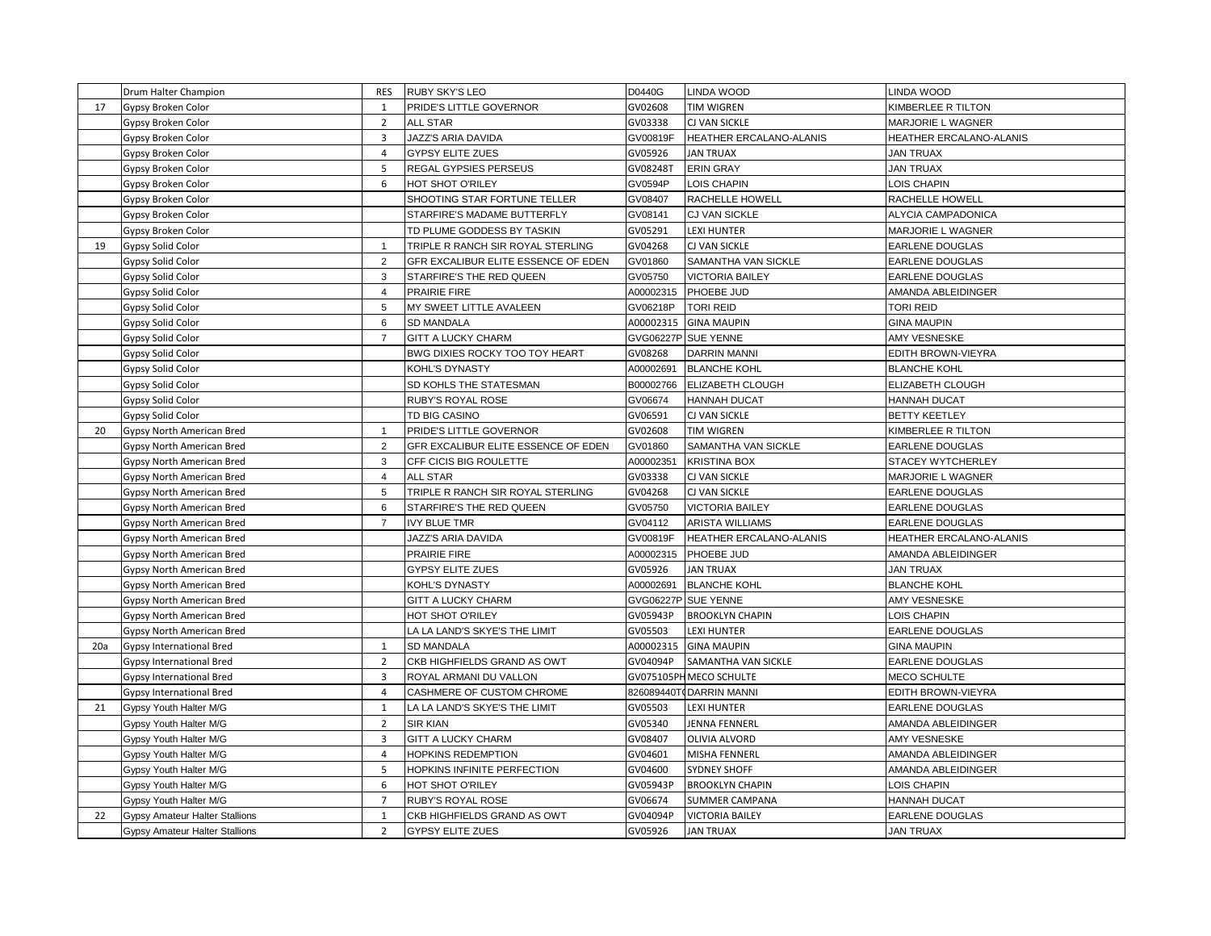|     | Drum Halter Champion                  | <b>RES</b>     | RUBY SKY'S LEO                      | D0440G    | <b>LINDA WOOD</b>       | LINDA WOOD              |
|-----|---------------------------------------|----------------|-------------------------------------|-----------|-------------------------|-------------------------|
| 17  | Gypsy Broken Color                    | $\mathbf{1}$   | PRIDE'S LITTLE GOVERNOR             | GV02608   | <b>TIM WIGREN</b>       | KIMBERLEE R TILTON      |
|     | Gypsy Broken Color                    | $\overline{2}$ | <b>ALL STAR</b>                     | GV03338   | CJ VAN SICKLE           | MARJORIE L WAGNER       |
|     | Gypsy Broken Color                    | $\overline{3}$ | JAZZ'S ARIA DAVIDA                  | GV00819F  | HEATHER ERCALANO-ALANIS | HEATHER ERCALANO-ALANIS |
|     | Gypsy Broken Color                    | $\overline{4}$ | <b>GYPSY ELITE ZUES</b>             | GV05926   | <b>JAN TRUAX</b>        | <b>JAN TRUAX</b>        |
|     | Gypsy Broken Color                    | 5              | REGAL GYPSIES PERSEUS               | GV08248T  | <b>ERIN GRAY</b>        | <b>JAN TRUAX</b>        |
|     | Gypsy Broken Color                    | 6              | HOT SHOT O'RILEY                    | GV0594P   | LOIS CHAPIN             | LOIS CHAPIN             |
|     | Gypsy Broken Color                    |                | SHOOTING STAR FORTUNE TELLER        | GV08407   | RACHELLE HOWELL         | RACHELLE HOWELL         |
|     | Gypsy Broken Color                    |                | STARFIRE'S MADAME BUTTERFLY         | GV08141   | CJ VAN SICKLE           | ALYCIA CAMPADONICA      |
|     | Gypsy Broken Color                    |                | TD PLUME GODDESS BY TASKIN          | GV05291   | <b>LEXI HUNTER</b>      | MARJORIE L WAGNER       |
| 19  | Gypsy Solid Color                     | $\overline{1}$ | TRIPLE R RANCH SIR ROYAL STERLING   | GV04268   | CJ VAN SICKLE           | <b>EARLENE DOUGLAS</b>  |
|     | Gypsy Solid Color                     | 2              | GFR EXCALIBUR ELITE ESSENCE OF EDEN | GV01860   | SAMANTHA VAN SICKLE     | <b>EARLENE DOUGLAS</b>  |
|     | Gypsy Solid Color                     | 3              | STARFIRE'S THE RED QUEEN            | GV05750   | <b>VICTORIA BAILEY</b>  | <b>EARLENE DOUGLAS</b>  |
|     | Gypsy Solid Color                     | $\overline{4}$ | <b>PRAIRIE FIRE</b>                 | A00002315 | PHOEBE JUD              | AMANDA ABLEIDINGER      |
|     | Gypsy Solid Color                     | 5              | MY SWEET LITTLE AVALEEN             | GV06218P  | <b>TORI REID</b>        | <b>TORI REID</b>        |
|     | Gypsy Solid Color                     | 6              | <b>SD MANDALA</b>                   | A00002315 | <b>GINA MAUPIN</b>      | <b>GINA MAUPIN</b>      |
|     | Gypsy Solid Color                     | $\overline{7}$ | <b>GITT A LUCKY CHARM</b>           |           | GVG06227P SUE YENNE     | AMY VESNESKE            |
|     | Gypsy Solid Color                     |                | BWG DIXIES ROCKY TOO TOY HEART      | GV08268   | DARRIN MANNI            | EDITH BROWN-VIEYRA      |
|     | Gypsy Solid Color                     |                | KOHL'S DYNASTY                      | A00002691 | <b>BLANCHE KOHL</b>     | <b>BLANCHE KOHL</b>     |
|     | Gypsy Solid Color                     |                | SD KOHLS THE STATESMAN              | B00002766 | ELIZABETH CLOUGH        | ELIZABETH CLOUGH        |
|     | Gypsy Solid Color                     |                | RUBY'S ROYAL ROSE                   | GV06674   | <b>HANNAH DUCAT</b>     | <b>HANNAH DUCAT</b>     |
|     | Gypsy Solid Color                     |                | TD BIG CASINO                       | GV06591   | CJ VAN SICKLE           | <b>BETTY KEETLEY</b>    |
| 20  | Gypsy North American Bred             | $\mathbf{1}$   | PRIDE'S LITTLE GOVERNOR             | GV02608   | <b>TIM WIGREN</b>       | KIMBERLEE R TILTON      |
|     | Gypsy North American Bred             | 2              | GFR EXCALIBUR ELITE ESSENCE OF EDEN | GV01860   | SAMANTHA VAN SICKLE     | <b>EARLENE DOUGLAS</b>  |
|     | Gypsy North American Bred             | 3              | CFF CICIS BIG ROULETTE              | A00002351 | <b>KRISTINA BOX</b>     | STACEY WYTCHERLEY       |
|     | Gypsy North American Bred             | $\overline{4}$ | <b>ALL STAR</b>                     | GV03338   | CJ VAN SICKLE           | MARJORIE L WAGNER       |
|     | Gypsy North American Bred             | 5              | TRIPLE R RANCH SIR ROYAL STERLING   | GV04268   | CJ VAN SICKLE           | EARLENE DOUGLAS         |
|     | Gypsy North American Bred             | 6              | STARFIRE'S THE RED QUEEN            | GV05750   | <b>VICTORIA BAILEY</b>  | <b>EARLENE DOUGLAS</b>  |
|     | Gypsy North American Bred             | $\overline{7}$ | <b>IVY BLUE TMR</b>                 | GV04112   | ARISTA WILLIAMS         | EARLENE DOUGLAS         |
|     | Gypsy North American Bred             |                | JAZZ'S ARIA DAVIDA                  | GV00819F  | HEATHER ERCALANO-ALANIS | HEATHER ERCALANO-ALANIS |
|     | Gypsy North American Bred             |                | PRAIRIE FIRE                        | A00002315 | PHOEBE JUD              | AMANDA ABLEIDINGER      |
|     | Gypsy North American Bred             |                | <b>GYPSY ELITE ZUES</b>             | GV05926   | <b>JAN TRUAX</b>        | <b>JAN TRUAX</b>        |
|     | Gypsy North American Bred             |                | KOHL'S DYNASTY                      | A00002691 | <b>BLANCHE KOHL</b>     | <b>BLANCHE KOHL</b>     |
|     | Gypsy North American Bred             |                | <b>GITT A LUCKY CHARM</b>           |           | GVG06227P SUE YENNE     | AMY VESNESKE            |
|     | Gypsy North American Bred             |                | HOT SHOT O'RILEY                    | GV05943P  | <b>BROOKLYN CHAPIN</b>  | LOIS CHAPIN             |
|     | Gypsy North American Bred             |                | LA LA LAND'S SKYE'S THE LIMIT       | GV05503   | <b>LEXI HUNTER</b>      | EARLENE DOUGLAS         |
| 20a | Gypsy International Bred              | 1              | <b>SD MANDALA</b>                   | A00002315 | <b>GINA MAUPIN</b>      | <b>GINA MAUPIN</b>      |
|     | <b>Gypsy International Bred</b>       | $\overline{2}$ | CKB HIGHFIELDS GRAND AS OWT         | GV04094P  | SAMANTHA VAN SICKLE     | <b>EARLENE DOUGLAS</b>  |
|     | Gypsy International Bred              | $\overline{3}$ | ROYAL ARMANI DU VALLON              |           | GV075105PH MECO SCHULTE | MECO SCHULTE            |
|     | <b>Gypsy International Bred</b>       | $\overline{4}$ | CASHMERE OF CUSTOM CHROME           |           | 826089440T0DARRIN MANNI | EDITH BROWN-VIEYRA      |
| 21  | Gypsy Youth Halter M/G                | $\mathbf{1}$   | LA LA LAND'S SKYE'S THE LIMIT       | GV05503   | <b>LEXI HUNTER</b>      | <b>EARLENE DOUGLAS</b>  |
|     | Gypsy Youth Halter M/G                | $\overline{2}$ | <b>SIR KIAN</b>                     | GV05340   | <b>JENNA FENNERL</b>    | AMANDA ABLEIDINGER      |
|     | Gypsy Youth Halter M/G                | 3              | <b>GITT A LUCKY CHARM</b>           | GV08407   | OLIVIA ALVORD           | AMY VESNESKE            |
|     | Gypsy Youth Halter M/G                | $\overline{4}$ | HOPKINS REDEMPTION                  | GV04601   | MISHA FENNERL           | AMANDA ABLEIDINGER      |
|     | Gypsy Youth Halter M/G                | 5              | HOPKINS INFINITE PERFECTION         | GV04600   | <b>SYDNEY SHOFF</b>     | AMANDA ABLEIDINGER      |
|     | Gypsy Youth Halter M/G                | 6              | HOT SHOT O'RILEY                    | GV05943P  | <b>BROOKLYN CHAPIN</b>  | LOIS CHAPIN             |
|     | Gypsy Youth Halter M/G                | $\overline{7}$ | <b>RUBY'S ROYAL ROSE</b>            | GV06674   | <b>SUMMER CAMPANA</b>   | HANNAH DUCAT            |
| 22  | Gypsy Amateur Halter Stallions        | 1              | CKB HIGHFIELDS GRAND AS OWT         | GV04094P  | <b>VICTORIA BAILEY</b>  | <b>EARLENE DOUGLAS</b>  |
|     | <b>Gypsy Amateur Halter Stallions</b> | $\overline{2}$ | <b>GYPSY ELITE ZUES</b>             | GV05926   | <b>JAN TRUAX</b>        | <b>JAN TRUAX</b>        |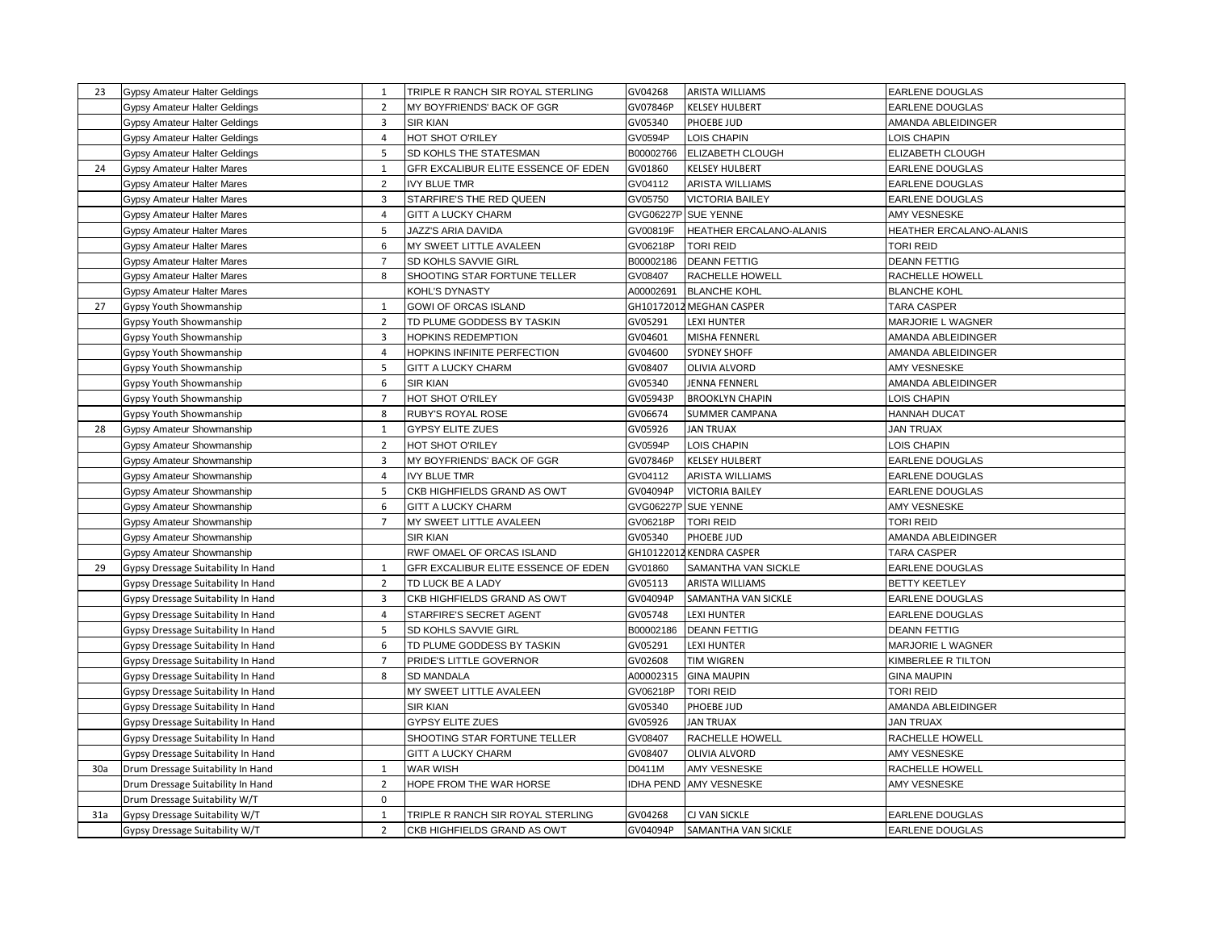| 23  | Gypsy Amateur Halter Geldings        | 1              | TRIPLE R RANCH SIR ROYAL STERLING   | GV04268          | <b>ARISTA WILLIAMS</b>   | EARLENE DOUGLAS         |
|-----|--------------------------------------|----------------|-------------------------------------|------------------|--------------------------|-------------------------|
|     | <b>Gypsy Amateur Halter Geldings</b> | 2              | MY BOYFRIENDS' BACK OF GGR          | GV07846P         | <b>KELSEY HULBERT</b>    | <b>EARLENE DOUGLAS</b>  |
|     | Gypsy Amateur Halter Geldings        | $\overline{3}$ | <b>SIR KIAN</b>                     | GV05340          | PHOEBE JUD               | AMANDA ABLEIDINGER      |
|     | <b>Gypsy Amateur Halter Geldings</b> | 4              | HOT SHOT O'RILEY                    | GV0594P          | LOIS CHAPIN              | LOIS CHAPIN             |
|     | Gypsy Amateur Halter Geldings        | 5              | SD KOHLS THE STATESMAN              | B00002766        | ELIZABETH CLOUGH         | ELIZABETH CLOUGH        |
| 24  | Gypsy Amateur Halter Mares           |                | GFR EXCALIBUR ELITE ESSENCE OF EDEN | GV01860          | KELSEY HULBERT           | <b>EARLENE DOUGLAS</b>  |
|     | Gypsy Amateur Halter Mares           | $\overline{2}$ | IVY BLUE TMR                        | GV04112          | ARISTA WILLIAMS          | EARLENE DOUGLAS         |
|     | <b>Gypsy Amateur Halter Mares</b>    | 3              | STARFIRE'S THE RED QUEEN            | GV05750          | <b>VICTORIA BAILEY</b>   | <b>EARLENE DOUGLAS</b>  |
|     | Gypsy Amateur Halter Mares           | $\overline{4}$ | <b>GITT A LUCKY CHARM</b>           |                  | GVG06227P SUE YENNE      | AMY VESNESKE            |
|     | Gypsy Amateur Halter Mares           | 5              | JAZZ'S ARIA DAVIDA                  | GV00819F         | HEATHER ERCALANO-ALANIS  | HEATHER ERCALANO-ALANIS |
|     | Gypsy Amateur Halter Mares           | 6              | MY SWEET LITTLE AVALEEN             | GV06218P         | <b>TORI REID</b>         | <b>TORI REID</b>        |
|     | Gypsy Amateur Halter Mares           | $\overline{7}$ | SD KOHLS SAVVIE GIRL                | B00002186        | <b>DEANN FETTIG</b>      | <b>DEANN FETTIG</b>     |
|     | Gypsy Amateur Halter Mares           | 8              | SHOOTING STAR FORTUNE TELLER        | GV08407          | RACHELLE HOWELL          | RACHELLE HOWELL         |
|     | <b>Gypsy Amateur Halter Mares</b>    |                | KOHL'S DYNASTY                      | A00002691        | <b>BLANCHE KOHL</b>      | <b>BLANCHE KOHL</b>     |
| 27  | Gypsy Youth Showmanship              | 1              | GOWI OF ORCAS ISLAND                |                  | GH10172012 MEGHAN CASPER | TARA CASPER             |
|     | Gypsy Youth Showmanship              | $\overline{2}$ | TD PLUME GODDESS BY TASKIN          | GV05291          | LEXI HUNTER              | MARJORIE L WAGNER       |
|     | Gypsy Youth Showmanship              | 3              | HOPKINS REDEMPTION                  | GV04601          | MISHA FENNERL            | AMANDA ABLEIDINGER      |
|     | Gypsy Youth Showmanship              | $\overline{4}$ | HOPKINS INFINITE PERFECTION         | GV04600          | <b>SYDNEY SHOFF</b>      | AMANDA ABLEIDINGER      |
|     | Gypsy Youth Showmanship              | 5              | <b>GITT A LUCKY CHARM</b>           | GV08407          | OLIVIA ALVORD            | AMY VESNESKE            |
|     | Gypsy Youth Showmanship              | 6              | <b>SIR KIAN</b>                     | GV05340          | JENNA FENNERL            | AMANDA ABLEIDINGER      |
|     | Gypsy Youth Showmanship              | $\overline{7}$ | HOT SHOT O'RILEY                    | GV05943P         | <b>BROOKLYN CHAPIN</b>   | LOIS CHAPIN             |
|     | Gypsy Youth Showmanship              | 8              | RUBY'S ROYAL ROSE                   | GV06674          | SUMMER CAMPANA           | <b>HANNAH DUCAT</b>     |
| 28  | Gypsy Amateur Showmanship            | $\mathbf{1}$   | GYPSY ELITE ZUES                    | GV05926          | <b>JAN TRUAX</b>         | <b>JAN TRUAX</b>        |
|     | Gypsy Amateur Showmanship            | $\overline{2}$ | HOT SHOT O'RILEY                    | GV0594P          | LOIS CHAPIN              | LOIS CHAPIN             |
|     | Gypsy Amateur Showmanship            | 3              | MY BOYFRIENDS' BACK OF GGR          | GV07846P         | KELSEY HULBERT           | <b>EARLENE DOUGLAS</b>  |
|     | Gypsy Amateur Showmanship            | 4              | IVY BLUE TMR                        | GV04112          | ARISTA WILLIAMS          | EARLENE DOUGLAS         |
|     | Gypsy Amateur Showmanship            | 5              | CKB HIGHFIELDS GRAND AS OWT         | GV04094P         | <b>VICTORIA BAILEY</b>   | <b>EARLENE DOUGLAS</b>  |
|     | Gypsy Amateur Showmanship            | 6              | <b>GITT A LUCKY CHARM</b>           |                  | GVG06227P SUE YENNE      | AMY VESNESKE            |
|     | Gypsy Amateur Showmanship            | $\overline{7}$ | MY SWEET LITTLE AVALEEN             | GV06218P         | <b>TORI REID</b>         | <b>TORI REID</b>        |
|     | Gypsy Amateur Showmanship            |                | <b>SIR KIAN</b>                     | GV05340          | PHOEBE JUD               | AMANDA ABLEIDINGER      |
|     | Gypsy Amateur Showmanship            |                | RWF OMAEL OF ORCAS ISLAND           |                  | GH10122012 KENDRA CASPER | <b>TARA CASPER</b>      |
| 29  | Gypsy Dressage Suitability In Hand   | 1              | GFR EXCALIBUR ELITE ESSENCE OF EDEN | GV01860          | SAMANTHA VAN SICKLE      | EARLENE DOUGLAS         |
|     | Gypsy Dressage Suitability In Hand   | $\overline{2}$ | TD LUCK BE A LADY                   | GV05113          | <b>ARISTA WILLIAMS</b>   | <b>BETTY KEETLEY</b>    |
|     | Gypsy Dressage Suitability In Hand   | 3              | CKB HIGHFIELDS GRAND AS OWT         | GV04094P         | SAMANTHA VAN SICKLE      | EARLENE DOUGLAS         |
|     | Gypsy Dressage Suitability In Hand   | $\overline{4}$ | STARFIRE'S SECRET AGENT             | GV05748          | LEXI HUNTER              | EARLENE DOUGLAS         |
|     | Gypsy Dressage Suitability In Hand   | 5              | SD KOHLS SAVVIE GIRL                | B00002186        | <b>DEANN FETTIG</b>      | <b>DEANN FETTIG</b>     |
|     | Gypsy Dressage Suitability In Hand   | 6              | TD PLUME GODDESS BY TASKIN          | GV05291          | <b>LEXI HUNTER</b>       | MARJORIE L WAGNER       |
|     | Gypsy Dressage Suitability In Hand   | $\overline{7}$ | PRIDE'S LITTLE GOVERNOR             | GV02608          | <b>TIM WIGREN</b>        | KIMBERLEE R TILTON      |
|     | Gypsy Dressage Suitability In Hand   | 8              | <b>SD MANDALA</b>                   | A00002315        | <b>GINA MAUPIN</b>       | <b>GINA MAUPIN</b>      |
|     | Gypsy Dressage Suitability In Hand   |                | MY SWEET LITTLE AVALEEN             | GV06218P         | TORI REID                | <b>TORI REID</b>        |
|     | Gypsy Dressage Suitability In Hand   |                | SIR KIAN                            | GV05340          | PHOEBE JUD               | AMANDA ABLEIDINGER      |
|     | Gypsy Dressage Suitability In Hand   |                | GYPSY ELITE ZUES                    | GV05926          | <b>JAN TRUAX</b>         | <b>JAN TRUAX</b>        |
|     | Gypsy Dressage Suitability In Hand   |                | SHOOTING STAR FORTUNE TELLER        | GV08407          | RACHELLE HOWELL          | RACHELLE HOWELL         |
|     | Gypsy Dressage Suitability In Hand   |                | <b>GITT A LUCKY CHARM</b>           | GV08407          | OLIVIA ALVORD            | AMY VESNESKE            |
| 30a | Drum Dressage Suitability In Hand    | 1              | WAR WISH                            | D0411M           | AMY VESNESKE             | RACHELLE HOWELL         |
|     | Drum Dressage Suitability In Hand    | $\overline{2}$ | HOPE FROM THE WAR HORSE             | <b>IDHA PEND</b> | AMY VESNESKE             | AMY VESNESKE            |
|     | Drum Dressage Suitability W/T        | $\mathbf 0$    |                                     |                  |                          |                         |
| 31a | Gypsy Dressage Suitability W/T       | 1              | TRIPLE R RANCH SIR ROYAL STERLING   | GV04268          | CJ VAN SICKLE            | EARLENE DOUGLAS         |
|     | Gypsy Dressage Suitability W/T       | $\overline{2}$ | CKB HIGHFIELDS GRAND AS OWT         | GV04094P         | SAMANTHA VAN SICKLE      | <b>EARLENE DOUGLAS</b>  |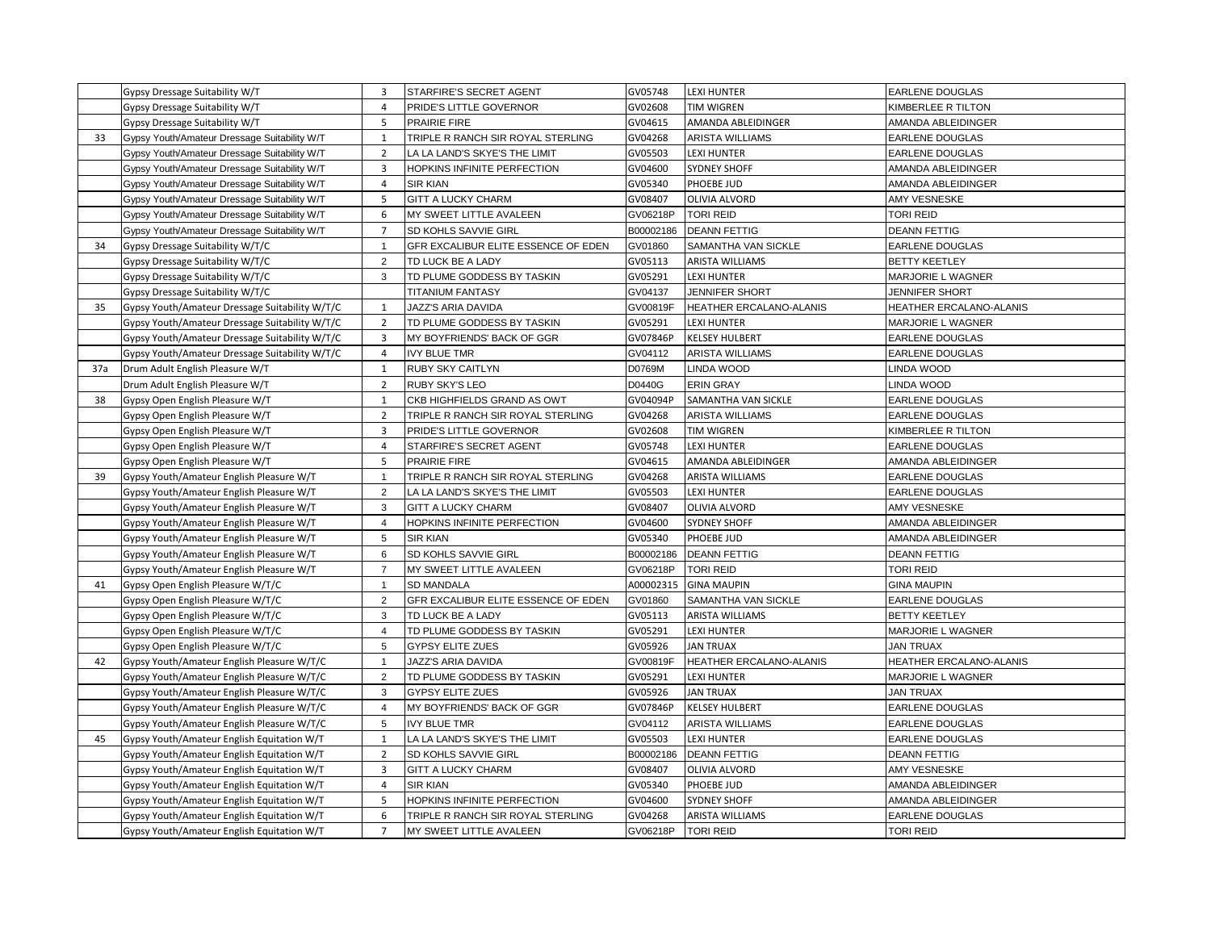|     | Gypsy Dressage Suitability W/T                 | 3              | STARFIRE'S SECRET AGENT             | GV05748   | <b>LEXI HUNTER</b>      | <b>EARLENE DOUGLAS</b>  |
|-----|------------------------------------------------|----------------|-------------------------------------|-----------|-------------------------|-------------------------|
|     | Gypsy Dressage Suitability W/T                 | $\overline{4}$ | PRIDE'S LITTLE GOVERNOR             | GV02608   | <b>TIM WIGREN</b>       | KIMBERLEE R TILTON      |
|     | Gypsy Dressage Suitability W/T                 | 5              | <b>PRAIRIE FIRE</b>                 | GV04615   | AMANDA ABLEIDINGER      | AMANDA ABLEIDINGER      |
| 33  | Gypsy Youth/Amateur Dressage Suitability W/T   | $\mathbf{1}$   | TRIPLE R RANCH SIR ROYAL STERLING   | GV04268   | ARISTA WILLIAMS         | <b>EARLENE DOUGLAS</b>  |
|     | Gypsy Youth/Amateur Dressage Suitability W/T   | $\overline{2}$ | LA LA LAND'S SKYE'S THE LIMIT       | GV05503   | <b>LEXI HUNTER</b>      | EARLENE DOUGLAS         |
|     | Gypsy Youth/Amateur Dressage Suitability W/T   | 3              | HOPKINS INFINITE PERFECTION         | GV04600   | <b>SYDNEY SHOFF</b>     | AMANDA ABLEIDINGER      |
|     | Gypsy Youth/Amateur Dressage Suitability W/T   | $\overline{4}$ | <b>SIR KIAN</b>                     | GV05340   | PHOEBE JUD              | AMANDA ABLEIDINGER      |
|     | Gypsy Youth/Amateur Dressage Suitability W/T   | 5              | <b>GITT A LUCKY CHARM</b>           | GV08407   | OLIVIA ALVORD           | AMY VESNESKE            |
|     | Gypsy Youth/Amateur Dressage Suitability W/T   | 6              | MY SWEET LITTLE AVALEEN             | GV06218P  | <b>TORI REID</b>        | TORI REID               |
|     | Gypsy Youth/Amateur Dressage Suitability W/T   | $\overline{7}$ | SD KOHLS SAVVIE GIRL                | B00002186 | <b>DEANN FETTIG</b>     | <b>DEANN FETTIG</b>     |
| 34  | Gypsy Dressage Suitability W/T/C               | $\overline{1}$ | GFR EXCALIBUR ELITE ESSENCE OF EDEN | GV01860   | SAMANTHA VAN SICKLE     | EARLENE DOUGLAS         |
|     | Gypsy Dressage Suitability W/T/C               | $\overline{2}$ | TD LUCK BE A LADY                   | GV05113   | <b>ARISTA WILLIAMS</b>  | <b>BETTY KEETLEY</b>    |
|     | Gypsy Dressage Suitability W/T/C               | 3              | TD PLUME GODDESS BY TASKIN          | GV05291   | <b>LEXI HUNTER</b>      | MARJORIE L WAGNER       |
|     | Gypsy Dressage Suitability W/T/C               |                | <b>TITANIUM FANTASY</b>             | GV04137   | <b>JENNIFER SHORT</b>   | <b>JENNIFER SHORT</b>   |
| 35  | Gypsy Youth/Amateur Dressage Suitability W/T/C | $\mathbf{1}$   | JAZZ'S ARIA DAVIDA                  | GV00819F  | HEATHER ERCALANO-ALANIS | HEATHER ERCALANO-ALANIS |
|     | Gypsy Youth/Amateur Dressage Suitability W/T/C | $\overline{2}$ | TD PLUME GODDESS BY TASKIN          | GV05291   | LEXI HUNTER             | MARJORIE L WAGNER       |
|     | Gypsy Youth/Amateur Dressage Suitability W/T/C | 3              | MY BOYFRIENDS' BACK OF GGR          | GV07846P  | <b>KELSEY HULBERT</b>   | <b>EARLENE DOUGLAS</b>  |
|     | Gypsy Youth/Amateur Dressage Suitability W/T/C | $\overline{4}$ | <b>IVY BLUE TMR</b>                 | GV04112   | ARISTA WILLIAMS         | <b>EARLENE DOUGLAS</b>  |
| 37a | Drum Adult English Pleasure W/T                | $\mathbf{1}$   | <b>RUBY SKY CAITLYN</b>             | D0769M    | LINDA WOOD              | LINDA WOOD              |
|     | Drum Adult English Pleasure W/T                | $\overline{2}$ | RUBY SKY'S LEO                      | D0440G    | <b>ERIN GRAY</b>        | LINDA WOOD              |
| 38  | Gypsy Open English Pleasure W/T                | $\mathbf{1}$   | CKB HIGHFIELDS GRAND AS OWT         | GV04094P  | SAMANTHA VAN SICKLE     | <b>EARLENE DOUGLAS</b>  |
|     | Gypsy Open English Pleasure W/T                | $\overline{2}$ | TRIPLE R RANCH SIR ROYAL STERLING   | GV04268   | <b>ARISTA WILLIAMS</b>  | <b>EARLENE DOUGLAS</b>  |
|     | Gypsy Open English Pleasure W/T                | $\overline{3}$ | PRIDE'S LITTLE GOVERNOR             | GV02608   | <b>TIM WIGREN</b>       | KIMBERLEE R TILTON      |
|     | Gypsy Open English Pleasure W/T                | $\overline{4}$ | STARFIRE'S SECRET AGENT             | GV05748   | <b>LEXI HUNTER</b>      | EARLENE DOUGLAS         |
|     | Gypsy Open English Pleasure W/T                | 5              | <b>PRAIRIE FIRE</b>                 | GV04615   | AMANDA ABLEIDINGER      | AMANDA ABLEIDINGER      |
| 39  | Gypsy Youth/Amateur English Pleasure W/T       | -1             | TRIPLE R RANCH SIR ROYAL STERLING   | GV04268   | <b>ARISTA WILLIAMS</b>  | EARLENE DOUGLAS         |
|     | Gypsy Youth/Amateur English Pleasure W/T       | $\overline{2}$ | LA LA LAND'S SKYE'S THE LIMIT       | GV05503   | LEXI HUNTER             | EARLENE DOUGLAS         |
|     | Gypsy Youth/Amateur English Pleasure W/T       | 3              | <b>GITT A LUCKY CHARM</b>           | GV08407   | OLIVIA ALVORD           | AMY VESNESKE            |
|     | Gypsy Youth/Amateur English Pleasure W/T       | $\overline{4}$ | HOPKINS INFINITE PERFECTION         | GV04600   | <b>SYDNEY SHOFF</b>     | AMANDA ABLEIDINGER      |
|     | Gypsy Youth/Amateur English Pleasure W/T       | 5              | <b>SIR KIAN</b>                     | GV05340   | PHOEBE JUD              | AMANDA ABLEIDINGER      |
|     | Gypsy Youth/Amateur English Pleasure W/T       | 6              | SD KOHLS SAVVIE GIRL                | B00002186 | <b>DEANN FETTIG</b>     | <b>DEANN FETTIG</b>     |
|     | Gypsy Youth/Amateur English Pleasure W/T       | $\overline{7}$ | MY SWEET LITTLE AVALEEN             | GV06218P  | <b>TORI REID</b>        | <b>TORI REID</b>        |
| 41  | Gypsy Open English Pleasure W/T/C              | $\overline{1}$ | <b>SD MANDALA</b>                   | A00002315 | <b>GINA MAUPIN</b>      | <b>GINA MAUPIN</b>      |
|     | Gypsy Open English Pleasure W/T/C              | $\overline{2}$ | GFR EXCALIBUR ELITE ESSENCE OF EDEN | GV01860   | SAMANTHA VAN SICKLE     | EARLENE DOUGLAS         |
|     | Gypsy Open English Pleasure W/T/C              | 3              | TD LUCK BE A LADY                   | GV05113   | <b>ARISTA WILLIAMS</b>  | <b>BETTY KEETLEY</b>    |
|     | Gypsy Open English Pleasure W/T/C              | $\overline{4}$ | TD PLUME GODDESS BY TASKIN          | GV05291   | <b>LEXI HUNTER</b>      | MARJORIE L WAGNER       |
|     | Gypsy Open English Pleasure W/T/C              | 5              | <b>GYPSY ELITE ZUES</b>             | GV05926   | <b>JAN TRUAX</b>        | <b>JAN TRUAX</b>        |
| 42  | Gypsy Youth/Amateur English Pleasure W/T/C     | $\mathbf{1}$   | JAZZ'S ARIA DAVIDA                  | GV00819F  | HEATHER ERCALANO-ALANIS | HEATHER ERCALANO-ALANIS |
|     | Gypsy Youth/Amateur English Pleasure W/T/C     | $\overline{2}$ | TD PLUME GODDESS BY TASKIN          | GV05291   | <b>LEXI HUNTER</b>      | MARJORIE L WAGNER       |
|     | Gypsy Youth/Amateur English Pleasure W/T/C     | 3              | <b>GYPSY ELITE ZUES</b>             | GV05926   | <b>JAN TRUAX</b>        | <b>JAN TRUAX</b>        |
|     | Gypsy Youth/Amateur English Pleasure W/T/C     | $\overline{4}$ | MY BOYFRIENDS' BACK OF GGR          | GV07846P  | <b>KELSEY HULBERT</b>   | <b>EARLENE DOUGLAS</b>  |
|     | Gypsy Youth/Amateur English Pleasure W/T/C     | 5              | <b>IVY BLUE TMR</b>                 | GV04112   | ARISTA WILLIAMS         | <b>EARLENE DOUGLAS</b>  |
| 45  | Gypsy Youth/Amateur English Equitation W/T     | 1              | LA LA LAND'S SKYE'S THE LIMIT       | GV05503   | <b>LEXI HUNTER</b>      | EARLENE DOUGLAS         |
|     | Gypsy Youth/Amateur English Equitation W/T     | $\overline{2}$ | SD KOHLS SAVVIE GIRL                | B00002186 | <b>DEANN FETTIG</b>     | <b>DEANN FETTIG</b>     |
|     | Gypsy Youth/Amateur English Equitation W/T     | 3              | <b>GITT A LUCKY CHARM</b>           | GV08407   | OLIVIA ALVORD           | AMY VESNESKE            |
|     | Gypsy Youth/Amateur English Equitation W/T     | $\overline{4}$ | <b>SIR KIAN</b>                     | GV05340   | PHOEBE JUD              | AMANDA ABLEIDINGER      |
|     | Gypsy Youth/Amateur English Equitation W/T     | 5              | HOPKINS INFINITE PERFECTION         | GV04600   | <b>SYDNEY SHOFF</b>     | AMANDA ABLEIDINGER      |
|     | Gypsy Youth/Amateur English Equitation W/T     | 6              | TRIPLE R RANCH SIR ROYAL STERLING   | GV04268   | <b>ARISTA WILLIAMS</b>  | <b>EARLENE DOUGLAS</b>  |
|     | Gypsy Youth/Amateur English Equitation W/T     | $\overline{7}$ | MY SWEET LITTLE AVALEEN             | GV06218P  | <b>TORI REID</b>        | <b>TORI REID</b>        |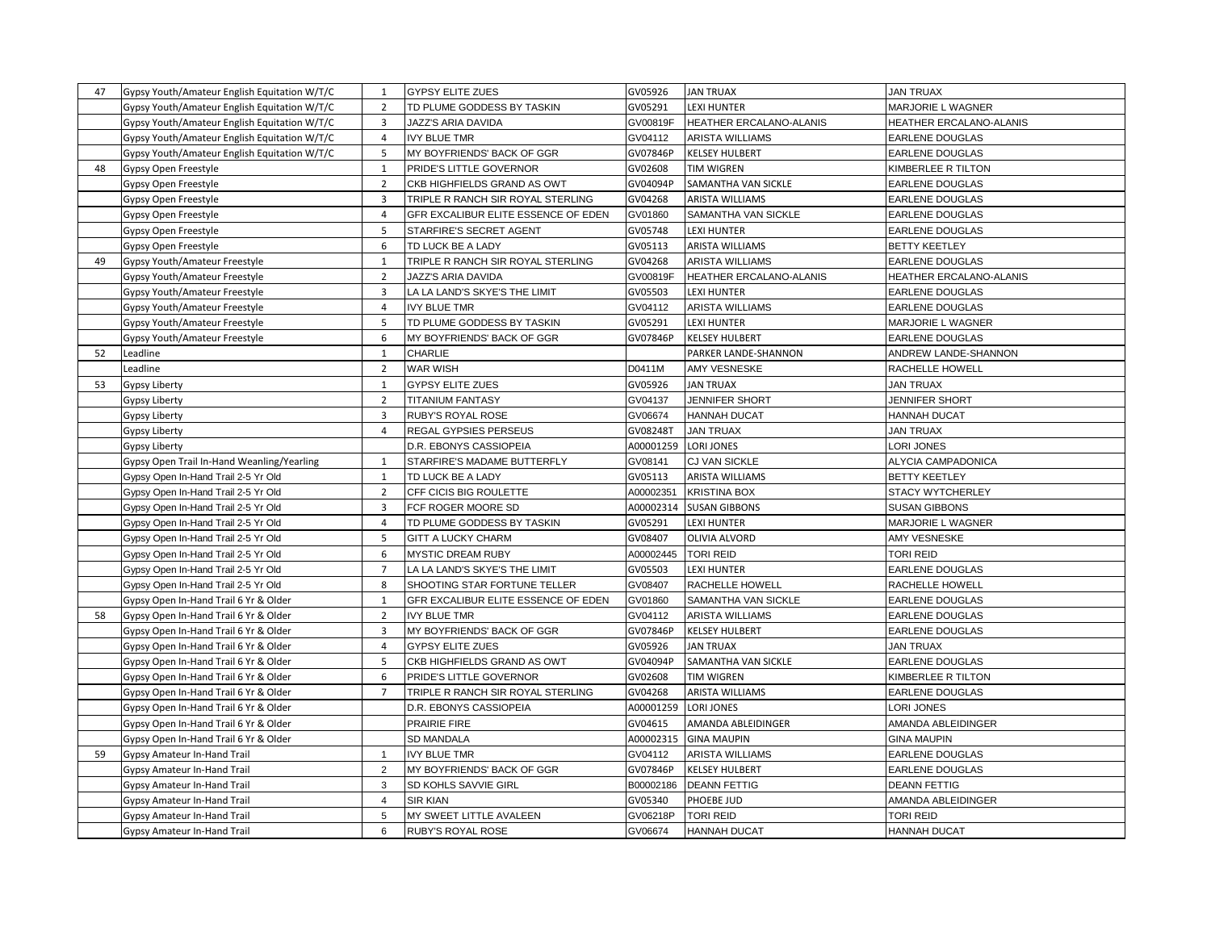| 47 | Gypsy Youth/Amateur English Equitation W/T/C | 1              | <b>GYPSY ELITE ZUES</b>             | GV05926   | <b>JAN TRUAX</b>        | <b>JAN TRUAX</b>        |
|----|----------------------------------------------|----------------|-------------------------------------|-----------|-------------------------|-------------------------|
|    | Gypsy Youth/Amateur English Equitation W/T/C | $\overline{2}$ | TD PLUME GODDESS BY TASKIN          | GV05291   | <b>LEXI HUNTER</b>      | MARJORIE L WAGNER       |
|    | Gypsy Youth/Amateur English Equitation W/T/C | 3              | JAZZ'S ARIA DAVIDA                  | GV00819F  | HEATHER ERCALANO-ALANIS | HEATHER ERCALANO-ALANIS |
|    | Gypsy Youth/Amateur English Equitation W/T/C | 4              | <b>IVY BLUE TMR</b>                 | GV04112   | ARISTA WILLIAMS         | <b>EARLENE DOUGLAS</b>  |
|    | Gypsy Youth/Amateur English Equitation W/T/C | 5              | MY BOYFRIENDS' BACK OF GGR          | GV07846P  | <b>KELSEY HULBERT</b>   | EARLENE DOUGLAS         |
| 48 | Gypsy Open Freestyle                         | $\mathbf{1}$   | PRIDE'S LITTLE GOVERNOR             | GV02608   | <b>TIM WIGREN</b>       | KIMBERLEE R TILTON      |
|    | Gypsy Open Freestyle                         | $\overline{2}$ | CKB HIGHFIELDS GRAND AS OWT         | GV04094P  | SAMANTHA VAN SICKLE     | EARLENE DOUGLAS         |
|    | Gypsy Open Freestyle                         | 3              | TRIPLE R RANCH SIR ROYAL STERLING   | GV04268   | ARISTA WILLIAMS         | <b>EARLENE DOUGLAS</b>  |
|    | Gypsy Open Freestyle                         | $\overline{4}$ | GFR EXCALIBUR ELITE ESSENCE OF EDEN | GV01860   | SAMANTHA VAN SICKLE     | EARLENE DOUGLAS         |
|    | Gypsy Open Freestyle                         | 5              | STARFIRE'S SECRET AGENT             | GV05748   | LEXI HUNTER             | <b>EARLENE DOUGLAS</b>  |
|    | Gypsy Open Freestyle                         | 6              | TD LUCK BE A LADY                   | GV05113   | ARISTA WILLIAMS         | <b>BETTY KEETLEY</b>    |
| 49 | Gypsy Youth/Amateur Freestyle                | $\mathbf{1}$   | TRIPLE R RANCH SIR ROYAL STERLING   | GV04268   | <b>ARISTA WILLIAMS</b>  | <b>EARLENE DOUGLAS</b>  |
|    | Gypsy Youth/Amateur Freestyle                | $\overline{2}$ | JAZZ'S ARIA DAVIDA                  | GV00819F  | HEATHER ERCALANO-ALANIS | HEATHER ERCALANO-ALANIS |
|    | Gypsy Youth/Amateur Freestyle                | 3              | LA LA LAND'S SKYE'S THE LIMIT       | GV05503   | <b>LEXI HUNTER</b>      | <b>EARLENE DOUGLAS</b>  |
|    | Gypsy Youth/Amateur Freestyle                | $\overline{4}$ | <b>IVY BLUE TMR</b>                 | GV04112   | ARISTA WILLIAMS         | <b>EARLENE DOUGLAS</b>  |
|    | Gypsy Youth/Amateur Freestyle                | 5              | TD PLUME GODDESS BY TASKIN          | GV05291   | <b>LEXI HUNTER</b>      | MARJORIE L WAGNER       |
|    | Gypsy Youth/Amateur Freestyle                | 6              | MY BOYFRIENDS' BACK OF GGR          | GV07846P  | <b>KELSEY HULBERT</b>   | <b>EARLENE DOUGLAS</b>  |
| 52 | Leadline                                     | $\mathbf{1}$   | <b>CHARLIE</b>                      |           | PARKER LANDE-SHANNON    | ANDREW LANDE-SHANNON    |
|    | Leadline                                     | $\overline{2}$ | <b>WAR WISH</b>                     | D0411M    | AMY VESNESKE            | RACHELLE HOWELL         |
| 53 | Gypsy Liberty                                | $\mathbf{1}$   | <b>GYPSY ELITE ZUES</b>             | GV05926   | <b>JAN TRUAX</b>        | <b>JAN TRUAX</b>        |
|    | Gypsy Liberty                                | $\overline{2}$ | <b>TITANIUM FANTASY</b>             | GV04137   | <b>JENNIFER SHORT</b>   | <b>JENNIFER SHORT</b>   |
|    | Gypsy Liberty                                | 3              | RUBY'S ROYAL ROSE                   | GV06674   | <b>HANNAH DUCAT</b>     | <b>HANNAH DUCAT</b>     |
|    | Gypsy Liberty                                | $\overline{4}$ | REGAL GYPSIES PERSEUS               | GV08248T  | <b>JAN TRUAX</b>        | <b>JAN TRUAX</b>        |
|    | Gypsy Liberty                                |                | D.R. EBONYS CASSIOPEIA              | A00001259 | LORI JONES              | LORI JONES              |
|    | Gypsy Open Trail In-Hand Weanling/Yearling   | $\mathbf{1}$   | STARFIRE'S MADAME BUTTERFLY         | GV08141   | CJ VAN SICKLE           | ALYCIA CAMPADONICA      |
|    | Gypsy Open In-Hand Trail 2-5 Yr Old          | $\mathbf{1}$   | TD LUCK BE A LADY                   | GV05113   | <b>ARISTA WILLIAMS</b>  | BETTY KEETLEY           |
|    | Gypsy Open In-Hand Trail 2-5 Yr Old          | $\overline{2}$ | CFF CICIS BIG ROULETTE              | A00002351 | <b>KRISTINA BOX</b>     | STACY WYTCHERLEY        |
|    | Gypsy Open In-Hand Trail 2-5 Yr Old          | 3              | FCF ROGER MOORE SD                  | A00002314 | <b>SUSAN GIBBONS</b>    | <b>SUSAN GIBBONS</b>    |
|    | Gypsy Open In-Hand Trail 2-5 Yr Old          | $\overline{4}$ | TD PLUME GODDESS BY TASKIN          | GV05291   | <b>LEXI HUNTER</b>      | MARJORIE L WAGNER       |
|    | Gypsy Open In-Hand Trail 2-5 Yr Old          | 5              | <b>GITT A LUCKY CHARM</b>           | GV08407   | OLIVIA ALVORD           | AMY VESNESKE            |
|    | Gypsy Open In-Hand Trail 2-5 Yr Old          | 6              | <b>MYSTIC DREAM RUBY</b>            | A00002445 | <b>TORI REID</b>        | <b>TORI REID</b>        |
|    | Gypsy Open In-Hand Trail 2-5 Yr Old          | $\overline{7}$ | LA LA LAND'S SKYE'S THE LIMIT       | GV05503   | LEXI HUNTER             | EARLENE DOUGLAS         |
|    | Gypsy Open In-Hand Trail 2-5 Yr Old          | 8              | SHOOTING STAR FORTUNE TELLER        | GV08407   | RACHELLE HOWELL         | RACHELLE HOWELL         |
|    | Gypsy Open In-Hand Trail 6 Yr & Older        | $\mathbf{1}$   | GFR EXCALIBUR ELITE ESSENCE OF EDEN | GV01860   | SAMANTHA VAN SICKLE     | <b>EARLENE DOUGLAS</b>  |
| 58 | Gypsy Open In-Hand Trail 6 Yr & Older        | $\overline{2}$ | <b>IVY BLUE TMR</b>                 | GV04112   | <b>ARISTA WILLIAMS</b>  | <b>EARLENE DOUGLAS</b>  |
|    | Gypsy Open In-Hand Trail 6 Yr & Older        | 3              | MY BOYFRIENDS' BACK OF GGR          | GV07846P  | KELSEY HULBERT          | <b>EARLENE DOUGLAS</b>  |
|    | Gypsy Open In-Hand Trail 6 Yr & Older        | $\overline{4}$ | <b>GYPSY ELITE ZUES</b>             | GV05926   | <b>JAN TRUAX</b>        | <b>JAN TRUAX</b>        |
|    | Gypsy Open In-Hand Trail 6 Yr & Older        | 5              | CKB HIGHFIELDS GRAND AS OWT         | GV04094P  | SAMANTHA VAN SICKLE     | <b>EARLENE DOUGLAS</b>  |
|    | Gypsy Open In-Hand Trail 6 Yr & Older        | 6              | PRIDE'S LITTLE GOVERNOR             | GV02608   | <b>TIM WIGREN</b>       | KIMBERLEE R TILTON      |
|    | Gypsy Open In-Hand Trail 6 Yr & Older        | $\overline{7}$ | TRIPLE R RANCH SIR ROYAL STERLING   | GV04268   | <b>ARISTA WILLIAMS</b>  | <b>EARLENE DOUGLAS</b>  |
|    | Gypsy Open In-Hand Trail 6 Yr & Older        |                | D.R. EBONYS CASSIOPEIA              | A00001259 | LORI JONES              | LORI JONES              |
|    | Gypsy Open In-Hand Trail 6 Yr & Older        |                | PRAIRIE FIRE                        | GV04615   | AMANDA ABLEIDINGER      | AMANDA ABLEIDINGER      |
|    | Gypsy Open In-Hand Trail 6 Yr & Older        |                | SD MANDALA                          | A00002315 | <b>GINA MAUPIN</b>      | <b>GINA MAUPIN</b>      |
| 59 | Gypsy Amateur In-Hand Trail                  | $\mathbf{1}$   | <b>IVY BLUE TMR</b>                 | GV04112   | ARISTA WILLIAMS         | <b>EARLENE DOUGLAS</b>  |
|    | Gypsy Amateur In-Hand Trail                  | $\overline{2}$ | MY BOYFRIENDS' BACK OF GGR          | GV07846P  | <b>KELSEY HULBERT</b>   | <b>EARLENE DOUGLAS</b>  |
|    | Gypsy Amateur In-Hand Trail                  | 3              | SD KOHLS SAVVIE GIRL                | B00002186 | <b>DEANN FETTIG</b>     | <b>DEANN FETTIG</b>     |
|    | Gypsy Amateur In-Hand Trail                  | $\overline{4}$ | <b>SIR KIAN</b>                     | GV05340   | PHOEBE JUD              | AMANDA ABLEIDINGER      |
|    | Gypsy Amateur In-Hand Trail                  | 5              | MY SWEET LITTLE AVALEEN             | GV06218P  | <b>TORI REID</b>        | <b>TORI REID</b>        |
|    | Gypsy Amateur In-Hand Trail                  | 6              | RUBY'S ROYAL ROSE                   | GV06674   | <b>HANNAH DUCAT</b>     | <b>HANNAH DUCAT</b>     |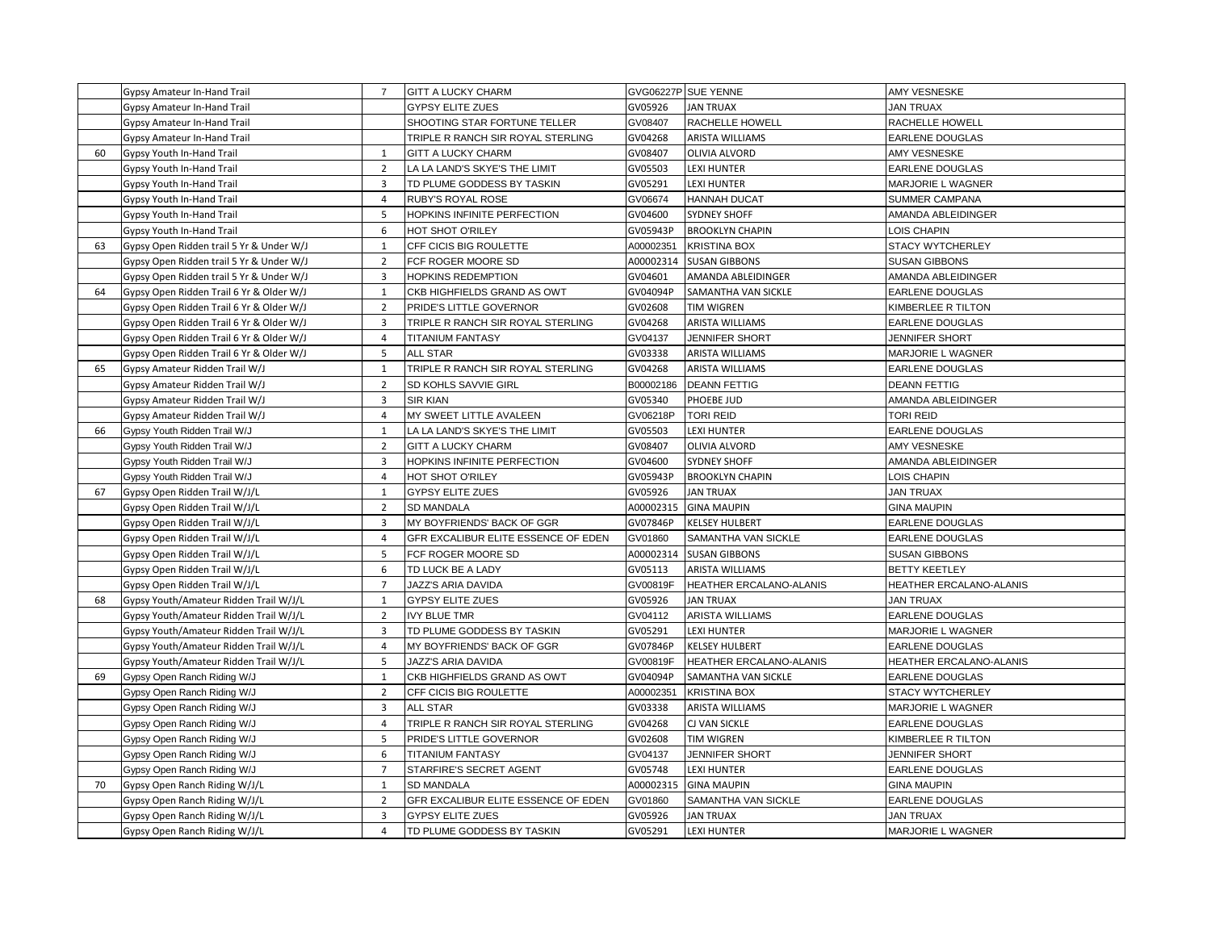|    | Gypsy Amateur In-Hand Trail              | $\overline{7}$ | <b>GITT A LUCKY CHARM</b>           |           | GVG06227P SUE YENNE     | AMY VESNESKE              |
|----|------------------------------------------|----------------|-------------------------------------|-----------|-------------------------|---------------------------|
|    | <b>Gypsy Amateur In-Hand Trail</b>       |                | <b>GYPSY ELITE ZUES</b>             | GV05926   | <b>JAN TRUAX</b>        | <b>JAN TRUAX</b>          |
|    | Gypsy Amateur In-Hand Trail              |                | SHOOTING STAR FORTUNE TELLER        | GV08407   | RACHELLE HOWELL         | RACHELLE HOWELL           |
|    | Gypsy Amateur In-Hand Trail              |                | TRIPLE R RANCH SIR ROYAL STERLING   | GV04268   | <b>ARISTA WILLIAMS</b>  | <b>EARLENE DOUGLAS</b>    |
| 60 | Gypsy Youth In-Hand Trail                | $\mathbf{1}$   | <b>GITT A LUCKY CHARM</b>           | GV08407   | OLIVIA ALVORD           | AMY VESNESKE              |
|    | Gypsy Youth In-Hand Trail                | $\overline{2}$ | LA LA LAND'S SKYE'S THE LIMIT       | GV05503   | <b>LEXI HUNTER</b>      | <b>EARLENE DOUGLAS</b>    |
|    | Gypsy Youth In-Hand Trail                | 3              | TD PLUME GODDESS BY TASKIN          | GV05291   | LEXI HUNTER             | MARJORIE L WAGNER         |
|    | Gypsy Youth In-Hand Trail                | 4              | RUBY'S ROYAL ROSE                   | GV06674   | <b>HANNAH DUCAT</b>     | SUMMER CAMPANA            |
|    | Gypsy Youth In-Hand Trail                | 5              | HOPKINS INFINITE PERFECTION         | GV04600   | <b>SYDNEY SHOFF</b>     | AMANDA ABLEIDINGER        |
|    | Gypsy Youth In-Hand Trail                | 6              | HOT SHOT O'RILEY                    | GV05943P  | <b>BROOKLYN CHAPIN</b>  | LOIS CHAPIN               |
| 63 | Gypsy Open Ridden trail 5 Yr & Under W/J | 1              | CFF CICIS BIG ROULETTE              | A00002351 | <b>KRISTINA BOX</b>     | <b>STACY WYTCHERLEY</b>   |
|    | Gypsy Open Ridden trail 5 Yr & Under W/J | $\overline{2}$ | FCF ROGER MOORE SD                  |           | A00002314 SUSAN GIBBONS | <b>SUSAN GIBBONS</b>      |
|    | Gypsy Open Ridden trail 5 Yr & Under W/J | $\overline{3}$ | HOPKINS REDEMPTION                  | GV04601   | AMANDA ABLEIDINGER      | AMANDA ABLEIDINGER        |
| 64 | Gypsy Open Ridden Trail 6 Yr & Older W/J | $\mathbf{1}$   | CKB HIGHFIELDS GRAND AS OWT         | GV04094P  | SAMANTHA VAN SICKLE     | EARLENE DOUGLAS           |
|    | Gypsy Open Ridden Trail 6 Yr & Older W/J | $\overline{2}$ | PRIDE'S LITTLE GOVERNOR             | GV02608   | <b>TIM WIGREN</b>       | <b>KIMBERLEE R TILTON</b> |
|    | Gypsy Open Ridden Trail 6 Yr & Older W/J | 3              | TRIPLE R RANCH SIR ROYAL STERLING   | GV04268   | <b>ARISTA WILLIAMS</b>  | EARLENE DOUGLAS           |
|    | Gypsy Open Ridden Trail 6 Yr & Older W/J | 4              | <b>TITANIUM FANTASY</b>             | GV04137   | <b>JENNIFER SHORT</b>   | <b>JENNIFER SHORT</b>     |
|    | Gypsy Open Ridden Trail 6 Yr & Older W/J | 5              | <b>ALL STAR</b>                     | GV03338   | <b>ARISTA WILLIAMS</b>  | MARJORIE L WAGNER         |
| 65 | Gypsy Amateur Ridden Trail W/J           | 1              | TRIPLE R RANCH SIR ROYAL STERLING   | GV04268   | <b>ARISTA WILLIAMS</b>  | <b>EARLENE DOUGLAS</b>    |
|    | Gypsy Amateur Ridden Trail W/J           | $\overline{2}$ | SD KOHLS SAVVIE GIRL                | B00002186 | <b>DEANN FETTIG</b>     | <b>DEANN FETTIG</b>       |
|    | Gypsy Amateur Ridden Trail W/J           | $\overline{3}$ | <b>SIR KIAN</b>                     | GV05340   | PHOEBE JUD              | AMANDA ABLEIDINGER        |
|    | Gypsy Amateur Ridden Trail W/J           | 4              | MY SWEET LITTLE AVALEEN             | GV06218P  | <b>TORI REID</b>        | <b>TORI REID</b>          |
| 66 | Gypsy Youth Ridden Trail W/J             | $\mathbf{1}$   | LA LA LAND'S SKYE'S THE LIMIT       | GV05503   | <b>LEXI HUNTER</b>      | <b>EARLENE DOUGLAS</b>    |
|    | Gypsy Youth Ridden Trail W/J             | $\overline{2}$ | <b>GITT A LUCKY CHARM</b>           | GV08407   | OLIVIA ALVORD           | AMY VESNESKE              |
|    | Gypsy Youth Ridden Trail W/J             | 3              | HOPKINS INFINITE PERFECTION         | GV04600   | <b>SYDNEY SHOFF</b>     | AMANDA ABLEIDINGER        |
|    | Gypsy Youth Ridden Trail W/J             | 4              | HOT SHOT O'RILEY                    | GV05943P  | <b>BROOKLYN CHAPIN</b>  | LOIS CHAPIN               |
| 67 | Gypsy Open Ridden Trail W/J/L            | $\mathbf{1}$   | GYPSY ELITE ZUES                    | GV05926   | <b>JAN TRUAX</b>        | <b>JAN TRUAX</b>          |
|    | Gypsy Open Ridden Trail W/J/L            | $\overline{2}$ | <b>SD MANDALA</b>                   |           | A00002315 GINA MAUPIN   | <b>GINA MAUPIN</b>        |
|    | Gypsy Open Ridden Trail W/J/L            | 3              | MY BOYFRIENDS' BACK OF GGR          | GV07846P  | <b>KELSEY HULBERT</b>   | <b>EARLENE DOUGLAS</b>    |
|    | Gypsy Open Ridden Trail W/J/L            | $\overline{4}$ | GFR EXCALIBUR ELITE ESSENCE OF EDEN | GV01860   | SAMANTHA VAN SICKLE     | <b>EARLENE DOUGLAS</b>    |
|    | Gypsy Open Ridden Trail W/J/L            | 5              | FCF ROGER MOORE SD                  |           | A00002314 SUSAN GIBBONS | <b>SUSAN GIBBONS</b>      |
|    | Gypsy Open Ridden Trail W/J/L            | 6              | TD LUCK BE A LADY                   | GV05113   | <b>ARISTA WILLIAMS</b>  | <b>BETTY KEETLEY</b>      |
|    | Gypsy Open Ridden Trail W/J/L            | $\overline{7}$ | JAZZ'S ARIA DAVIDA                  | GV00819F  | HEATHER ERCALANO-ALANIS | HEATHER ERCALANO-ALANIS   |
| 68 | Gypsy Youth/Amateur Ridden Trail W/J/L   | 1              | GYPSY ELITE ZUES                    | GV05926   | <b>JAN TRUAX</b>        | <b>JAN TRUAX</b>          |
|    | Gypsy Youth/Amateur Ridden Trail W/J/L   | 2              | <b>IVY BLUE TMR</b>                 | GV04112   | ARISTA WILLIAMS         | EARLENE DOUGLAS           |
|    | Gypsy Youth/Amateur Ridden Trail W/J/L   | 3              | TD PLUME GODDESS BY TASKIN          | GV05291   | <b>LEXI HUNTER</b>      | MARJORIE L WAGNER         |
|    | Gypsy Youth/Amateur Ridden Trail W/J/L   | $\overline{4}$ | MY BOYFRIENDS' BACK OF GGR          | GV07846P  | <b>KELSEY HULBERT</b>   | <b>EARLENE DOUGLAS</b>    |
|    | Gypsy Youth/Amateur Ridden Trail W/J/L   | 5              | JAZZ'S ARIA DAVIDA                  | GV00819F  | HEATHER ERCALANO-ALANIS | HEATHER ERCALANO-ALANIS   |
| 69 | Gypsy Open Ranch Riding W/J              | $\mathbf{1}$   | CKB HIGHFIELDS GRAND AS OWT         | GV04094P  | SAMANTHA VAN SICKLE     | <b>EARLENE DOUGLAS</b>    |
|    | Gypsy Open Ranch Riding W/J              | $\overline{2}$ | CFF CICIS BIG ROULETTE              | A00002351 | <b>KRISTINA BOX</b>     | <b>STACY WYTCHERLEY</b>   |
|    | Gypsy Open Ranch Riding W/J              | 3              | <b>ALL STAR</b>                     | GV03338   | ARISTA WILLIAMS         | MARJORIE L WAGNER         |
|    | Gypsy Open Ranch Riding W/J              | 4              | TRIPLE R RANCH SIR ROYAL STERLING   | GV04268   | CJ VAN SICKLE           | <b>EARLENE DOUGLAS</b>    |
|    | Gypsy Open Ranch Riding W/J              | 5              | PRIDE'S LITTLE GOVERNOR             | GV02608   | <b>TIM WIGREN</b>       | KIMBERLEE R TILTON        |
|    | Gypsy Open Ranch Riding W/J              | 6              | TITANIUM FANTASY                    | GV04137   | JENNIFER SHORT          | <b>JENNIFER SHORT</b>     |
|    | Gypsy Open Ranch Riding W/J              | $\overline{7}$ | STARFIRE'S SECRET AGENT             | GV05748   | <b>LEXI HUNTER</b>      | <b>EARLENE DOUGLAS</b>    |
| 70 | Gypsy Open Ranch Riding W/J/L            | 1              | SD MANDALA                          |           | A00002315 GINA MAUPIN   | <b>GINA MAUPIN</b>        |
|    | Gypsy Open Ranch Riding W/J/L            | 2              | GFR EXCALIBUR ELITE ESSENCE OF EDEN | GV01860   | SAMANTHA VAN SICKLE     | EARLENE DOUGLAS           |
|    | Gypsy Open Ranch Riding W/J/L            | $\overline{3}$ | <b>GYPSY ELITE ZUES</b>             | GV05926   | <b>JAN TRUAX</b>        | <b>JAN TRUAX</b>          |
|    | Gypsy Open Ranch Riding W/J/L            | $\overline{4}$ | TD PLUME GODDESS BY TASKIN          | GV05291   | <b>LEXI HUNTER</b>      | MARJORIE L WAGNER         |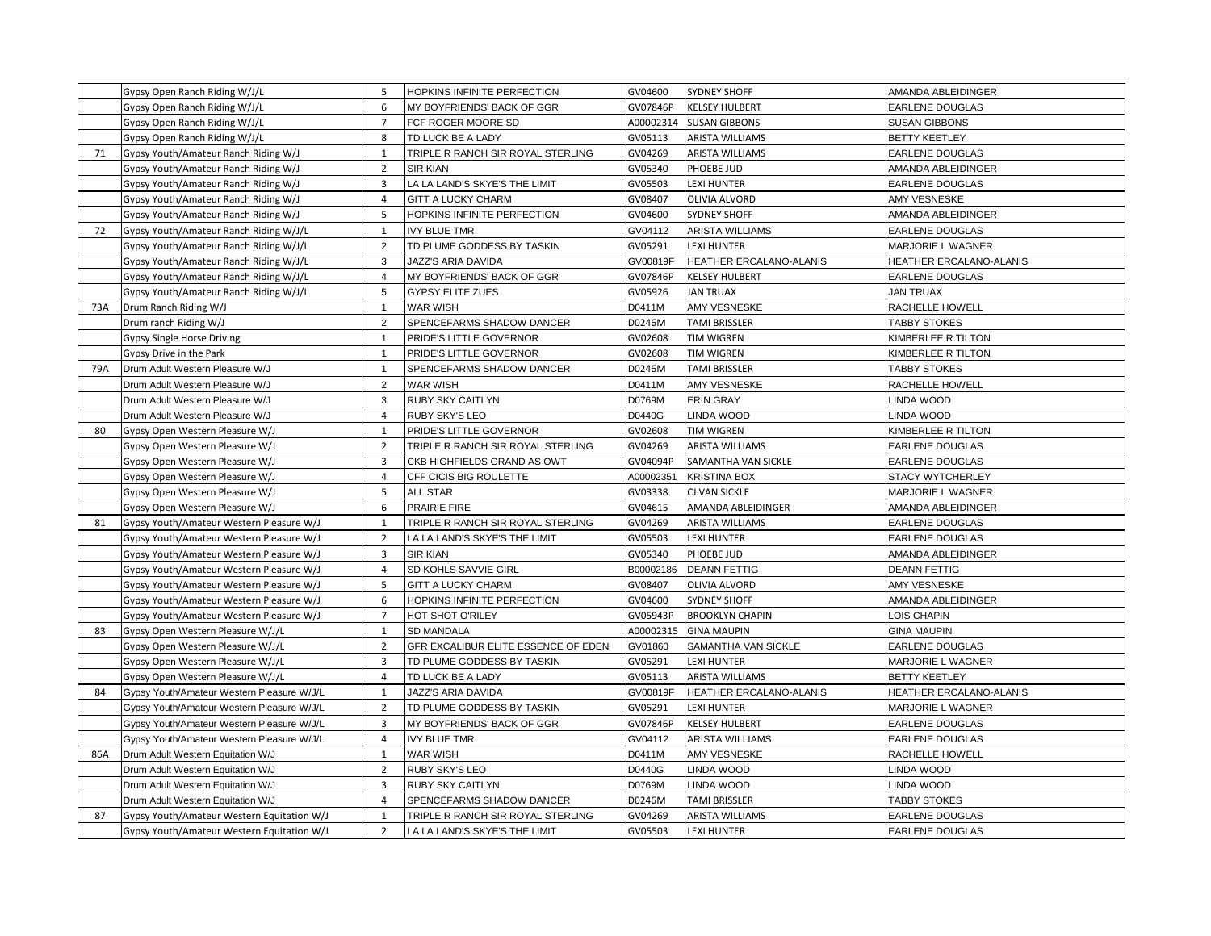|     | Gypsy Open Ranch Riding W/J/L              | 5              | HOPKINS INFINITE PERFECTION         | GV04600   | <b>SYDNEY SHOFF</b>     | AMANDA ABLEIDINGER      |
|-----|--------------------------------------------|----------------|-------------------------------------|-----------|-------------------------|-------------------------|
|     | Gypsy Open Ranch Riding W/J/L              | 6              | MY BOYFRIENDS' BACK OF GGR          | GV07846P  | KELSEY HULBERT          | <b>EARLENE DOUGLAS</b>  |
|     | Gypsy Open Ranch Riding W/J/L              | $\overline{7}$ | FCF ROGER MOORE SD                  | A00002314 | <b>SUSAN GIBBONS</b>    | <b>SUSAN GIBBONS</b>    |
|     | Gypsy Open Ranch Riding W/J/L              | 8              | TD LUCK BE A LADY                   | GV05113   | <b>ARISTA WILLIAMS</b>  | <b>BETTY KEETLEY</b>    |
| 71  | Gypsy Youth/Amateur Ranch Riding W/J       | 1              | TRIPLE R RANCH SIR ROYAL STERLING   | GV04269   | ARISTA WILLIAMS         | EARLENE DOUGLAS         |
|     | Gypsy Youth/Amateur Ranch Riding W/J       | $\overline{2}$ | <b>SIR KIAN</b>                     | GV05340   | PHOEBE JUD              | AMANDA ABLEIDINGER      |
|     | Gypsy Youth/Amateur Ranch Riding W/J       | 3              | LA LA LAND'S SKYE'S THE LIMIT       | GV05503   | <b>LEXI HUNTER</b>      | <b>EARLENE DOUGLAS</b>  |
|     | Gypsy Youth/Amateur Ranch Riding W/J       | $\overline{4}$ | <b>GITT A LUCKY CHARM</b>           | GV08407   | OLIVIA ALVORD           | AMY VESNESKE            |
|     | Gypsy Youth/Amateur Ranch Riding W/J       | 5              | HOPKINS INFINITE PERFECTION         | GV04600   | <b>SYDNEY SHOFF</b>     | AMANDA ABLEIDINGER      |
| 72  | Gypsy Youth/Amateur Ranch Riding W/J/L     | $\mathbf{1}$   | <b>IVY BLUE TMR</b>                 | GV04112   | ARISTA WILLIAMS         | <b>EARLENE DOUGLAS</b>  |
|     | Gypsy Youth/Amateur Ranch Riding W/J/L     | $\overline{2}$ | TD PLUME GODDESS BY TASKIN          | GV05291   | LEXI HUNTER             | MARJORIE L WAGNER       |
|     | Gypsy Youth/Amateur Ranch Riding W/J/L     | 3              | JAZZ'S ARIA DAVIDA                  | GV00819F  | HEATHER ERCALANO-ALANIS | HEATHER ERCALANO-ALANIS |
|     | Gypsy Youth/Amateur Ranch Riding W/J/L     | $\overline{4}$ | MY BOYFRIENDS' BACK OF GGR          | GV07846P  | <b>KELSEY HULBERT</b>   | <b>EARLENE DOUGLAS</b>  |
|     | Gypsy Youth/Amateur Ranch Riding W/J/L     | 5              | <b>GYPSY ELITE ZUES</b>             | GV05926   | <b>JAN TRUAX</b>        | <b>JAN TRUAX</b>        |
| 73A | Drum Ranch Riding W/J                      | $\mathbf{1}$   | <b>WAR WISH</b>                     | D0411M    | AMY VESNESKE            | RACHELLE HOWELL         |
|     | Drum ranch Riding W/J                      | $\overline{2}$ | SPENCEFARMS SHADOW DANCER           | D0246M    | TAMI BRISSLER           | <b>TABBY STOKES</b>     |
|     | Gypsy Single Horse Driving                 | $\overline{1}$ | PRIDE'S LITTLE GOVERNOR             | GV02608   | TIM WIGREN              | KIMBERLEE R TILTON      |
|     | Gypsy Drive in the Park                    | $\overline{1}$ | PRIDE'S LITTLE GOVERNOR             | GV02608   | TIM WIGREN              | KIMBERLEE R TILTON      |
| 79A | Drum Adult Western Pleasure W/J            | $\overline{1}$ | SPENCEFARMS SHADOW DANCER           | D0246M    | <b>TAMI BRISSLER</b>    | <b>TABBY STOKES</b>     |
|     | Drum Adult Western Pleasure W/J            | $\overline{2}$ | <b>WAR WISH</b>                     | D0411M    | AMY VESNESKE            | RACHELLE HOWELL         |
|     | Drum Adult Western Pleasure W/J            | 3              | <b>RUBY SKY CAITLYN</b>             | D0769M    | <b>ERIN GRAY</b>        | LINDA WOOD              |
|     | Drum Adult Western Pleasure W/J            | $\overline{4}$ | RUBY SKY'S LEO                      | D0440G    | LINDA WOOD              | LINDA WOOD              |
| 80  | Gypsy Open Western Pleasure W/J            | $\mathbf{1}$   | PRIDE'S LITTLE GOVERNOR             | GV02608   | <b>TIM WIGREN</b>       | KIMBERLEE R TILTON      |
|     | Gypsy Open Western Pleasure W/J            | $\overline{2}$ | TRIPLE R RANCH SIR ROYAL STERLING   | GV04269   | ARISTA WILLIAMS         | EARLENE DOUGLAS         |
|     | Gypsy Open Western Pleasure W/J            | 3              | CKB HIGHFIELDS GRAND AS OWT         | GV04094P  | SAMANTHA VAN SICKLE     | <b>EARLENE DOUGLAS</b>  |
|     | Gypsy Open Western Pleasure W/J            | 4              | CFF CICIS BIG ROULETTE              | A00002351 | <b>KRISTINA BOX</b>     | STACY WYTCHERLEY        |
|     | Gypsy Open Western Pleasure W/J            | 5              | <b>ALL STAR</b>                     | GV03338   | CJ VAN SICKLE           | MARJORIE L WAGNER       |
|     | Gypsy Open Western Pleasure W/J            | 6              | <b>PRAIRIE FIRE</b>                 | GV04615   | AMANDA ABLEIDINGER      | AMANDA ABLEIDINGER      |
| 81  | Gypsy Youth/Amateur Western Pleasure W/J   | 1              | TRIPLE R RANCH SIR ROYAL STERLING   | GV04269   | ARISTA WILLIAMS         | <b>EARLENE DOUGLAS</b>  |
|     | Gypsy Youth/Amateur Western Pleasure W/J   | $\overline{2}$ | LA LA LAND'S SKYE'S THE LIMIT       | GV05503   | <b>LEXI HUNTER</b>      | <b>EARLENE DOUGLAS</b>  |
|     | Gypsy Youth/Amateur Western Pleasure W/J   | $\overline{3}$ | <b>SIR KIAN</b>                     | GV05340   | PHOEBE JUD              | AMANDA ABLEIDINGER      |
|     | Gypsy Youth/Amateur Western Pleasure W/J   | $\overline{4}$ | SD KOHLS SAVVIE GIRL                | B00002186 | <b>DEANN FETTIG</b>     | <b>DEANN FETTIG</b>     |
|     | Gypsy Youth/Amateur Western Pleasure W/J   | 5              | <b>GITT A LUCKY CHARM</b>           | GV08407   | OLIVIA ALVORD           | AMY VESNESKE            |
|     | Gypsy Youth/Amateur Western Pleasure W/J   | 6              | HOPKINS INFINITE PERFECTION         | GV04600   | <b>SYDNEY SHOFF</b>     | AMANDA ABLEIDINGER      |
|     | Gypsy Youth/Amateur Western Pleasure W/J   | $\overline{7}$ | HOT SHOT O'RILEY                    | GV05943P  | <b>BROOKLYN CHAPIN</b>  | LOIS CHAPIN             |
| 83  | Gypsy Open Western Pleasure W/J/L          | $\mathbf{1}$   | <b>SD MANDALA</b>                   | A00002315 | <b>GINA MAUPIN</b>      | <b>GINA MAUPIN</b>      |
|     | Gypsy Open Western Pleasure W/J/L          | $\overline{2}$ | GFR EXCALIBUR ELITE ESSENCE OF EDEN | GV01860   | SAMANTHA VAN SICKLE     | <b>EARLENE DOUGLAS</b>  |
|     | Gypsy Open Western Pleasure W/J/L          | 3              | TD PLUME GODDESS BY TASKIN          | GV05291   | <b>LEXI HUNTER</b>      | MARJORIE L WAGNER       |
|     | Gypsy Open Western Pleasure W/J/L          | $\overline{4}$ | TD LUCK BE A LADY                   | GV05113   | <b>ARISTA WILLIAMS</b>  | <b>BETTY KEETLEY</b>    |
| 84  | Gypsy Youth/Amateur Western Pleasure W/J/L | $\mathbf{1}$   | JAZZ'S ARIA DAVIDA                  | GV00819F  | HEATHER ERCALANO-ALANIS | HEATHER ERCALANO-ALANIS |
|     | Gypsy Youth/Amateur Western Pleasure W/J/L | $\overline{2}$ | TD PLUME GODDESS BY TASKIN          | GV05291   | LEXI HUNTER             | MARJORIE L WAGNER       |
|     | Gypsy Youth/Amateur Western Pleasure W/J/L | 3              | MY BOYFRIENDS' BACK OF GGR          | GV07846P  | <b>KELSEY HULBERT</b>   | <b>EARLENE DOUGLAS</b>  |
|     | Gypsy Youth/Amateur Western Pleasure W/J/L | 4              | <b>IVY BLUE TMR</b>                 | GV04112   | ARISTA WILLIAMS         | EARLENE DOUGLAS         |
| 86A | Drum Adult Western Equitation W/J          | $\mathbf{1}$   | WAR WISH                            | D0411M    | AMY VESNESKE            | RACHELLE HOWELL         |
|     | Drum Adult Western Equitation W/J          | $\overline{2}$ | RUBY SKY'S LEO                      | D0440G    | LINDA WOOD              | LINDA WOOD              |
|     | Drum Adult Western Equitation W/J          | 3              | RUBY SKY CAITLYN                    | D0769M    | LINDA WOOD              | LINDA WOOD              |
|     | Drum Adult Western Equitation W/J          | 4              | SPENCEFARMS SHADOW DANCER           | D0246M    | TAMI BRISSLER           | <b>TABBY STOKES</b>     |
| 87  | Gypsy Youth/Amateur Western Equitation W/J | $\mathbf{1}$   | TRIPLE R RANCH SIR ROYAL STERLING   | GV04269   | <b>ARISTA WILLIAMS</b>  | <b>EARLENE DOUGLAS</b>  |
|     | Gypsy Youth/Amateur Western Equitation W/J | $\overline{2}$ | LA LA LAND'S SKYE'S THE LIMIT       | GV05503   | <b>LEXI HUNTER</b>      | <b>EARLENE DOUGLAS</b>  |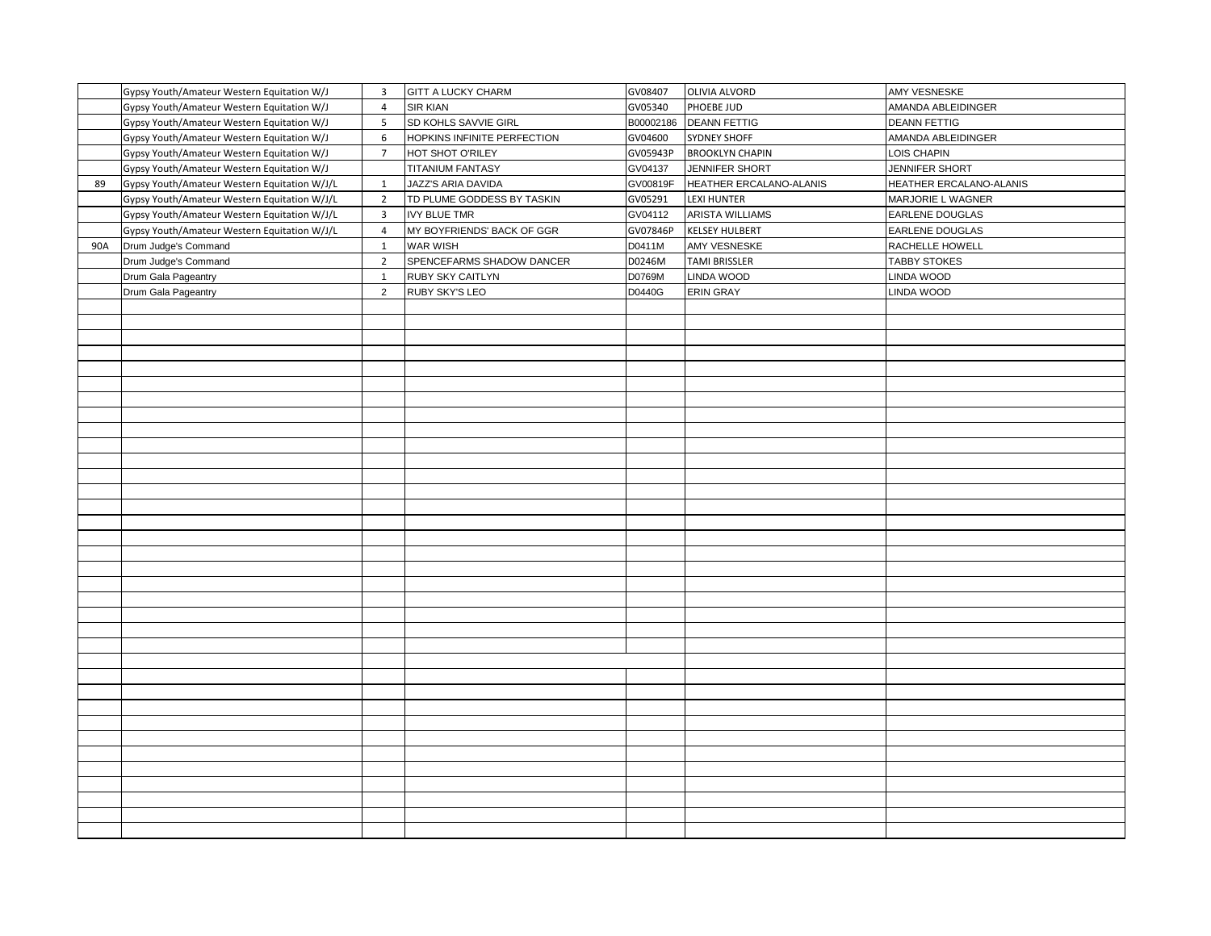|     | Gypsy Youth/Amateur Western Equitation W/J   | 3              | <b>GITT A LUCKY CHARM</b>   | GV08407   | OLIVIA ALVORD           | <b>AMY VESNESKE</b>     |
|-----|----------------------------------------------|----------------|-----------------------------|-----------|-------------------------|-------------------------|
|     | Gypsy Youth/Amateur Western Equitation W/J   | $\overline{4}$ | <b>SIR KIAN</b>             | GV05340   | PHOEBE JUD              | AMANDA ABLEIDINGER      |
|     | Gypsy Youth/Amateur Western Equitation W/J   | 5              | SD KOHLS SAVVIE GIRL        | B00002186 | <b>DEANN FETTIG</b>     | <b>DEANN FETTIG</b>     |
|     | Gypsy Youth/Amateur Western Equitation W/J   | 6              | HOPKINS INFINITE PERFECTION | GV04600   | <b>SYDNEY SHOFF</b>     | AMANDA ABLEIDINGER      |
|     | Gypsy Youth/Amateur Western Equitation W/J   | $\overline{7}$ | HOT SHOT O'RILEY            | GV05943P  | <b>BROOKLYN CHAPIN</b>  | LOIS CHAPIN             |
|     | Gypsy Youth/Amateur Western Equitation W/J   |                | TITANIUM FANTASY            | GV04137   | <b>JENNIFER SHORT</b>   | JENNIFER SHORT          |
| 89  | Gypsy Youth/Amateur Western Equitation W/J/L | $\mathbf{1}$   | JAZZ'S ARIA DAVIDA          | GV00819F  | HEATHER ERCALANO-ALANIS | HEATHER ERCALANO-ALANIS |
|     | Gypsy Youth/Amateur Western Equitation W/J/L | $2^{\circ}$    | TD PLUME GODDESS BY TASKIN  | GV05291   | <b>LEXI HUNTER</b>      | MARJORIE L WAGNER       |
|     | Gypsy Youth/Amateur Western Equitation W/J/L | $\overline{3}$ | <b>IVY BLUE TMR</b>         | GV04112   | ARISTA WILLIAMS         | EARLENE DOUGLAS         |
|     | Gypsy Youth/Amateur Western Equitation W/J/L | $\overline{4}$ | MY BOYFRIENDS' BACK OF GGR  | GV07846P  | <b>KELSEY HULBERT</b>   | EARLENE DOUGLAS         |
| 90A | Drum Judge's Command                         | 1              | <b>WAR WISH</b>             | D0411M    | AMY VESNESKE            | RACHELLE HOWELL         |
|     | Drum Judge's Command                         | $\overline{2}$ | SPENCEFARMS SHADOW DANCER   | D0246M    | <b>TAMI BRISSLER</b>    | <b>TABBY STOKES</b>     |
|     | Drum Gala Pageantry                          | $\overline{1}$ | <b>RUBY SKY CAITLYN</b>     | D0769M    | LINDA WOOD              | LINDA WOOD              |
|     | Drum Gala Pageantry                          | $\overline{2}$ | RUBY SKY'S LEO              | D0440G    | <b>ERIN GRAY</b>        | LINDA WOOD              |
|     |                                              |                |                             |           |                         |                         |
|     |                                              |                |                             |           |                         |                         |
|     |                                              |                |                             |           |                         |                         |
|     |                                              |                |                             |           |                         |                         |
|     |                                              |                |                             |           |                         |                         |
|     |                                              |                |                             |           |                         |                         |
|     |                                              |                |                             |           |                         |                         |
|     |                                              |                |                             |           |                         |                         |
|     |                                              |                |                             |           |                         |                         |
|     |                                              |                |                             |           |                         |                         |
|     |                                              |                |                             |           |                         |                         |
|     |                                              |                |                             |           |                         |                         |
|     |                                              |                |                             |           |                         |                         |
|     |                                              |                |                             |           |                         |                         |
|     |                                              |                |                             |           |                         |                         |
|     |                                              |                |                             |           |                         |                         |
|     |                                              |                |                             |           |                         |                         |
|     |                                              |                |                             |           |                         |                         |
|     |                                              |                |                             |           |                         |                         |
|     |                                              |                |                             |           |                         |                         |
|     |                                              |                |                             |           |                         |                         |
|     |                                              |                |                             |           |                         |                         |
|     |                                              |                |                             |           |                         |                         |
|     |                                              |                |                             |           |                         |                         |
|     |                                              |                |                             |           |                         |                         |
|     |                                              |                |                             |           |                         |                         |
|     |                                              |                |                             |           |                         |                         |
|     |                                              |                |                             |           |                         |                         |
|     |                                              |                |                             |           |                         |                         |
|     |                                              |                |                             |           |                         |                         |
|     |                                              |                |                             |           |                         |                         |
|     |                                              |                |                             |           |                         |                         |
|     |                                              |                |                             |           |                         |                         |
|     |                                              |                |                             |           |                         |                         |
|     |                                              |                |                             |           |                         |                         |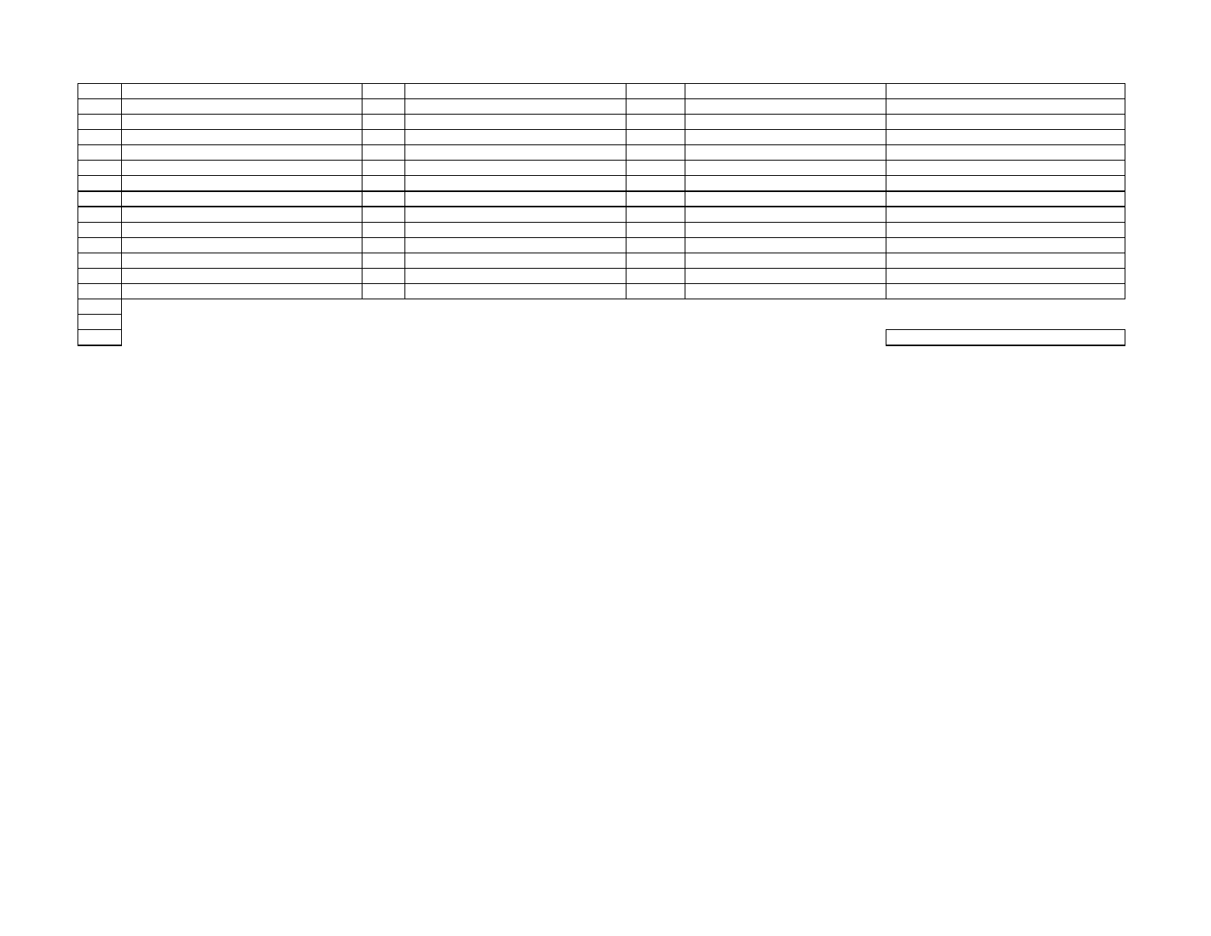$\overline{\phantom{a}}$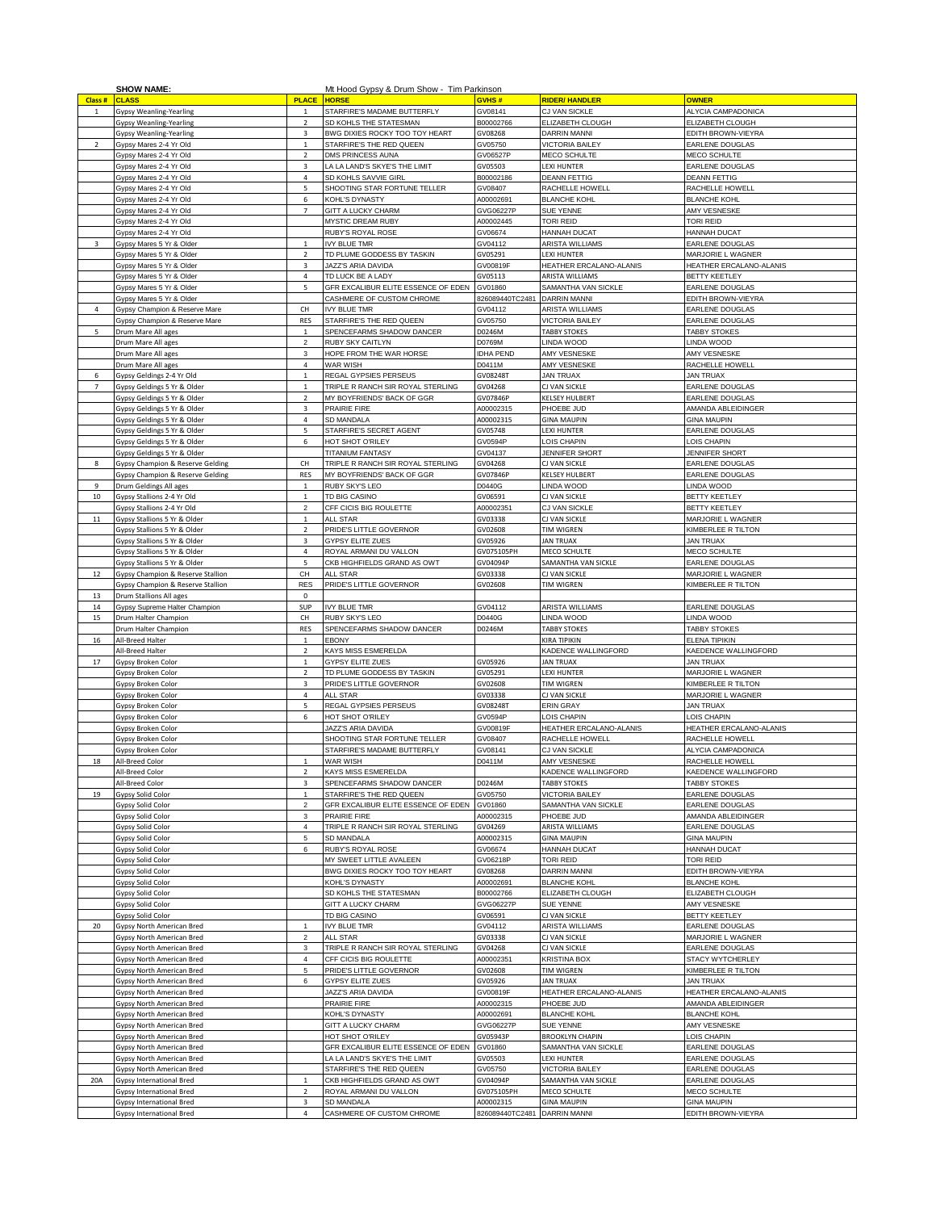|                | <b>SHOW NAME:</b>                                    |                                           | Mt Hood Gypsy & Drum Show - Tim Parkinson          |                              |                                           |                                          |
|----------------|------------------------------------------------------|-------------------------------------------|----------------------------------------------------|------------------------------|-------------------------------------------|------------------------------------------|
| Class #        | <b>CLASS</b>                                         | <b>PLACE</b>                              | <b>HORSE</b>                                       | GVHS#                        | <b>RIDER/ HANDLER</b>                     | <b>OWNER</b>                             |
| $\mathbf{1}$   | <b>Gypsy Weanling-Yearling</b>                       | $\mathbf{1}$                              | STARFIRE'S MADAME BUTTERFLY                        | GV08141                      | CJ VAN SICKLE                             | ALYCIA CAMPADONICA                       |
|                | Gypsy Weanling-Yearling                              | $\overline{\mathbf{2}}$                   | SD KOHLS THE STATESMAN                             | B00002766                    | ELIZABETH CLOUGH                          | ELIZABETH CLOUGH                         |
|                | Gypsy Weanling-Yearling                              | $\mathsf 3$                               | BWG DIXIES ROCKY TOO TOY HEART                     | GV08268                      | <b>DARRIN MANNI</b>                       | EDITH BROWN-VIEYRA                       |
| $\overline{2}$ | Gypsy Mares 2-4 Yr Old                               | $\mathbf 1$                               | STARFIRE'S THE RED QUEEN                           | GV05750                      | <b>VICTORIA BAILEY</b>                    | EARLENE DOUGLAS                          |
|                | Gypsy Mares 2-4 Yr Old                               | $\overline{2}$                            | DMS PRINCESS AUNA                                  | GV06527P                     | MECO SCHULTE                              | MECO SCHULTE                             |
|                | Gypsy Mares 2-4 Yr Old                               | 3                                         | LA LA LAND'S SKYE'S THE LIMIT                      | GV05503                      | <b>LEXI HUNTER</b>                        | EARLENE DOUGLAS                          |
|                | Gypsy Mares 2-4 Yr Old                               | 4                                         | SD KOHLS SAVVIE GIRL                               | B00002186                    | <b>DEANN FETTIG</b>                       | <b>DEANN FETTIG</b>                      |
|                | Gypsy Mares 2-4 Yr Old                               | 5                                         | SHOOTING STAR FORTUNE TELLER                       | GV08407                      | RACHELLE HOWELL                           | RACHELLE HOWELL                          |
|                | Gypsy Mares 2-4 Yr Old                               | 6                                         | KOHL'S DYNASTY                                     | A00002691                    | <b>BLANCHE KOHL</b>                       | <b>BLANCHE KOHL</b>                      |
|                | Gypsy Mares 2-4 Yr Old                               | $\overline{7}$                            | <b>GITT A LUCKY CHARM</b>                          | GVG06227P                    | <b>SUE YENNE</b>                          | AMY VESNESKE                             |
|                | Gypsy Mares 2-4 Yr Old                               |                                           | MYSTIC DREAM RUBY                                  | A00002445                    | <b>TORI REID</b>                          | TORI REID                                |
|                | Gypsy Mares 2-4 Yr Old                               |                                           | RUBY'S ROYAL ROSE                                  | GV06674                      | <b>HANNAH DUCAT</b>                       | HANNAH DUCAT                             |
| 3              | Gypsy Mares 5 Yr & Older                             | $\mathbf 1$                               | <b>IVY BLUE TMR</b>                                | GV04112                      | ARISTA WILLIAMS                           | EARLENE DOUGLAS                          |
|                | Gypsy Mares 5 Yr & Older                             | $\overline{2}$                            | TD PLUME GODDESS BY TASKIN                         | GV05291                      | LEXI HUNTER                               | MARJORIE L WAGNER                        |
|                | Gypsy Mares 5 Yr & Older                             | $\overline{\mathbf{3}}$                   | <b>JAZZ'S ARIA DAVIDA</b>                          | GV00819F                     | HEATHER ERCALANO-ALANIS                   | HEATHER ERCALANO-ALANIS                  |
|                | Gypsy Mares 5 Yr & Older                             | 4                                         | TD LUCK BE A LADY                                  | GV05113                      | <b>ARISTA WILLIAMS</b>                    | <b>BETTY KEETLEY</b>                     |
|                | Gypsy Mares 5 Yr & Older                             | 5                                         | GFR EXCALIBUR ELITE ESSENCE OF EDEN                | GV01860                      | SAMANTHA VAN SICKLE                       | EARLENE DOUGLAS                          |
|                | Gypsy Mares 5 Yr & Older                             |                                           | CASHMERE OF CUSTOM CHROME                          | 826089440TC2481              | <b>DARRIN MANNI</b>                       | EDITH BROWN-VIEYRA                       |
| 4              | Gypsy Champion & Reserve Mare                        | CH                                        | <b>IVY BLUE TMR</b>                                | GV04112                      | ARISTA WILLIAMS                           | EARLENE DOUGLAS                          |
|                | Gypsy Champion & Reserve Mare                        | <b>RES</b>                                | STARFIRE'S THE RED QUEEN                           | GV05750                      | <b>VICTORIA BAILEY</b>                    | EARLENE DOUGLAS                          |
| 5              | Drum Mare All ages                                   | $\mathbf{1}$                              | SPENCEFARMS SHADOW DANCER                          | D0246M                       | <b>TABBY STOKES</b>                       | TABBY STOKES                             |
|                | Drum Mare All ages                                   | $\overline{\mathbf{c}}$                   | RUBY SKY CAITLYN                                   | D0769M                       | LINDA WOOD                                | LINDA WOOD                               |
|                | Drum Mare All ages                                   | 3                                         | HOPE FROM THE WAR HORSE                            | <b>IDHA PEND</b>             | AMY VESNESKE                              | AMY VESNESKE                             |
|                | Drum Mare All ages                                   | $\overline{4}$                            | WAR WISH                                           | D0411M                       | AMY VESNESKE                              | RACHELLE HOWELL                          |
| 6              | Gypsy Geldings 2-4 Yr Old                            | $\mathbf{1}$                              | REGAL GYPSIES PERSEUS                              | GV08248T                     | <b>JAN TRUAX</b>                          | <b>JAN TRUAX</b>                         |
| $\overline{7}$ | Gypsy Geldings 5 Yr & Older                          | $\mathbf{1}$                              | TRIPLE R RANCH SIR ROYAL STERLING                  | GV04268                      | CJ VAN SICKLE                             | EARLENE DOUGLAS                          |
|                | Gypsy Geldings 5 Yr & Older                          | $\overline{\mathbf{2}}$                   | MY BOYFRIENDS' BACK OF GGR                         | GV07846P                     | <b>KELSEY HULBERT</b>                     | EARLENE DOUGLAS                          |
|                | Gypsy Geldings 5 Yr & Older                          | $\mathbf{3}$                              | PRAIRIE FIRE                                       | A00002315                    | PHOEBE JUD                                | AMANDA ABLEIDINGER                       |
|                | Gypsy Geldings 5 Yr & Older                          | $\overline{4}$                            | <b>SD MANDALA</b>                                  | A00002315                    | <b>GINA MAUPIN</b>                        | <b>GINA MAUPIN</b>                       |
|                | Gypsy Geldings 5 Yr & Older                          | 5                                         | STARFIRE'S SECRET AGENT                            | GV05748                      | LEXI HUNTER                               | EARLENE DOUGLAS                          |
|                | Gypsy Geldings 5 Yr & Older                          | 6                                         | HOT SHOT O'RILEY                                   | GV0594P                      | LOIS CHAPIN                               | LOIS CHAPIN                              |
|                | Gypsy Geldings 5 Yr & Older                          |                                           | <b>TITANIUM FANTASY</b>                            | GV04137                      | <b>JENNIFER SHORT</b>                     | <b>JENNIFER SHORT</b>                    |
| 8              | Gypsy Champion & Reserve Gelding                     | CH                                        | TRIPLE R RANCH SIR ROYAL STERLING                  | GV04268                      | CJ VAN SICKLE                             | EARLENE DOUGLAS                          |
|                | <b>Gypsy Champion &amp; Reserve Gelding</b>          | <b>RES</b>                                | MY BOYFRIENDS' BACK OF GGR                         | GV07846P                     | <b>KELSEY HULBERT</b>                     | EARLENE DOUGLAS                          |
| 9              | Drum Geldings All ages                               | 1                                         | RUBY SKY'S LEO                                     | D0440G                       | LINDA WOOD                                | LINDA WOOD                               |
| 10             | Gypsy Stallions 2-4 Yr Old                           | 1                                         | TD BIG CASINO                                      | GV06591                      | CJ VAN SICKLE                             | <b>BETTY KEETLEY</b>                     |
|                | Gypsy Stallions 2-4 Yr Old                           | $\overline{\mathbf{c}}$                   | CFF CICIS BIG ROULETTE                             | A00002351                    | CJ VAN SICKLE                             | <b>BETTY KEETLEY</b>                     |
| 11             | Gypsy Stallions 5 Yr & Older                         | $\mathbf 1$                               | ALL STAR                                           | GV03338                      | CJ VAN SICKLE                             | MARJORIE L WAGNER                        |
|                | Gypsy Stallions 5 Yr & Older                         | $\overline{2}$<br>$\overline{\mathbf{3}}$ | PRIDE'S LITTLE GOVERNOR<br><b>GYPSY ELITE ZUES</b> | GV02608<br>GV05926           | <b>TIM WIGREN</b><br><b>JAN TRUAX</b>     | KIMBERLEE R TILTON<br><b>JAN TRUAX</b>   |
|                | Gypsy Stallions 5 Yr & Older                         | 4                                         | ROYAL ARMANI DU VALLON                             | GV075105PH                   | MECO SCHULTE                              | MECO SCHULTE                             |
|                | Gypsy Stallions 5 Yr & Older                         | 5                                         | CKB HIGHFIELDS GRAND AS OWT                        | GV04094P                     |                                           |                                          |
|                | Gypsy Stallions 5 Yr & Older                         | CH                                        | ALL STAR                                           | GV03338                      | SAMANTHA VAN SICKLE                       | EARLENE DOUGLAS                          |
| 12             | Gypsy Champion & Reserve Stallion                    | <b>RES</b>                                |                                                    | GV02608                      | CJ VAN SICKLE<br><b>TIM WIGREN</b>        | MARJORIE L WAGNER<br>KIMBERLEE R TILTON  |
| 13             | Gypsy Champion & Reserve Stallion                    |                                           | PRIDE'S LITTLE GOVERNOR                            |                              |                                           |                                          |
|                |                                                      |                                           |                                                    |                              |                                           |                                          |
|                | Drum Stallions All ages                              | 0                                         |                                                    |                              |                                           |                                          |
| 14             | Gypsy Supreme Halter Champion                        | SUP                                       | <b>IVY BLUE TMR</b>                                | GV04112                      | ARISTA WILLIAMS                           | EARLENE DOUGLAS                          |
| 15             | Drum Halter Champion                                 | CH                                        | RUBY SKY'S LEO                                     | D0440G                       | LINDA WOOD                                | LINDA WOOD                               |
|                | Drum Halter Champion                                 | <b>RES</b>                                | SPENCEFARMS SHADOW DANCER                          | D0246M                       | <b>TABBY STOKES</b>                       | TABBY STOKES                             |
| 16             | All-Breed Halter                                     | $\mathbf 1$                               | <b>EBONY</b>                                       |                              | KIRA TIPIKIN                              | ELENA TIPIKIN                            |
|                | All-Breed Halter                                     | $\overline{2}$                            | KAYS MISS ESMERELDA                                |                              | KADENCE WALLINGFORD                       | KAEDENCE WALLINGFORD                     |
| 17             | Gypsy Broken Color                                   | $\mathbf{1}$                              | <b>GYPSY ELITE ZUES</b>                            | GV05926                      | <b>JAN TRUAX</b>                          | <b>JAN TRUAX</b>                         |
|                | Gypsy Broken Color                                   | $\overline{\mathbf{2}}$                   | TD PLUME GODDESS BY TASKIN                         | GV05291                      | LEXI HUNTER                               | MARJORIE L WAGNER                        |
|                | Gypsy Broken Color                                   | $\overline{\mathbf{3}}$                   | PRIDE'S LITTLE GOVERNOR                            | GV02608                      | TIM WIGREN                                | KIMBERLEE R TILTON                       |
|                | Gypsy Broken Color                                   | $\overline{4}$<br>5                       | ALL STAR                                           | GV03338<br>GV08248T          | CJ VAN SICKLE<br><b>ERIN GRAY</b>         | MARJORIE L WAGNER<br><b>JAN TRUAX</b>    |
|                | Gypsy Broken Color                                   |                                           | REGAL GYPSIES PERSEUS                              |                              |                                           |                                          |
|                | Gypsy Broken Color<br>Gypsy Broken Color             | 6                                         | HOT SHOT O'RILEY<br><b>JAZZ'S ARIA DAVIDA</b>      | GV0594P<br>GV00819F          | LOIS CHAPIN<br>HEATHER ERCALANO-ALANIS    | OIS CHAPIN<br>HEATHER ERCALANO-ALANIS    |
|                | Gypsy Broken Color                                   |                                           | SHOOTING STAR FORTUNE TELLER                       | GV08407                      | RACHELLE HOWELL                           | RACHELLE HOWELL                          |
|                | Gypsy Broken Color                                   |                                           | STARFIRE'S MADAME BUTTERFLY                        | GV08141                      | CJ VAN SICKLE                             | ALYCIA CAMPADONICA                       |
| 18             | All-Breed Color                                      | $\mathbf 1$                               | WAR WISH                                           | D0411M                       | AMY VESNESKE                              | RACHELLE HOWELL                          |
|                | All-Breed Color                                      |                                           | KAYS MISS ESMERELDA                                |                              | KADENCE WALLINGFORD                       | KAEDENCE WALLINGFORD                     |
|                | All-Breed Color                                      | 3                                         | SPENCEFARMS SHADOW DANCER                          | D0246M                       | <b>TABBY STOKES</b>                       | <b>TABBY STOKES</b>                      |
| 19             | Gypsy Solid Color                                    | 1                                         | STARFIRE'S THE RED QUEEN                           | GV05750                      | <b>VICTORIA BAILEY</b>                    | EARLENE DOUGLAS                          |
|                | Gypsy Solid Color                                    | $\overline{\mathbf{c}}$                   | GFR EXCALIBUR ELITE ESSENCE OF EDEN                | GV01860                      | SAMANTHA VAN SICKLE                       | EARLENE DOUGLAS                          |
|                | Gypsy Solid Color                                    | 3                                         | PRAIRIE FIRE                                       | A00002315                    | PHOEBE JUD                                | AMANDA ABLEIDINGER                       |
|                | Gypsy Solid Color                                    | $\overline{\mathbf{4}}$                   | TRIPLE R RANCH SIR ROYAL STERLING                  | GV04269                      | ARISTA WILLIAMS                           | EARLENE DOUGLAS                          |
|                | Gypsy Solid Color                                    | 5                                         | <b>SD MANDALA</b>                                  | A00002315                    | <b>GINA MAUPIN</b>                        | <b>GINA MAUPIN</b>                       |
|                | Gypsy Solid Color                                    | 6                                         | RUBY'S ROYAL ROSE                                  | GV06674                      | HANNAH DUCAT                              | HANNAH DUCAT                             |
|                | Gypsy Solid Color                                    |                                           | MY SWEET LITTLE AVALEEN                            | GV06218P                     | <b>TORI REID</b>                          | TORI REID                                |
|                | Gypsy Solid Color                                    |                                           | BWG DIXIES ROCKY TOO TOY HEART                     | GV08268                      | <b>DARRIN MANNI</b>                       | EDITH BROWN-VIEYRA                       |
|                | Gypsy Solid Color                                    |                                           | KOHL'S DYNASTY                                     | A00002691                    | <b>BLANCHE KOHL</b>                       | <b>BLANCHE KOHL</b>                      |
|                | Gypsy Solid Color                                    |                                           | SD KOHLS THE STATESMAN                             | B00002766                    | ELIZABETH CLOUGH                          | ELIZABETH CLOUGH                         |
|                | Gypsy Solid Color                                    |                                           | <b>GITT A LUCKY CHARM</b>                          | GVG06227P                    | SUE YENNE                                 | AMY VESNESKE                             |
|                | Gypsy Solid Color                                    |                                           | TD BIG CASINO                                      | GV06591                      | CJ VAN SICKLE                             | BETTY KEETLEY                            |
| 20             | Gypsy North American Bred                            | 1                                         | <b>IVY BLUE TMR</b>                                | GV04112                      | ARISTA WILLIAMS                           | EARLENE DOUGLAS                          |
|                | Gypsy North American Bred                            | $\overline{\mathbf{c}}$                   | ALL STAR                                           | GV03338                      | CJ VAN SICKLE                             | MARJORIE L WAGNER                        |
|                | <b>Gypsy North American Bred</b>                     | 3                                         | TRIPLE R RANCH SIR ROYAL STERLING                  | GV04268                      | CJ VAN SICKLE                             | EARLENE DOUGLAS                          |
|                | <b>Gypsy North American Bred</b>                     | 4                                         | CFF CICIS BIG ROULETTE                             | A00002351                    | <b>KRISTINA BOX</b>                       | STACY WYTCHERLEY                         |
|                | Gypsy North American Bred                            | 5                                         | PRIDE'S LITTLE GOVERNOR                            | GV02608                      | <b>TIM WIGREN</b>                         | KIMBERLEE R TILTON                       |
|                | Gypsy North American Bred                            | 6                                         | <b>GYPSY ELITE ZUES</b>                            | GV05926                      | <b>JAN TRUAX</b>                          | <b>JAN TRUAX</b>                         |
|                | Gypsy North American Bred                            |                                           | JAZZ'S ARIA DAVIDA                                 | GV00819F                     | HEATHER ERCALANO-ALANIS                   | HEATHER ERCALANO-ALANIS                  |
|                | Gypsy North American Bred                            |                                           | PRAIRIE FIRE                                       | A00002315                    | PHOEBE JUD                                | AMANDA ABLEIDINGER                       |
|                | Gypsy North American Bred                            |                                           | KOHL'S DYNASTY                                     | A00002691                    | <b>BLANCHE KOHL</b>                       | <b>BLANCHE KOHL</b>                      |
|                | Gypsy North American Bred                            |                                           | <b>GITT A LUCKY CHARM</b>                          | GVG06227P                    | SUE YENNE                                 | AMY VESNESKE                             |
|                | Gypsy North American Bred                            |                                           | HOT SHOT O'RILEY                                   | GV05943P                     | <b>BROOKLYN CHAPIN</b>                    | OIS CHAPIN                               |
|                | Gypsy North American Bred                            |                                           | GFR EXCALIBUR ELITE ESSENCE OF EDEN                | GV01860                      | SAMANTHA VAN SICKLE                       | EARLENE DOUGLAS                          |
|                | Gypsy North American Bred                            |                                           | LA LA LAND'S SKYE'S THE LIMIT                      | GV05503                      | LEXI HUNTER                               | EARLENE DOUGLAS                          |
|                | Gypsy North American Bred                            |                                           | STARFIRE'S THE RED QUEEN                           | GV05750                      | <b>VICTORIA BAILEY</b>                    | EARLENE DOUGLAS                          |
| 20A            | <b>Gypsy International Bred</b>                      | $\mathbf 1$                               | CKB HIGHFIELDS GRAND AS OWT                        | GV04094P                     | SAMANTHA VAN SICKLE                       | EARLENE DOUGLAS                          |
|                | Gypsy International Bred                             | $\overline{2}$                            | ROYAL ARMANI DU VALLON                             | GV075105PH                   | MECO SCHULTE                              | MECO SCHULTE                             |
|                | Gypsy International Bred<br>Gypsy International Bred | 3<br>4                                    | <b>SD MANDALA</b><br>CASHMERE OF CUSTOM CHROME     | A00002315<br>826089440TC2481 | <b>GINA MAUPIN</b><br><b>DARRIN MANNI</b> | <b>GINA MAUPIN</b><br>EDITH BROWN-VIEYRA |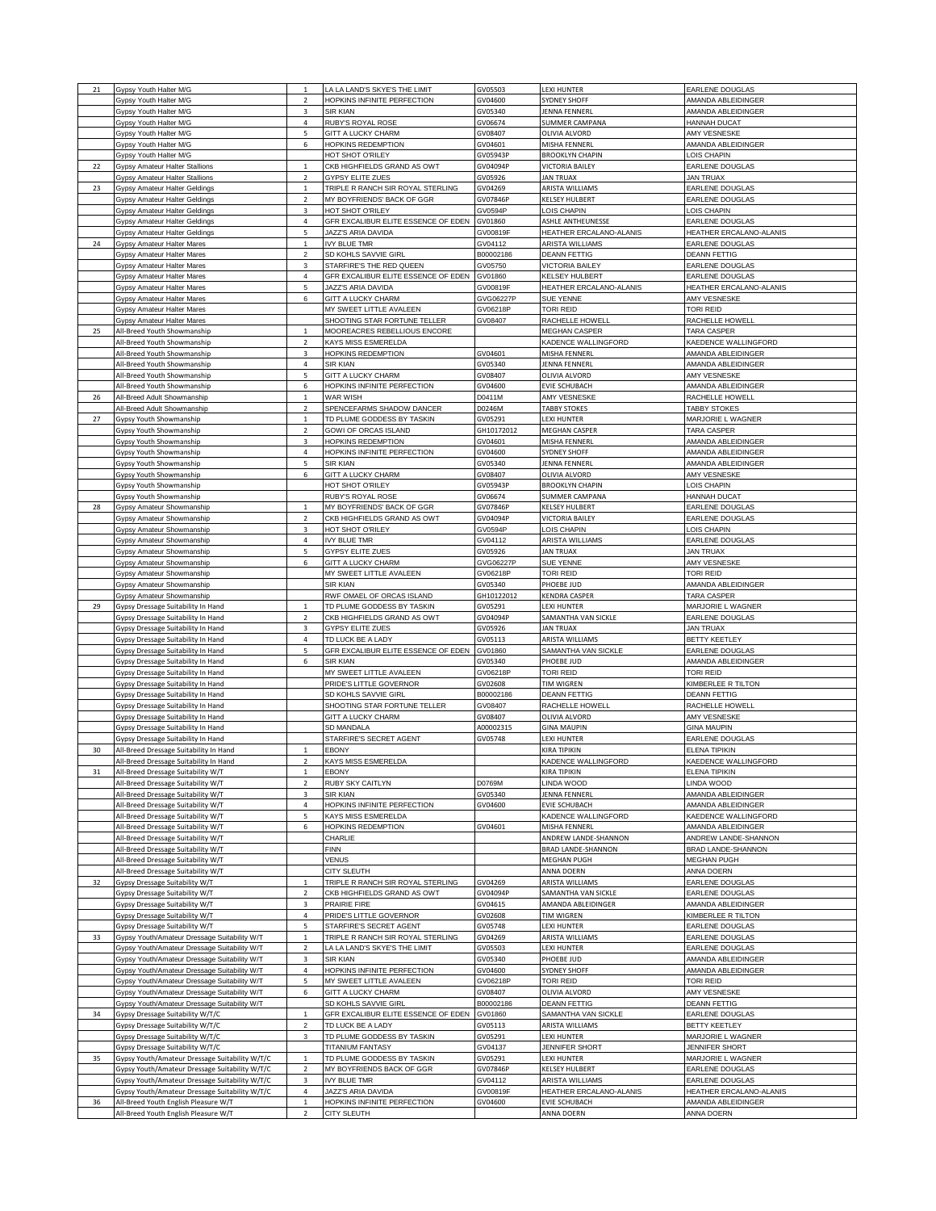| 21 |                                                                              |                               | LA LA LAND'S SKYE'S THE LIMIT              | GV05503    |                             |                                  |
|----|------------------------------------------------------------------------------|-------------------------------|--------------------------------------------|------------|-----------------------------|----------------------------------|
|    | Gypsy Youth Halter M/G                                                       |                               |                                            |            | LEXI HUNTER                 | <b>EARLENE DOUGLAS</b>           |
|    | Gypsy Youth Halter M/G                                                       | $\overline{2}$                | HOPKINS INFINITE PERFECTION                | GV04600    | SYDNEY SHOFF                | AMANDA ABLEIDINGER               |
|    | Gypsy Youth Halter M/G                                                       | 3                             | <b>SIR KIAN</b>                            | GV05340    | JENNA FENNERI               | AMANDA ABLEIDINGER               |
|    | Gypsy Youth Halter M/G                                                       | 4                             | RUBY'S ROYAL ROSE                          | GV06674    | <b>SUMMER CAMPANA</b>       | <b>HANNAH DUCAT</b>              |
|    |                                                                              |                               |                                            |            |                             |                                  |
|    | Gypsy Youth Halter M/G                                                       | 5                             | <b>GITT A LUCKY CHARM</b>                  | GV08407    | OLIVIA ALVORD               | AMY VESNESKE                     |
|    | Gypsy Youth Halter M/G                                                       | 6                             | HOPKINS REDEMPTION                         | GV04601    | MISHA FENNERL               | AMANDA ABLEIDINGER               |
|    | Gypsy Youth Halter M/G                                                       |                               | HOT SHOT O'RILEY                           | GV05943P   | <b>BROOKLYN CHAPIN</b>      | LOIS CHAPIN                      |
| 22 | Gypsy Amateur Halter Stallions                                               | $\mathbf 1$                   | CKB HIGHFIELDS GRAND AS OWT                | GV04094P   | <b>VICTORIA BAILEY</b>      | EARLENE DOUGLAS                  |
|    |                                                                              | $\overline{2}$                | <b>GYPSY ELITE ZUES</b>                    | GV05926    |                             | <b>JAN TRUAX</b>                 |
|    | Gypsy Amateur Halter Stallions                                               |                               |                                            |            | <b>JAN TRUAX</b>            |                                  |
| 23 | Gypsy Amateur Halter Geldings                                                | $\mathbf 1$                   | TRIPLE R RANCH SIR ROYAL STERLING          | GV04269    | ARISTA WILLIAMS             | EARLENE DOUGLAS                  |
|    | Gypsy Amateur Halter Geldings                                                | $\overline{\mathbf{2}}$       | MY BOYFRIENDS' BACK OF GGR                 | GV07846P   | KELSEY HULBERT              | EARLENE DOUGLAS                  |
|    | Gypsy Amateur Halter Geldings                                                | 3                             | HOT SHOT O'RILEY                           | GV0594P    | <b>OIS CHAPIN</b>           | OIS CHAPIN                       |
|    |                                                                              |                               |                                            |            |                             |                                  |
|    | Gypsy Amateur Halter Geldings                                                | $\sqrt{4}$                    | GFR EXCALIBUR ELITE ESSENCE OF EDEN        | GV01860    | ASHLE ANTHEUNESSE           | EARLENE DOUGLAS                  |
|    | <b>Gypsy Amateur Halter Geldings</b>                                         | 5                             | JAZZ'S ARIA DAVIDA                         | GV00819F   | HEATHER ERCALANO-ALANIS     | HEATHER ERCALANO-ALANIS          |
| 24 | Gypsy Amateur Halter Mares                                                   | 1                             | <b>IVY BLUE TMR</b>                        | GV04112    | ARISTA WILLIAMS             | EARLENE DOUGLAS                  |
|    | Gypsy Amateur Halter Mares                                                   | $\overline{2}$                | SD KOHLS SAVVIE GIRL                       | B00002186  | <b>DEANN FETTIG</b>         | DEANN FETTIG                     |
|    |                                                                              |                               |                                            |            |                             |                                  |
|    | Gypsy Amateur Halter Mares                                                   | 3                             | STARFIRE'S THE RED QUEEN                   | GV05750    | <b>VICTORIA BAILEY</b>      | <b>EARLENE DOUGLAS</b>           |
|    | Gypsy Amateur Halter Mares                                                   | $\sqrt{4}$                    | GFR EXCALIBUR ELITE ESSENCE OF EDEN        | GV01860    | <b>KELSEY HULBERT</b>       | <b>EARLENE DOUGLAS</b>           |
|    | Gypsy Amateur Halter Mares                                                   | 5                             | JAZZ'S ARIA DAVIDA                         | GV00819F   | HEATHER ERCALANO-ALANIS     | HEATHER ERCALANO-ALANIS          |
|    | Gypsy Amateur Halter Mares                                                   | 6                             | <b>GITT A LUCKY CHARM</b>                  | GVG06227P  | SUE YENNE                   | AMY VESNESKE                     |
|    |                                                                              |                               |                                            |            |                             |                                  |
|    | Gypsy Amateur Halter Mares                                                   |                               | MY SWEET LITTLE AVALEEN                    | GV06218P   | TORI REID                   | tori reid                        |
|    | Gypsy Amateur Halter Mares                                                   |                               | SHOOTING STAR FORTUNE TELLER               | GV08407    | RACHELLE HOWELL             | RACHELLE HOWELL                  |
| 25 | All-Breed Youth Showmanship                                                  | $\mathbf{1}$                  | MOOREACRES REBELLIOUS ENCORE               |            | MEGHAN CASPER               | <b>TARA CASPER</b>               |
|    | All-Breed Youth Showmanship                                                  | $\overline{2}$                | KAYS MISS ESMERELDA                        |            | KADENCE WALLINGFORD         | KAEDENCE WALLINGFORD             |
|    | All-Breed Youth Showmanship                                                  | 3                             | HOPKINS REDEMPTION                         | GV04601    | MISHA FENNERL               | AMANDA ABLEIDINGER               |
|    |                                                                              |                               |                                            |            |                             |                                  |
|    | All-Breed Youth Showmanship                                                  | 4                             | <b>SIR KIAN</b>                            | GV05340    | <b>JENNA FENNERL</b>        | AMANDA ABLEIDINGER               |
|    | All-Breed Youth Showmanship                                                  | 5                             | <b>GITT A LUCKY CHARM</b>                  | GV08407    | OLIVIA ALVORD               | AMY VESNESKE                     |
|    | All-Breed Youth Showmanship                                                  | 6                             | HOPKINS INFINITE PERFECTION                | GV04600    | EVIE SCHUBACH               | AMANDA ABLEIDINGER               |
| 26 | All-Breed Adult Showmanship                                                  | $\mathbf{1}$                  | WAR WISH                                   | D0411M     | AMY VESNESKE                | RACHELLE HOWELL                  |
|    |                                                                              |                               |                                            |            |                             |                                  |
|    | All-Breed Adult Showmanship                                                  | $\overline{2}$                | SPENCEFARMS SHADOW DANCER                  | D0246M     | <b>TABBY STOKES</b>         | TABBY STOKES                     |
| 27 | Gypsy Youth Showmanship                                                      | $\,$ 1                        | TD PLUME GODDESS BY TASKIN                 | GV05291    | LEXI HUNTER                 | MARJORIE L WAGNER                |
|    | Gypsy Youth Showmanship                                                      | $\mathbf 2$                   | <b>GOWI OF ORCAS ISLAND</b>                | GH10172012 | MEGHAN CASPER               | TARA CASPER                      |
|    | Gypsy Youth Showmanship                                                      | $\overline{\mathbf{3}}$       | HOPKINS REDEMPTION                         | GV04601    | MISHA FENNERI               | AMANDA ABLEIDINGER               |
|    |                                                                              |                               |                                            |            |                             |                                  |
|    | Gypsy Youth Showmanship                                                      | $\sqrt{4}$                    | HOPKINS INFINITE PERFECTION                | GV04600    | SYDNEY SHOFF                | AMANDA ABLEIDINGER               |
|    | Gypsy Youth Showmanship                                                      | 5                             | <b>SIR KIAN</b>                            | GV05340    | JENNA FENNERL               | AMANDA ABLEIDINGER               |
|    | Gypsy Youth Showmanship                                                      | 6                             | <b>GITT A LUCKY CHARM</b>                  | GV08407    | OLIVIA ALVORD               | AMY VESNESKE                     |
|    | Gypsy Youth Showmanship                                                      |                               | HOT SHOT O'RILEY                           | GV05943P   | <b>BROOKLYN CHAPIN</b>      | OIS CHAPIN                       |
|    |                                                                              |                               |                                            |            |                             |                                  |
|    | Gypsy Youth Showmanship                                                      |                               | RUBY'S ROYAL ROSE                          | GV06674    | SUMMER CAMPANA              | <b>HANNAH DUCAT</b>              |
| 28 | Gypsy Amateur Showmanship                                                    | $\mathbf{1}$                  | MY BOYFRIENDS' BACK OF GGR                 | GV07846P   | KELSEY HULBERT              | <b>EARLENE DOUGLAS</b>           |
|    | Gypsy Amateur Showmanship                                                    | $\overline{2}$                | CKB HIGHFIELDS GRAND AS OWT                | GV04094P   | <b>VICTORIA BAILEY</b>      | EARLENE DOUGLAS                  |
|    |                                                                              |                               |                                            |            |                             |                                  |
|    | Gypsy Amateur Showmanship                                                    | 3                             | HOT SHOT O'RILEY                           | GV0594P    | OIS CHAPIN                  | LOIS CHAPIN                      |
|    | Gypsy Amateur Showmanship                                                    | 4                             | <b>IVY BLUE TMR</b>                        | GV04112    | ARISTA WILLIAMS             | EARLENE DOUGLAS                  |
|    | Gypsy Amateur Showmanship                                                    | 5                             | <b>GYPSY ELITE ZUES</b>                    | GV05926    | <b>JAN TRUAX</b>            | <b>JAN TRUAX</b>                 |
|    | Gypsy Amateur Showmanship                                                    | 6                             | <b>GITT A LUCKY CHARM</b>                  | GVG06227P  | SUE YENNE                   | AMY VESNESKE                     |
|    |                                                                              |                               |                                            |            |                             |                                  |
|    | Gypsy Amateur Showmanship                                                    |                               | MY SWEET LITTLE AVALEEN                    | GV06218P   | TORI REID                   | tori reid                        |
|    | Gypsy Amateur Showmanship                                                    |                               | <b>SIR KIAN</b>                            | GV05340    | PHOEBE JUD                  | AMANDA ABLEIDINGER               |
|    | Gypsy Amateur Showmanship                                                    |                               | RWF OMAEL OF ORCAS ISLAND                  | GH10122012 | KENDRA CASPER               | TARA CASPER                      |
| 29 | Gypsy Dressage Suitability In Hand                                           | $\mathbf{1}$                  | TD PLUME GODDESS BY TASKIN                 | GV05291    | LEXI HUNTER                 | MARJORIE L WAGNER                |
|    |                                                                              |                               |                                            |            |                             |                                  |
|    | Gypsy Dressage Suitability In Hand                                           | $\overline{2}$                | CKB HIGHFIELDS GRAND AS OWT                | GV04094P   | SAMANTHA VAN SICKLE         | <b>EARLENE DOUGLAS</b>           |
|    | Gypsy Dressage Suitability In Hand                                           | 3                             | <b>GYPSY ELITE ZUES</b>                    | GV05926    | <b>JAN TRUAX</b>            | <b>JAN TRUAX</b>                 |
|    | Gypsy Dressage Suitability In Hand                                           | 4                             | TD LUCK BE A LADY                          | GV05113    | ARISTA WILLIAMS             | <b>BETTY KEETLEY</b>             |
|    | Gypsy Dressage Suitability In Hand                                           | 5                             | GFR EXCALIBUR ELITE ESSENCE OF EDEN        | GV01860    | SAMANTHA VAN SICKLE         | EARLENE DOUGLAS                  |
|    |                                                                              |                               |                                            |            |                             |                                  |
|    | Gypsy Dressage Suitability In Hand                                           | 6                             | <b>SIR KIAN</b>                            | GV05340    | PHOEBE JUD                  | AMANDA ABLEIDINGER               |
|    | Gypsy Dressage Suitability In Hand                                           |                               | MY SWEET LITTLE AVALEEN                    | GV06218P   | TORI REID                   | tori reid                        |
|    | Gypsy Dressage Suitability In Hand                                           |                               | PRIDE'S LITTLE GOVERNOR                    | GV02608    | TIM WIGREN                  | KIMBERLEE R TILTON               |
|    | Gypsy Dressage Suitability In Hand                                           |                               | SD KOHLS SAVVIE GIRL                       | B00002186  | <b>DEANN FETTIG</b>         | <b>DEANN FETTIG</b>              |
|    |                                                                              |                               |                                            |            |                             |                                  |
|    | Gypsy Dressage Suitability In Hand                                           |                               | SHOOTING STAR FORTUNE TELLER               | GV08407    | RACHELLE HOWELL             | RACHELLE HOWELL                  |
|    | Gypsy Dressage Suitability In Hand                                           |                               | <b>GITT A LUCKY CHARM</b>                  | GV08407    | OLIVIA ALVORD               | AMY VESNESKE                     |
|    | Gypsy Dressage Suitability In Hand                                           |                               |                                            |            |                             |                                  |
|    |                                                                              |                               | <b>SD MANDALA</b>                          | A00002315  | <b>GINA MAUPIN</b>          | <b>GINA MAUPIN</b>               |
|    |                                                                              |                               |                                            |            |                             |                                  |
|    | Gypsy Dressage Suitability In Hand                                           |                               | STARFIRE'S SECRET AGENT                    | GV05748    | LEXI HUNTER                 | EARLENE DOUGLAS                  |
| 30 | All-Breed Dressage Suitability In Hand                                       | $\mathbf{1}$                  | <b>EBONY</b>                               |            | KIRA TIPIKIN                | ELENA TIPIKIN                    |
|    | All-Breed Dressage Suitability In Hand                                       | $\overline{2}$                | KAYS MISS ESMERELDA                        |            | KADENCE WALLINGFORD         | KAEDENCE WALLINGFORD             |
| 31 | All-Breed Dressage Suitability W/T                                           | $\mathbf{1}$                  | <b>EBONY</b>                               |            | KIRA TIPIKIN                | ELENA TIPIKIN                    |
|    | All-Breed Dressage Suitability W/T                                           | $\boldsymbol{2}$              | RUBY SKY CAITLYN                           | D0769M     | INDA WOOD                   | INDA WOOD                        |
|    |                                                                              |                               |                                            |            |                             |                                  |
|    | All-Breed Dressage Suitability W/T                                           | 3                             | <b>SIR KIAN</b>                            | GV05340    | JENNA FENNERL               | AMANDA ABLEIDINGER               |
|    | All-Breed Dressage Suitability W/T                                           | 4                             | HOPKINS INFINITE PERFECTION                | GV04600    | EVIE SCHUBACH               | AMANDA ABLEIDINGER               |
|    | All-Breed Dressage Suitability W/T                                           | 5                             | KAYS MISS ESMERELDA                        |            | KADENCE WALLINGFORD         | KAEDENCE WALLINGFORD             |
|    | All-Breed Dressage Suitability W/T                                           | 6                             | HOPKINS REDEMPTION                         | GV04601    | MISHA FENNERL               | AMANDA ABLEIDINGER               |
|    | All-Breed Dressage Suitability W/T                                           |                               | CHARLIE                                    |            | ANDREW LANDE-SHANNON        | ANDREW LANDE-SHANNON             |
|    |                                                                              |                               |                                            |            |                             |                                  |
|    | All-Breed Dressage Suitability W/T                                           |                               | <b>FINN</b>                                |            | BRAD LANDE-SHANNON          | BRAD LANDE-SHANNON               |
|    | All-Breed Dressage Suitability W/T                                           |                               | <b>VENUS</b>                               |            | MEGHAN PUGH                 | <b>MEGHAN PUGH</b>               |
|    | All-Breed Dressage Suitability W/T                                           |                               | CITY SLEUTH                                |            | ANNA DOERN                  | ANNA DOERN                       |
| 32 | Gypsy Dressage Suitability W/T                                               | $\mathbf 1$                   | TRIPLE R RANCH SIR ROYAL STERLING          | GV04269    | ARISTA WILLIAMS             | EARLENE DOUGLAS                  |
|    | Gypsy Dressage Suitability W/T                                               | $\boldsymbol{2}$              | CKB HIGHFIELDS GRAND AS OWT                | GV04094P   | SAMANTHA VAN SICKLE         | EARLENE DOUGLAS                  |
|    |                                                                              |                               |                                            |            |                             |                                  |
|    | Gypsy Dressage Suitability W/T                                               | 3                             | PRAIRIE FIRE                               | GV04615    | AMANDA ABLEIDINGER          | AMANDA ABLEIDINGER               |
|    | Gypsy Dressage Suitability W/T                                               | 4                             | PRIDE'S LITTLE GOVERNOR                    | GV02608    | <b>TIM WIGREN</b>           | KIMBERLEE R TILTON               |
|    | Gypsy Dressage Suitability W/T                                               | 5                             | STARFIRE'S SECRET AGENT                    | GV05748    | LEXI HUNTER                 | EARLENE DOUGLAS                  |
| 33 | Gypsy Youth/Amateur Dressage Suitability W/T                                 | $\mathbf 1$                   | TRIPLE R RANCH SIR ROYAL STERLING          | GV04269    | ARISTA WILLIAMS             | EARLENE DOUGLAS                  |
|    |                                                                              |                               |                                            |            |                             |                                  |
|    | Gypsy Youth/Amateur Dressage Suitability W/T                                 | $\overline{2}$                | LA LA LAND'S SKYE'S THE LIMIT              | GV05503    | LEXI HUNTER                 | EARLENE DOUGLAS                  |
|    | Gypsy Youth/Amateur Dressage Suitability W/T                                 | 3                             | <b>SIR KIAN</b>                            | GV05340    | PHOEBE JUD                  | AMANDA ABLEIDINGER               |
|    | Gypsy Youth/Amateur Dressage Suitability W/T                                 | 4                             | HOPKINS INFINITE PERFECTION                | GV04600    | SYDNEY SHOFF                | AMANDA ABLEIDINGER               |
|    | Gypsy Youth/Amateur Dressage Suitability W/T                                 | 5                             | MY SWEET LITTLE AVALEEN                    | GV06218P   | TORI REID                   | TORI REID                        |
|    |                                                                              |                               |                                            |            |                             |                                  |
|    | Gypsy Youth/Amateur Dressage Suitability W/T                                 | 6                             | <b>GITT A LUCKY CHARM</b>                  | GV08407    | OLIVIA ALVORD               | AMY VESNESKE                     |
|    | Gypsy Youth/Amateur Dressage Suitability W/T                                 |                               | SD KOHLS SAVVIE GIRL                       | B00002186  | <b>DEANN FETTIG</b>         | <b>DEANN FETTIG</b>              |
| 34 | Gypsy Dressage Suitability W/T/C                                             | 1                             | GFR EXCALIBUR ELITE ESSENCE OF EDEN        | GV01860    | SAMANTHA VAN SICKLE         | EARLENE DOUGLAS                  |
|    | Gypsy Dressage Suitability W/T/C                                             | $\overline{\mathbf{c}}$       | TD LUCK BE A LADY                          | GV05113    | ARISTA WILLIAMS             | <b>BETTY KEETLEY</b>             |
|    |                                                                              |                               |                                            |            |                             |                                  |
|    | Gypsy Dressage Suitability W/T/C                                             | 3                             | TD PLUME GODDESS BY TASKIN                 | GV05291    | LEXI HUNTER                 | MARJORIE L WAGNER                |
|    | Gypsy Dressage Suitability W/T/C                                             |                               | TITANIUM FANTASY                           | GV04137    | JENNIFER SHORT              | <b>JENNIFER SHORT</b>            |
| 35 | Gypsy Youth/Amateur Dressage Suitability W/T/C                               | $\mathbf{1}$                  | TD PLUME GODDESS BY TASKIN                 | GV05291    | LEXI HUNTER                 | MARJORIE L WAGNER                |
|    | Gypsy Youth/Amateur Dressage Suitability W/T/C                               | $\overline{2}$                | MY BOYFRIENDS BACK OF GGR                  | GV07846P   | KELSEY HULBERT              | EARLENE DOUGLAS                  |
|    |                                                                              |                               |                                            |            |                             |                                  |
|    | Gypsy Youth/Amateur Dressage Suitability W/T/C                               | 3                             | <b>IVY BLUE TMR</b>                        | GV04112    | ARISTA WILLIAMS             | EARLENE DOUGLAS                  |
|    | Gypsy Youth/Amateur Dressage Suitability W/T/C                               | 4                             | JAZZ'S ARIA DAVIDA                         | GV00819F   | HEATHER ERCALANO-ALANIS     | HEATHER ERCALANO-ALANIS          |
| 36 | All-Breed Youth English Pleasure W/T<br>All-Breed Youth English Pleasure W/T | $\mathbf 1$<br>$\overline{2}$ | HOPKINS INFINITE PERFECTION<br>CITY SLEUTH | GV04600    | EVIE SCHUBACH<br>ANNA DOERN | AMANDA ABLEIDINGER<br>ANNA DOERN |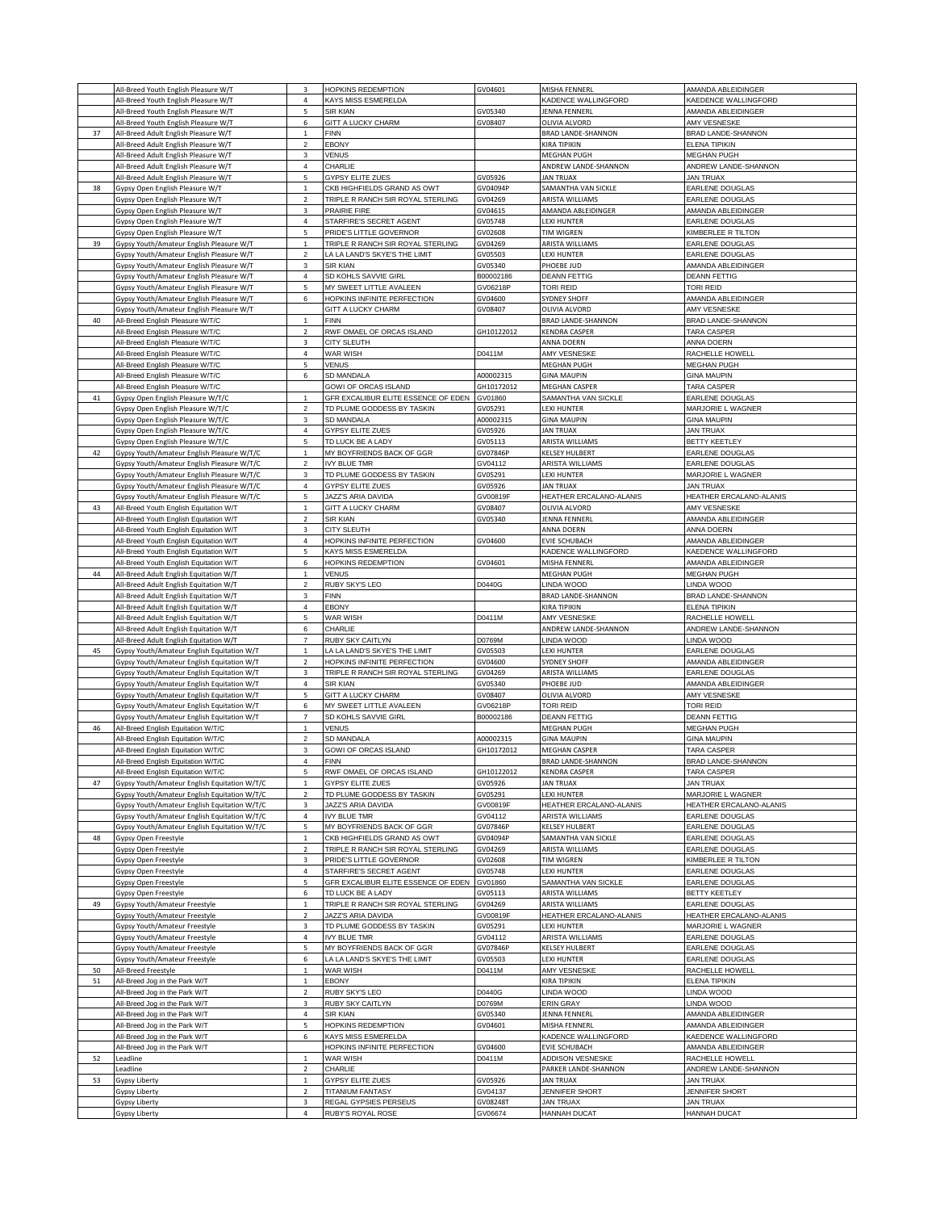|    | All-Breed Youth English Pleasure W/T         | 3                         | HOPKINS REDEMPTION                  | GV04601    | <b>MISHA FENNERL</b>    | AMANDA ABLEIDINGER        |
|----|----------------------------------------------|---------------------------|-------------------------------------|------------|-------------------------|---------------------------|
|    | All-Breed Youth English Pleasure W/T         | $\overline{4}$            | KAYS MISS ESMERELDA                 |            | KADENCE WALLINGFORD     | KAEDENCE WALLINGFORD      |
|    | All-Breed Youth English Pleasure W/T         | 5                         | SIR KIAN                            | GV05340    | JENNA FENNERL           | AMANDA ABLEIDINGER        |
|    |                                              |                           |                                     |            |                         |                           |
|    | All-Breed Youth English Pleasure W/T         | 6                         | <b>GITT A LUCKY CHARM</b>           | GV08407    | OLIVIA ALVORD           | AMY VESNESKE              |
| 37 | All-Breed Adult English Pleasure W/T         | $\mathbf 1$               | <b>FINN</b>                         |            | BRAD LANDE-SHANNON      | BRAD LANDE-SHANNON        |
|    |                                              |                           | EBONY                               |            | <b>KIRA TIPIKIN</b>     | <b>ELENA TIPIKIN</b>      |
|    | All-Breed Adult English Pleasure W/T         | $\mathbf 2$               |                                     |            |                         |                           |
|    | All-Breed Adult English Pleasure W/T         | $\mathbf 3$               | VENUS                               |            | <b>MEGHAN PUGH</b>      | <b>MEGHAN PUGH</b>        |
|    | All-Breed Adult English Pleasure W/T         | $\sqrt{4}$                | CHARLIE                             |            | ANDREW LANDE-SHANNON    | ANDREW LANDE-SHANNON      |
|    | All-Breed Adult English Pleasure W/T         | 5                         | GYPSY ELITE ZUES                    | GV05926    | <b>JAN TRUAX</b>        | <b>JAN TRUAX</b>          |
|    |                                              |                           |                                     |            |                         |                           |
| 38 | Gypsy Open English Pleasure W/T              | $\mathbf{1}$              | CKB HIGHFIELDS GRAND AS OWT         | GV04094P   | SAMANTHA VAN SICKLE     | EARLENE DOUGLAS           |
|    | Gypsy Open English Pleasure W/T              | $\overline{2}$            | TRIPLE R RANCH SIR ROYAL STERLING   | GV04269    | ARISTA WILLIAMS         | EARLENE DOUGLAS           |
|    |                                              | $\overline{\mathbf{3}}$   |                                     |            | AMANDA ABLEIDINGER      | AMANDA ABLEIDINGER        |
|    | Gypsy Open English Pleasure W/T              |                           | PRAIRIE FIRE                        | GV04615    |                         |                           |
|    | Gypsy Open English Pleasure W/T              | $\ensuremath{\mathsf{4}}$ | STARFIRE'S SECRET AGENT             | GV05748    | LEXI HUNTER             | <b>EARLENE DOUGLAS</b>    |
|    | Gypsy Open English Pleasure W/T              | 5                         | PRIDE'S LITTLE GOVERNOR             | GV02608    | TIM WIGREN              | KIMBERLEE R TILTON        |
|    |                                              |                           | TRIPLE R RANCH SIR ROYAL STERLING   |            |                         |                           |
| 39 | Gypsy Youth/Amateur English Pleasure W/T     | $\mathbf{1}$              |                                     | GV04269    | ARISTA WILLIAMS         | EARLENE DOUGLAS           |
|    | Gypsy Youth/Amateur English Pleasure W/T     | $\overline{2}$            | LA LA LAND'S SKYE'S THE LIMIT       | GV05503    | <b>LEXI HUNTER</b>      | EARLENE DOUGLAS           |
|    | Gypsy Youth/Amateur English Pleasure W/T     | 3                         | <b>SIR KIAN</b>                     | GV05340    | PHOEBE JUD              | AMANDA ABLEIDINGER        |
|    |                                              |                           |                                     |            |                         |                           |
|    | Gypsy Youth/Amateur English Pleasure W/T     | $\sqrt{4}$                | SD KOHLS SAVVIE GIRL                | B00002186  | <b>DEANN FETTIG</b>     | <b>DEANN FETTIG</b>       |
|    | Gypsy Youth/Amateur English Pleasure W/T     | 5                         | MY SWEET LITTLE AVALEEN             | GV06218P   | <b>TORI REID</b>        | <b>TORI REID</b>          |
|    | Gypsy Youth/Amateur English Pleasure W/T     | 6                         | HOPKINS INFINITE PERFECTION         | GV04600    | SYDNEY SHOFF            | AMANDA ABLEIDINGER        |
|    |                                              |                           |                                     |            |                         |                           |
|    | Gypsy Youth/Amateur English Pleasure W/T     |                           | GITT A LUCKY CHARM                  | GV08407    | OLIVIA ALVORD           | AMY VESNESKE              |
| 40 | All-Breed English Pleasure W/T/C             | $\mathbf{1}$              | <b>FINN</b>                         |            | BRAD LANDE-SHANNON      | <b>BRAD LANDE-SHANNON</b> |
|    | All-Breed English Pleasure W/T/C             | $\mathbf 2$               | RWF OMAEL OF ORCAS ISLAND           | GH10122012 | KENDRA CASPER           | TARA CASPER               |
|    |                                              |                           |                                     |            |                         |                           |
|    | All-Breed English Pleasure W/T/C             | 3                         | CITY SLEUTH                         |            | ANNA DOERN              | ANNA DOERN                |
|    | All-Breed English Pleasure W/T/C             | $\ensuremath{\mathsf{4}}$ | WAR WISH                            | D0411M     | AMY VESNESKE            | RACHELLE HOWELL           |
|    | All-Breed English Pleasure W/T/C             | 5                         | <b>VENUS</b>                        |            | <b>MEGHAN PUGH</b>      | <b>MEGHAN PUGH</b>        |
|    |                                              |                           |                                     |            |                         |                           |
|    | All-Breed English Pleasure W/T/C             | 6                         | <b>SD MANDALA</b>                   | A00002315  | <b>GINA MAUPIN</b>      | <b>GINA MAUPIN</b>        |
|    | All-Breed English Pleasure W/T/C             |                           | <b>GOWI OF ORCAS ISLAND</b>         | GH10172012 | MEGHAN CASPER           | TARA CASPER               |
| 41 |                                              |                           | GFR EXCALIBUR ELITE ESSENCE OF EDEN | GV01860    | SAMANTHA VAN SICKLE     | <b>EARLENE DOUGLAS</b>    |
|    | Gypsy Open English Pleasure W/T/C            | 1                         |                                     |            |                         |                           |
|    | Gypsy Open English Pleasure W/T/C            | $\overline{2}$            | TD PLUME GODDESS BY TASKIN          | GV05291    | LEXI HUNTER             | MARJORIE L WAGNER         |
|    | Gypsy Open English Pleasure W/T/C            | $\mathbf{3}$              | SD MANDALA                          | A00002315  | <b>GINA MAUPIN</b>      | <b>GINA MAUPIN</b>        |
|    |                                              |                           |                                     |            |                         |                           |
|    | Gypsy Open English Pleasure W/T/C            | $\overline{4}$            | GYPSY ELITE ZUES                    | GV05926    | <b>JAN TRUAX</b>        | <b>JAN TRUAX</b>          |
|    | Gypsy Open English Pleasure W/T/C            | 5                         | TD LUCK BE A LADY                   | GV05113    | ARISTA WILLIAMS         | <b>BETTY KEETLEY</b>      |
| 42 | Gypsy Youth/Amateur English Pleasure W/T/C   | $\mathbf{1}$              | MY BOYFRIENDS BACK OF GGR           | GV07846P   | <b>KELSEY HULBERT</b>   | <b>EARLENE DOUGLAS</b>    |
|    |                                              |                           |                                     |            |                         |                           |
|    | Gypsy Youth/Amateur English Pleasure W/T/C   | $\overline{2}$            | <b>IVY BLUE TMR</b>                 | GV04112    | <b>ARISTA WILLIAMS</b>  | <b>EARLENE DOUGLAS</b>    |
|    | Gypsy Youth/Amateur English Pleasure W/T/C   | 3                         | TD PLUME GODDESS BY TASKIN          | GV05291    | LEXI HUNTER             | MARJORIE L WAGNER         |
|    | Gypsy Youth/Amateur English Pleasure W/T/C   | $\overline{4}$            | GYPSY ELITE ZUES                    | GV05926    | <b>JAN TRUAX</b>        | <b>JAN TRUAX</b>          |
|    |                                              |                           |                                     |            |                         |                           |
|    | Gypsy Youth/Amateur English Pleasure W/T/C   | 5                         | JAZZ'S ARIA DAVIDA                  | GV00819F   | HEATHER ERCALANO-ALANIS | HEATHER ERCALANO-ALANIS   |
| 43 | All-Breed Youth English Equitation W/T       | $\mathbf{1}$              | <b>GITT A LUCKY CHARM</b>           | GV08407    | OLIVIA ALVORD           | AMY VESNESKE              |
|    | All-Breed Youth English Equitation W/T       | $\overline{2}$            | SIR KIAN                            | GV05340    | <b>JENNA FENNERI</b>    | AMANDA ABLEIDINGER        |
|    |                                              |                           |                                     |            |                         |                           |
|    | All-Breed Youth English Equitation W/T       | $\mathbf{3}$              | CITY SLEUTH                         |            | ANNA DOERN              | ANNA DOERN                |
|    | All-Breed Youth English Equitation W/T       | $\overline{4}$            | HOPKINS INFINITE PERFECTION         | GV04600    | <b>EVIE SCHUBACH</b>    | AMANDA ABLEIDINGER        |
|    |                                              | 5                         |                                     |            | KADENCE WALLINGFORD     | KAEDENCE WALLINGFORD      |
|    | All-Breed Youth English Equitation W/T       |                           | KAYS MISS ESMERELDA                 |            |                         |                           |
|    | All-Breed Youth English Equitation W/T       | 6                         | HOPKINS REDEMPTION                  | GV04601    | MISHA FENNERL           | AMANDA ABLEIDINGER        |
| 44 | All-Breed Adult English Equitation W/T       | $\mathbf{1}$              | <b>VENUS</b>                        |            | <b>MEGHAN PUGH</b>      | <b>MEGHAN PUGH</b>        |
|    |                                              |                           |                                     |            |                         |                           |
|    | All-Breed Adult English Equitation W/T       | $\boldsymbol{2}$          | RUBY SKY'S LEO                      | D0440G     | LINDA WOOD              | LINDA WOOD                |
|    | All-Breed Adult English Equitation W/T       | $\mathbf 3$               | <b>FINN</b>                         |            | BRAD LANDE-SHANNON      | BRAD LANDE-SHANNON        |
|    | All-Breed Adult English Equitation W/T       | $\sqrt{4}$                | EBONY                               |            | KIRA TIPIKIN            | ELENA TIPIKIN             |
|    |                                              |                           |                                     |            |                         |                           |
|    |                                              |                           |                                     |            |                         |                           |
|    | All-Breed Adult English Equitation W/T       | 5                         | WAR WISH                            | D0411M     | AMY VESNESKE            | RACHELLE HOWELL           |
|    |                                              |                           | CHARLIE                             |            |                         | ANDREW LANDE-SHANNON      |
|    | All-Breed Adult English Equitation W/T       | $\,6\,$                   |                                     |            | ANDREW LANDE-SHANNON    |                           |
|    | All-Breed Adult English Equitation W/T       | $\overline{7}$            | RUBY SKY CAITLYN                    | D0769M     | LINDA WOOD              | LINDA WOOD                |
| 45 | Gypsy Youth/Amateur English Equitation W/T   | $\mathbf{1}$              | LA LA LAND'S SKYE'S THE LIMIT       | GV05503    | <b>LEXI HUNTER</b>      | <b>EARLENE DOUGLAS</b>    |
|    |                                              |                           |                                     |            |                         |                           |
|    | Gypsy Youth/Amateur English Equitation W/T   | $\mathbf 2$               | HOPKINS INFINITE PERFECTION         | GV04600    | SYDNEY SHOFF            | AMANDA ABLEIDINGER        |
|    | Gypsy Youth/Amateur English Equitation W/T   | 3                         | TRIPLE R RANCH SIR ROYAL STERLING   | GV04269    | ARISTA WILLIAMS         | EARLENE DOUGLAS           |
|    | Gypsy Youth/Amateur English Equitation W/T   | $\overline{4}$            | <b>SIR KIAN</b>                     | GV05340    | PHOEBE JUD              | AMANDA ABLEIDINGER        |
|    |                                              |                           |                                     |            |                         |                           |
|    | Gypsy Youth/Amateur English Equitation W/T   | 5                         | GITT A LUCKY CHARM                  | GV08407    | OLIVIA ALVORD           | AMY VESNESKE              |
|    | Gypsy Youth/Amateur English Equitation W/T   | 6                         | MY SWEET LITTLE AVALEEN             | GV06218P   | <b>TORI REID</b>        | <b>TORI REID</b>          |
|    | Gypsy Youth/Amateur English Equitation W/T   | $\overline{\phantom{a}}$  | SD KOHLS SAVVIE GIRL                | B00002186  | <b>DEANN FETTIG</b>     | <b>DEANN FETTIG</b>       |
|    |                                              |                           |                                     |            |                         |                           |
| 46 | All-Breed English Equitation W/T/C           | 1                         | VENUS                               |            | MEGHAN PUGH             | <b>MEGHAN PUGH</b>        |
|    | All-Breed English Equitation W/T/C           | $\overline{a}$            | SD MANDALA                          | A00002315  | <b>GINA MAUPIN</b>      | <b>GINA MAUPIN</b>        |
|    | All-Breed English Equitation W/T/C           | $\mathbf 3$               | GOWI OF ORCAS ISLAND                | GH10172012 | <b>MEGHAN CASPER</b>    | <b>TARA CASPER</b>        |
|    |                                              |                           |                                     |            |                         |                           |
|    | All-Breed English Equitation W/T/C           | $\overline{4}$            | <b>FINN</b>                         |            | BRAD LANDE-SHANNON      | BRAD LANDE-SHANNON        |
|    | All-Breed English Equitation W/T/C           | 5                         | RWF OMAEL OF ORCAS ISLAND           | GH10122012 | <b>KENDRA CASPER</b>    | TARA CASPER               |
| 47 | Gypsy Youth/Amateur English Equitation W/T/C | 1                         | GYPSY ELITE ZUES                    | GV05926    | <b>JAN TRUAX</b>        | <b>JAN TRUAX</b>          |
|    |                                              |                           |                                     |            |                         |                           |
|    | Gypsy Youth/Amateur English Equitation W/T/C | $\mathbf 2$               | TD PLUME GODDESS BY TASKIN          | GV05291    | LEXI HUNTER             | MARJORIE L WAGNER         |
|    | Gypsy Youth/Amateur English Equitation W/T/C | 3                         | JAZZ'S ARIA DAVIDA                  | GV00819F   | HEATHER ERCALANO-ALANIS | HEATHER ERCALANO-ALANIS   |
|    | Gypsy Youth/Amateur English Equitation W/T/C | $\overline{4}$            | IVY BLUE TMR                        | GV04112    | ARISTA WILLIAMS         | EARLENE DOUGLAS           |
|    |                                              |                           |                                     |            |                         | <b>EARLENE DOUGLAS</b>    |
|    | Gypsy Youth/Amateur English Equitation W/T/C | 5                         | MY BOYFRIENDS BACK OF GGR           | GV07846P   | <b>KELSEY HULBERT</b>   |                           |
| 48 | Gypsy Open Freestyle                         | 1                         | CKB HIGHFIELDS GRAND AS OWT         | GV04094P   | SAMANTHA VAN SICKLE     | EARLENE DOUGLAS           |
|    | Gypsy Open Freestyle                         | $\mathbf 2$               | TRIPLE R RANCH SIR ROYAL STERLING   | GV04269    | <b>ARISTA WILLIAMS</b>  | EARLENE DOUGLAS           |
|    |                                              |                           |                                     |            |                         |                           |
|    | Gypsy Open Freestyle                         | 3                         | PRIDE'S LITTLE GOVERNOR             | GV02608    | <b>TIM WIGREN</b>       | KIMBERLEE R TILTON        |
|    | Gypsy Open Freestyle                         | $\overline{4}$            | STARFIRE'S SECRET AGENT             | GV05748    | <b>LEXI HUNTER</b>      | <b>EARLENE DOUGLAS</b>    |
|    | Gypsy Open Freestyle                         | 5                         | GFR EXCALIBUR ELITE ESSENCE OF EDEN | GV01860    | SAMANTHA VAN SICKLE     | EARLENE DOUGLAS           |
|    |                                              |                           |                                     |            |                         |                           |
|    | Gypsy Open Freestyle                         | 6                         | TD LUCK BE A LADY                   | GV05113    | <b>ARISTA WILLIAMS</b>  | BETTY KEETLEY             |
| 49 | Gypsy Youth/Amateur Freestyle                | $\mathbf 1$               | TRIPLE R RANCH SIR ROYAL STERLING   | GV04269    | ARISTA WILLIAMS         | EARLENE DOUGLAS           |
|    | Gypsy Youth/Amateur Freestyle                | $\mathbf 2$               | JAZZ'S ARIA DAVIDA                  | GV00819F   | HEATHER ERCALANO-ALANIS | HEATHER ERCALANO-ALANIS   |
|    |                                              |                           |                                     |            |                         |                           |
|    | Gypsy Youth/Amateur Freestyle                | 3                         | TD PLUME GODDESS BY TASKIN          | GV05291    | <b>LEXI HUNTER</b>      | MARJORIE L WAGNER         |
|    | Gypsy Youth/Amateur Freestyle                | $\ensuremath{\mathsf{4}}$ | <b>IVY BLUE TMR</b>                 | GV04112    | ARISTA WILLIAMS         | EARLENE DOUGLAS           |
|    | Gypsy Youth/Amateur Freestyle                | 5                         | MY BOYFRIENDS BACK OF GGR           | GV07846P   | <b>KELSEY HULBERT</b>   | EARLENE DOUGLAS           |
|    |                                              |                           |                                     |            |                         |                           |
|    | Gypsy Youth/Amateur Freestyle                | 6                         | LA LA LAND'S SKYE'S THE LIMIT       | GV05503    | LEXI HUNTER             | EARLENE DOUGLAS           |
| 50 | All-Breed Freestyle                          | $\mathbf 1$               | WAR WISH                            | D0411M     | AMY VESNESKE            | RACHELLE HOWELL           |
| 51 | All-Breed Jog in the Park W/T                | $\mathbf{1}$              | <b>EBONY</b>                        |            | KIRA TIPIKIN            | ELENA TIPIKIN             |
|    |                                              |                           |                                     |            |                         |                           |
|    | All-Breed Jog in the Park W/T                | $\mathbf 2$               | RUBY SKY'S LEO                      | D0440G     | LINDA WOOD              | INDA WOOD                 |
|    | All-Breed Jog in the Park W/T                | 3                         | RUBY SKY CAITLYN                    | D0769M     | ERIN GRAY               | INDA WOOD                 |
|    |                                              |                           |                                     |            |                         |                           |
|    | All-Breed Jog in the Park W/T                | $\overline{4}$            | <b>SIR KIAN</b>                     | GV05340    | JENNA FENNERL           | AMANDA ABLEIDINGER        |
|    | All-Breed Jog in the Park W/T                | 5                         | HOPKINS REDEMPTION                  | GV04601    | MISHA FENNERL           | AMANDA ABLEIDINGER        |
|    | All-Breed Jog in the Park W/T                | 6                         | KAYS MISS ESMERELDA                 |            | KADENCE WALLINGFORD     | KAEDENCE WALLINGFORD      |
|    |                                              |                           |                                     |            |                         |                           |
|    | All-Breed Jog in the Park W/T                |                           | HOPKINS INFINITE PERFECTION         | GV04600    | <b>EVIE SCHUBACH</b>    | AMANDA ABLEIDINGER        |
| 52 | Leadline                                     | 1                         | WAR WISH                            | D0411M     | ADDISON VESNESKE        | RACHELLE HOWELL           |
|    | Leadline                                     | $\overline{2}$            | CHARLIE                             |            | PARKER LANDE-SHANNON    | ANDREW LANDE-SHANNON      |
|    |                                              |                           |                                     |            |                         |                           |
| 53 | Gypsy Liberty                                | $\mathbf 1$               | GYPSY ELITE ZUES                    | GV05926    | <b>JAN TRUAX</b>        | <b>JAN TRUAX</b>          |
|    | <b>Gypsy Liberty</b>                         | $\overline{2}$            | <b>TITANIUM FANTASY</b>             | GV04137    | <b>JENNIFER SHORT</b>   | <b>JENNIFER SHORT</b>     |
|    | <b>Gypsy Liberty</b>                         | 3                         | REGAL GYPSIES PERSEUS               | GV08248T   | <b>JAN TRUAX</b>        | <b>JAN TRUAX</b>          |
|    | Gypsy Liberty                                | 4                         | RUBY'S ROYAL ROSE                   | GV06674    | HANNAH DUCAT            | HANNAH DUCAT              |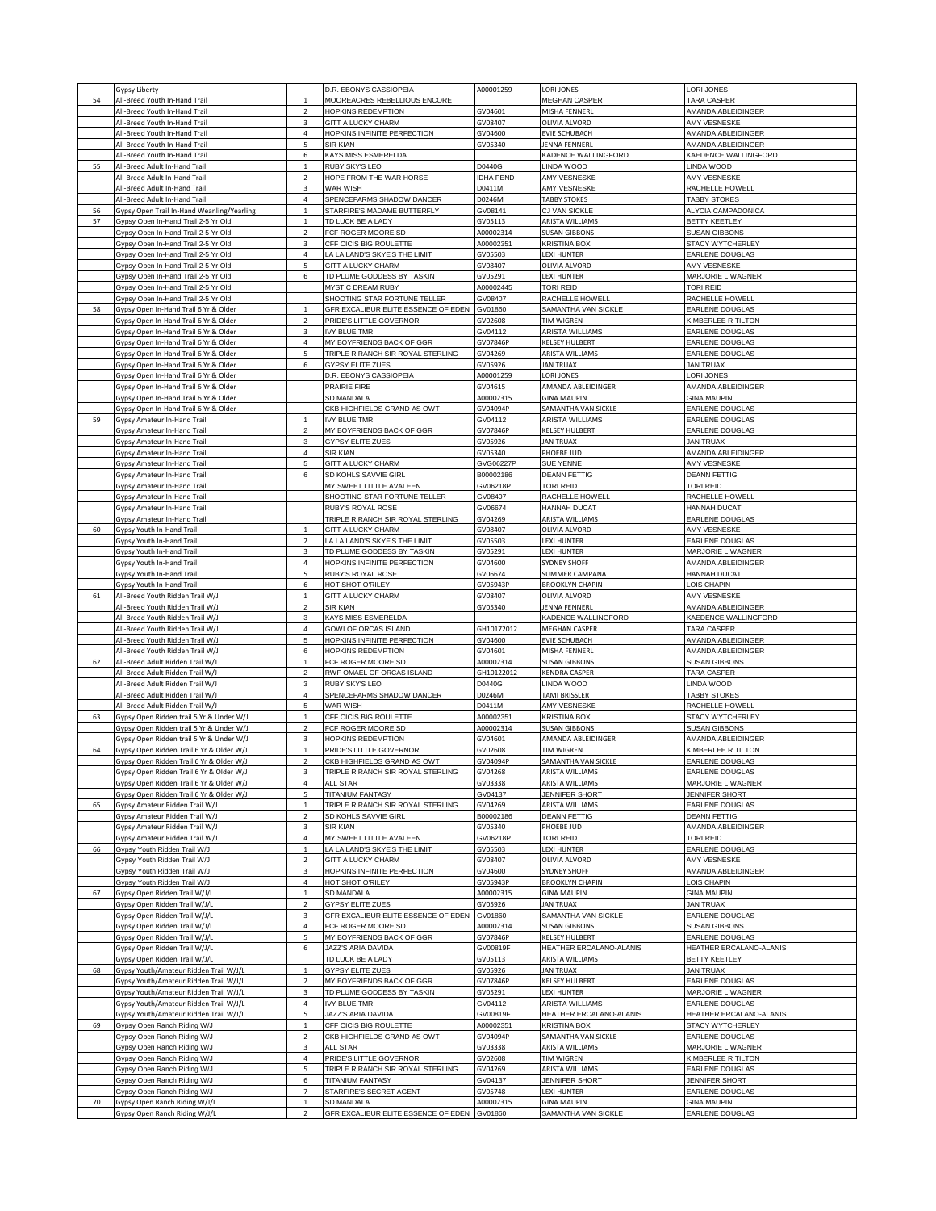|    | <b>Gypsy Liberty</b>                                           |                               | D.R. EBONYS CASSIOPEIA                            | A00001259            | LORI JONES                                | ORI JONES                             |
|----|----------------------------------------------------------------|-------------------------------|---------------------------------------------------|----------------------|-------------------------------------------|---------------------------------------|
| 54 | All-Breed Youth In-Hand Trail                                  | $\mathbf{1}$                  | MOOREACRES REBELLIOUS ENCORE                      |                      | <b>MEGHAN CASPER</b>                      | <b>TARA CASPER</b>                    |
|    | All-Breed Youth In-Hand Trail                                  | $\mathbf 2$                   | HOPKINS REDEMPTION                                | GV04601              | MISHA FENNERL                             | AMANDA ABLEIDINGER                    |
|    | All-Breed Youth In-Hand Trail                                  | 3                             | GITT A LUCKY CHARM                                | GV08407              | OLIVIA ALVORD                             | AMY VESNESKE                          |
|    | All-Breed Youth In-Hand Trail                                  | $\bf{4}$                      | HOPKINS INFINITE PERFECTION                       | GV04600              | <b>EVIE SCHUBACH</b>                      | AMANDA ABLEIDINGER                    |
|    |                                                                |                               | SIR KIAN                                          | GV05340              | JENNA FENNERL                             |                                       |
|    | All-Breed Youth In-Hand Trail                                  | 5                             |                                                   |                      |                                           | AMANDA ABLEIDINGER                    |
|    | All-Breed Youth In-Hand Trail                                  | 6                             | KAYS MISS ESMERELDA                               |                      | KADENCE WALLINGFORD                       | KAEDENCE WALLINGFORD                  |
| 55 | All-Breed Adult In-Hand Trail                                  | $\mathbf 1$                   | RUBY SKY'S LEO                                    | D0440G               | LINDA WOOD                                | INDA WOOD                             |
|    | All-Breed Adult In-Hand Trail                                  | $\overline{2}$                | HOPE FROM THE WAR HORSE                           | <b>IDHA PEND</b>     | AMY VESNESKE                              | AMY VESNESKE                          |
|    | All-Breed Adult In-Hand Trail                                  | $\overline{\mathbf{3}}$       | WAR WISH                                          | D0411M               | AMY VESNESKE                              | RACHELLE HOWELL                       |
|    | All-Breed Adult In-Hand Trail                                  | $\bf{4}$                      | SPENCEFARMS SHADOW DANCER                         | D0246M               | <b>TABBY STOKES</b>                       | <b>TABBY STOKES</b>                   |
| 56 |                                                                | $\mathbf 1$                   | STARFIRE'S MADAME BUTTERFLY                       | GV08141              | CJ VAN SICKLE                             | ALYCIA CAMPADONICA                    |
|    | Gypsy Open Trail In-Hand Weanling/Yearling                     |                               |                                                   |                      |                                           |                                       |
| 57 | Gypsy Open In-Hand Trail 2-5 Yr Old                            | $\mathbf 1$                   | TD LUCK BE A LADY                                 | GV05113              | ARISTA WILLIAMS                           | <b>BETTY KEETLEY</b>                  |
|    | Gypsy Open In-Hand Trail 2-5 Yr Old                            | $\overline{2}$                | FCF ROGER MOORE SD                                | A00002314            | <b>SUSAN GIBBONS</b>                      | <b>SUSAN GIBBONS</b>                  |
|    | Gypsy Open In-Hand Trail 2-5 Yr Old                            | $\overline{\mathbf{3}}$       | CFF CICIS BIG ROULETTE                            | A00002351            | <b>KRISTINA BOX</b>                       | STACY WYTCHERLEY                      |
|    | Gypsy Open In-Hand Trail 2-5 Yr Old                            | $\overline{4}$                | LA LA LAND'S SKYE'S THE LIMIT                     | GV05503              | <b>LEXI HUNTER</b>                        | EARLENE DOUGLAS                       |
|    | Gypsy Open In-Hand Trail 2-5 Yr Old                            | 5                             | GITT A LUCKY CHARM                                | GV08407              | OLIVIA ALVORD                             | AMY VESNESKE                          |
|    | Gypsy Open In-Hand Trail 2-5 Yr Old                            | 6                             | TD PLUME GODDESS BY TASKIN                        | GV05291              | LEXI HUNTER                               | MARJORIE L WAGNER                     |
|    |                                                                |                               |                                                   |                      |                                           |                                       |
|    | Gypsy Open In-Hand Trail 2-5 Yr Old                            |                               | MYSTIC DREAM RUBY                                 | A00002445            | <b>TORI REID</b>                          | TORI REID                             |
|    | Gypsy Open In-Hand Trail 2-5 Yr Old                            |                               | SHOOTING STAR FORTUNE TELLER                      | GV08407              | RACHELLE HOWELL                           | RACHELLE HOWELL                       |
| 58 | Gypsy Open In-Hand Trail 6 Yr & Older                          | $\mathbf{1}$                  | GFR EXCALIBUR ELITE ESSENCE OF EDEN               | GV01860              | SAMANTHA VAN SICKLE                       | EARLENE DOUGLAS                       |
|    | Gypsy Open In-Hand Trail 6 Yr & Older                          | $\overline{2}$                | PRIDE'S LITTLE GOVERNOR                           | GV02608              | <b>TIM WIGREN</b>                         | KIMBERLEE R TILTON                    |
|    | Gypsy Open In-Hand Trail 6 Yr & Older                          | 3                             | IVY BLUE TMR                                      | GV04112              | ARISTA WILLIAMS                           | <b>EARLENE DOUGLAS</b>                |
|    | Gypsy Open In-Hand Trail 6 Yr & Older                          | $\overline{4}$                | MY BOYFRIENDS BACK OF GGR                         | GV07846P             | <b>KELSEY HULBERT</b>                     | EARLENE DOUGLAS                       |
|    |                                                                |                               |                                                   |                      |                                           |                                       |
|    | Gypsy Open In-Hand Trail 6 Yr & Older                          | 5                             | TRIPLE R RANCH SIR ROYAL STERLING                 | GV04269              | <b>ARISTA WILLIAMS</b>                    | EARLENE DOUGLAS                       |
|    | Gypsy Open In-Hand Trail 6 Yr & Older                          | 6                             | GYPSY ELITE ZUES                                  | GV05926              | <b>JAN TRUAX</b>                          | <b>JAN TRUAX</b>                      |
|    | Gypsy Open In-Hand Trail 6 Yr & Older                          |                               | D.R. EBONYS CASSIOPEIA                            | A00001259            | LORI JONES                                | ORI JONES                             |
|    | Gypsy Open In-Hand Trail 6 Yr & Older                          |                               | PRAIRIE FIRE                                      | GV04615              | AMANDA ABLEIDINGER                        | <b>AMANDA ABLEIDINGER</b>             |
|    | Gypsy Open In-Hand Trail 6 Yr & Older                          |                               | SD MANDALA                                        | A00002315            | <b>GINA MAUPIN</b>                        | <b>GINA MAUPIN</b>                    |
|    |                                                                |                               | CKB HIGHFIELDS GRAND AS OWT                       | GV04094P             |                                           | EARLENE DOUGLAS                       |
|    | Gypsy Open In-Hand Trail 6 Yr & Older                          |                               |                                                   |                      | SAMANTHA VAN SICKLE                       |                                       |
| 59 | Gypsy Amateur In-Hand Trail                                    | $\mathbf{1}$                  | IVY BLUE TMR                                      | GV04112              | ARISTA WILLIAMS                           | EARLENE DOUGLAS                       |
|    | Gypsy Amateur In-Hand Trail                                    | $\overline{2}$                | MY BOYFRIENDS BACK OF GGR                         | GV07846P             | <b>KELSEY HULBERT</b>                     | <b>EARLENE DOUGLAS</b>                |
|    | Gypsy Amateur In-Hand Trail                                    | $\mathbf 3$                   | GYPSY ELITE ZUES                                  | GV05926              | <b>JAN TRUAX</b>                          | <b>JAN TRUAX</b>                      |
|    | Gypsy Amateur In-Hand Trail                                    | 4                             | <b>SIR KIAN</b>                                   | GV05340              | PHOEBE JUD                                | AMANDA ABLEIDINGER                    |
|    | Gypsy Amateur In-Hand Trail                                    | 5                             | <b>GITT A LUCKY CHARM</b>                         | GVG06227P            | SUE YENNE                                 | AMY VESNESKE                          |
|    |                                                                |                               |                                                   |                      |                                           |                                       |
|    | Gypsy Amateur In-Hand Trail                                    | 6                             | SD KOHLS SAVVIE GIRL                              | B00002186            | <b>DEANN FETTIG</b>                       | <b>DEANN FETTIG</b>                   |
|    | Gypsy Amateur In-Hand Trail                                    |                               | MY SWEET LITTLE AVALEEN                           | GV06218P             | <b>TORI REID</b>                          | <b>TORI REID</b>                      |
|    | Gypsy Amateur In-Hand Trail                                    |                               | SHOOTING STAR FORTUNE TELLER                      | GV08407              | RACHELLE HOWELL                           | RACHELLE HOWELL                       |
|    | Gypsy Amateur In-Hand Trail                                    |                               | RUBY'S ROYAL ROSE                                 | GV06674              | <b>HANNAH DUCAT</b>                       | HANNAH DUCAT                          |
|    | Gypsy Amateur In-Hand Trail                                    |                               | TRIPLE R RANCH SIR ROYAL STERLING                 | GV04269              | ARISTA WILLIAMS                           | EARLENE DOUGLAS                       |
| 60 | Gypsy Youth In-Hand Trail                                      | $\mathbf{1}$                  | GITT A LUCKY CHARM                                | GV08407              | OLIVIA ALVORD                             | AMY VESNESKE                          |
|    |                                                                |                               |                                                   |                      |                                           |                                       |
|    | Gypsy Youth In-Hand Trail                                      | $\overline{2}$                | LA LA LAND'S SKYE'S THE LIMIT                     | GV05503              | <b>LEXI HUNTER</b>                        | <b>EARLENE DOUGLAS</b>                |
|    | Gypsy Youth In-Hand Trail                                      | 3                             | TD PLUME GODDESS BY TASKIN                        | GV05291              | LEXI HUNTER                               | MARJORIE L WAGNER                     |
|    | Gypsy Youth In-Hand Trail                                      | $\overline{4}$                | HOPKINS INFINITE PERFECTION                       | GV04600              | SYDNEY SHOFF                              | AMANDA ABLEIDINGER                    |
|    | Gypsy Youth In-Hand Trail                                      | 5                             | RUBY'S ROYAL ROSE                                 | GV06674              | SUMMER CAMPANA                            | <b>HANNAH DUCAT</b>                   |
|    | Gypsy Youth In-Hand Trail                                      | 6                             | HOT SHOT O'RILEY                                  | GV05943P             | <b>BROOKLYN CHAPIN</b>                    | OIS CHAPIN                            |
| 61 | All-Breed Youth Ridden Trail W/J                               | 1                             | GITT A LUCKY CHARM                                | GV08407              | OLIVIA ALVORD                             | AMY VESNESKE                          |
|    |                                                                |                               |                                                   |                      |                                           |                                       |
|    | All-Breed Youth Ridden Trail W/J                               | $\mathbf 2$                   | SIR KIAN                                          | GV05340              | JENNA FENNERL                             | AMANDA ABLEIDINGER                    |
|    |                                                                |                               |                                                   |                      |                                           |                                       |
|    | All-Breed Youth Ridden Trail W/J                               | 3                             | KAYS MISS ESMERELDA                               |                      | KADENCE WALLINGFORD                       | KAEDENCE WALLINGFORD                  |
|    | All-Breed Youth Ridden Trail W/J                               | $\sqrt{4}$                    | GOWI OF ORCAS ISLAND                              | GH10172012           | <b>MEGHAN CASPER</b>                      | TARA CASPER                           |
|    |                                                                |                               |                                                   |                      |                                           |                                       |
|    | All-Breed Youth Ridden Trail W/J                               | 5                             | HOPKINS INFINITE PERFECTION                       | GV04600              | <b>EVIE SCHUBACH</b>                      | AMANDA ABLEIDINGER                    |
|    | All-Breed Youth Ridden Trail W/J                               | 6                             | HOPKINS REDEMPTION                                | GV04601              | MISHA FENNERL                             | AMANDA ABLEIDINGER                    |
| 62 | All-Breed Adult Ridden Trail W/J                               | $\mathbf{1}$                  | FCF ROGER MOORE SD                                | A00002314            | <b>SUSAN GIBBONS</b>                      | <b>SUSAN GIBBONS</b>                  |
|    | All-Breed Adult Ridden Trail W/J                               | $\overline{\mathbf{c}}$       | RWF OMAEL OF ORCAS ISLAND                         | GH10122012           | <b>KENDRA CASPER</b>                      | TARA CASPER                           |
|    | All-Breed Adult Ridden Trail W/J                               | $\mathbf{3}$                  | RUBY SKY'S LEO                                    | D0440G               | LINDA WOOD                                | LINDA WOOD                            |
|    | All-Breed Adult Ridden Trail W/J                               | $\sqrt{4}$                    | SPENCEFARMS SHADOW DANCER                         | D0246M               | <b>TAMI BRISSLER</b>                      | <b>TABBY STOKES</b>                   |
|    | All-Breed Adult Ridden Trail W/J                               | 5                             | WAR WISH                                          | D0411M               | AMY VESNESKE                              | RACHELLE HOWELL                       |
|    |                                                                |                               |                                                   |                      |                                           |                                       |
| 63 | Gypsy Open Ridden trail 5 Yr & Under W/J                       | $\mathbf{1}$                  | CFF CICIS BIG ROULETTE                            | A00002351            | KRISTINA BOX                              | STACY WYTCHERLEY                      |
|    | Gypsy Open Ridden trail 5 Yr & Under W/J                       | $\overline{2}$                | FCF ROGER MOORE SD                                | A00002314            | <b>SUSAN GIBBONS</b>                      | <b>SUSAN GIBBONS</b>                  |
|    | Gypsy Open Ridden trail 5 Yr & Under W/J                       | $\overline{\mathbf{3}}$       | HOPKINS REDEMPTION                                | GV04601              | AMANDA ABLEIDINGER                        | AMANDA ABLEIDINGER                    |
| 64 | Gypsy Open Ridden Trail 6 Yr & Older W/J                       | $\mathbf{1}$                  | PRIDE'S LITTLE GOVERNOR                           | GV02608              | <b>TIM WIGREN</b>                         | KIMBERLEE R TILTON                    |
|    | Gypsy Open Ridden Trail 6 Yr & Older W/J                       | $\overline{2}$                | CKB HIGHFIELDS GRAND AS OWT                       | GV04094P             | SAMANTHA VAN SICKLE                       | EARLENE DOUGLAS                       |
|    | Gypsy Open Ridden Trail 6 Yr & Older W/J                       | 3                             | TRIPLE R RANCH SIR ROYAL STERLING                 | GV04268              | <b>ARISTA WILLIAMS</b>                    | EARLENE DOUGLAS                       |
|    | Gypsy Open Ridden Trail 6 Yr & Older W/J                       | 4                             | ALL STAR                                          | GV03338              | ARISTA WILLIAMS                           | MARJORIE L WAGNER                     |
|    |                                                                |                               |                                                   |                      |                                           |                                       |
|    | Gypsy Open Ridden Trail 6 Yr & Older W/J                       | 5                             | <b>TITANIUM FANTASY</b>                           | GV04137              | JENNIFER SHORT                            | <b>JENNIFER SHORT</b>                 |
| 65 | Gypsy Amateur Ridden Trail W/J                                 | $\mathbf{1}$                  | TRIPLE R RANCH SIR ROYAL STERLING                 | GV04269              | ARISTA WILLIAMS                           | EARLENE DOUGLAS                       |
|    | Gypsy Amateur Ridden Trail W/J                                 | $\overline{2}$                | SD KOHLS SAVVIE GIRL                              | B00002186            | <b>DEANN FETTIG</b>                       | <b>DEANN FETTIG</b>                   |
|    | Gypsy Amateur Ridden Trail W/J                                 | 3                             | SIR KIAN                                          | GV05340              | PHOEBE JUD                                | AMANDA ABLEIDINGER                    |
|    | Gypsy Amateur Ridden Trail W/J                                 | 4                             | MY SWEET LITTLE AVALEEN                           | GV06218P             | <b>TORI REID</b>                          | <b>TORI REID</b>                      |
| 66 | Gypsy Youth Ridden Trail W/J                                   | $\mathbf 1$                   | LA LA LAND'S SKYE'S THE LIMIT                     | GV05503              | <b>LEXI HUNTER</b>                        | EARLENE DOUGLAS                       |
|    | Gypsy Youth Ridden Trail W/J                                   | $\mathbf 2$                   | GITT A LUCKY CHARM                                | GV08407              | OLIVIA ALVORD                             | AMY VESNESKE                          |
|    |                                                                | 3                             | HOPKINS INFINITE PERFECTION                       | GV04600              | SYDNEY SHOFF                              | AMANDA ABLEIDINGER                    |
|    | Gypsy Youth Ridden Trail W/J                                   |                               |                                                   |                      |                                           |                                       |
|    | Gypsy Youth Ridden Trail W/J                                   | $\overline{4}$                | HOT SHOT O'RILEY                                  | GV05943P             | <b>BROOKLYN CHAPIN</b>                    | OIS CHAPIN                            |
| 67 | Gypsy Open Ridden Trail W/J/L                                  | $\mathbf{1}$                  | SD MANDALA                                        | A00002315            | <b>GINA MAUPIN</b>                        | <b>GINA MAUPIN</b>                    |
|    | Gypsy Open Ridden Trail W/J/L                                  | $\mathbf 2$                   | GYPSY ELITE ZUES                                  | GV05926              | <b>JAN TRUAX</b>                          | <b>JAN TRUAX</b>                      |
|    | Gypsy Open Ridden Trail W/J/L                                  | 3                             | GFR EXCALIBUR ELITE ESSENCE OF EDEN               | GV01860              | SAMANTHA VAN SICKLE                       | EARLENE DOUGLAS                       |
|    | Gypsy Open Ridden Trail W/J/L                                  | $\overline{4}$                | FCF ROGER MOORE SD                                | A00002314            | <b>SUSAN GIBBONS</b>                      | <b>SUSAN GIBBONS</b>                  |
|    | Gypsy Open Ridden Trail W/J/L                                  | 5                             | MY BOYFRIENDS BACK OF GGR                         | GV07846P             | KELSEY HULBERT                            | EARLENE DOUGLAS                       |
|    |                                                                |                               |                                                   |                      |                                           |                                       |
|    | Gypsy Open Ridden Trail W/J/L                                  | 6                             | JAZZ'S ARIA DAVIDA                                | GV00819F             | HEATHER ERCALANO-ALANIS                   | HEATHER ERCALANO-ALANIS               |
|    | Gypsy Open Ridden Trail W/J/L                                  |                               | TD LUCK BE A LADY                                 | GV05113              | ARISTA WILLIAMS                           | <b>BETTY KEETLEY</b>                  |
| 68 | Gypsy Youth/Amateur Ridden Trail W/J/L                         | $\mathbf{1}$                  | GYPSY ELITE ZUES                                  | GV05926              | <b>JAN TRUAX</b>                          | <b>JAN TRUAX</b>                      |
|    | Gypsy Youth/Amateur Ridden Trail W/J/L                         | $\overline{2}$                | MY BOYFRIENDS BACK OF GGR                         | GV07846P             | <b>KELSEY HULBERT</b>                     | EARLENE DOUGLAS                       |
|    | Gypsy Youth/Amateur Ridden Trail W/J/L                         | 3                             | TD PLUME GODDESS BY TASKIN                        | GV05291              | LEXI HUNTER                               | MARJORIE L WAGNER                     |
|    |                                                                | 4                             |                                                   |                      | ARISTA WILLIAMS                           |                                       |
|    | Gypsy Youth/Amateur Ridden Trail W/J/L                         |                               | IVY BLUE TMR                                      | GV04112              |                                           | EARLENE DOUGLAS                       |
|    | Gypsy Youth/Amateur Ridden Trail W/J/L                         | 5                             | JAZZ'S ARIA DAVIDA                                | GV00819F             | HEATHER ERCALANO-ALANIS                   | HEATHER ERCALANO-ALANIS               |
| 69 | Gypsy Open Ranch Riding W/J                                    | $\mathbf 1$                   | CFF CICIS BIG ROULETTE                            | A00002351            | <b>KRISTINA BOX</b>                       | STACY WYTCHERLEY                      |
|    | Gypsy Open Ranch Riding W/J                                    | $\overline{2}$                | CKB HIGHFIELDS GRAND AS OWT                       | GV04094P             | SAMANTHA VAN SICKLE                       | EARLENE DOUGLAS                       |
|    | Gypsy Open Ranch Riding W/J                                    | 3                             | ALL STAR                                          | GV03338              | ARISTA WILLIAMS                           | MARJORIE L WAGNER                     |
|    | Gypsy Open Ranch Riding W/J                                    | 4                             | PRIDE'S LITTLE GOVERNOR                           | GV02608              | TIM WIGREN                                | KIMBERLEE R TILTON                    |
|    |                                                                | 5                             |                                                   |                      |                                           |                                       |
|    | Gypsy Open Ranch Riding W/J                                    |                               | TRIPLE R RANCH SIR ROYAL STERLING                 | GV04269              | ARISTA WILLIAMS                           | EARLENE DOUGLAS                       |
|    | Gypsy Open Ranch Riding W/J                                    | 6                             | TITANIUM FANTASY                                  | GV04137              | <b>JENNIFER SHORT</b>                     | JENNIFER SHORT                        |
|    | Gypsy Open Ranch Riding W/J                                    | $\overline{7}$                | STARFIRE'S SECRET AGENT                           | GV05748              | LEXI HUNTER                               | EARLENE DOUGLAS                       |
| 70 | Gypsy Open Ranch Riding W/J/L<br>Gypsy Open Ranch Riding W/J/L | $\mathbf 1$<br>$\overline{2}$ | SD MANDALA<br>GFR EXCALIBUR ELITE ESSENCE OF EDEN | A00002315<br>GV01860 | <b>GINA MAUPIN</b><br>SAMANTHA VAN SICKLE | <b>GINA MAUPIN</b><br>EARLENE DOUGLAS |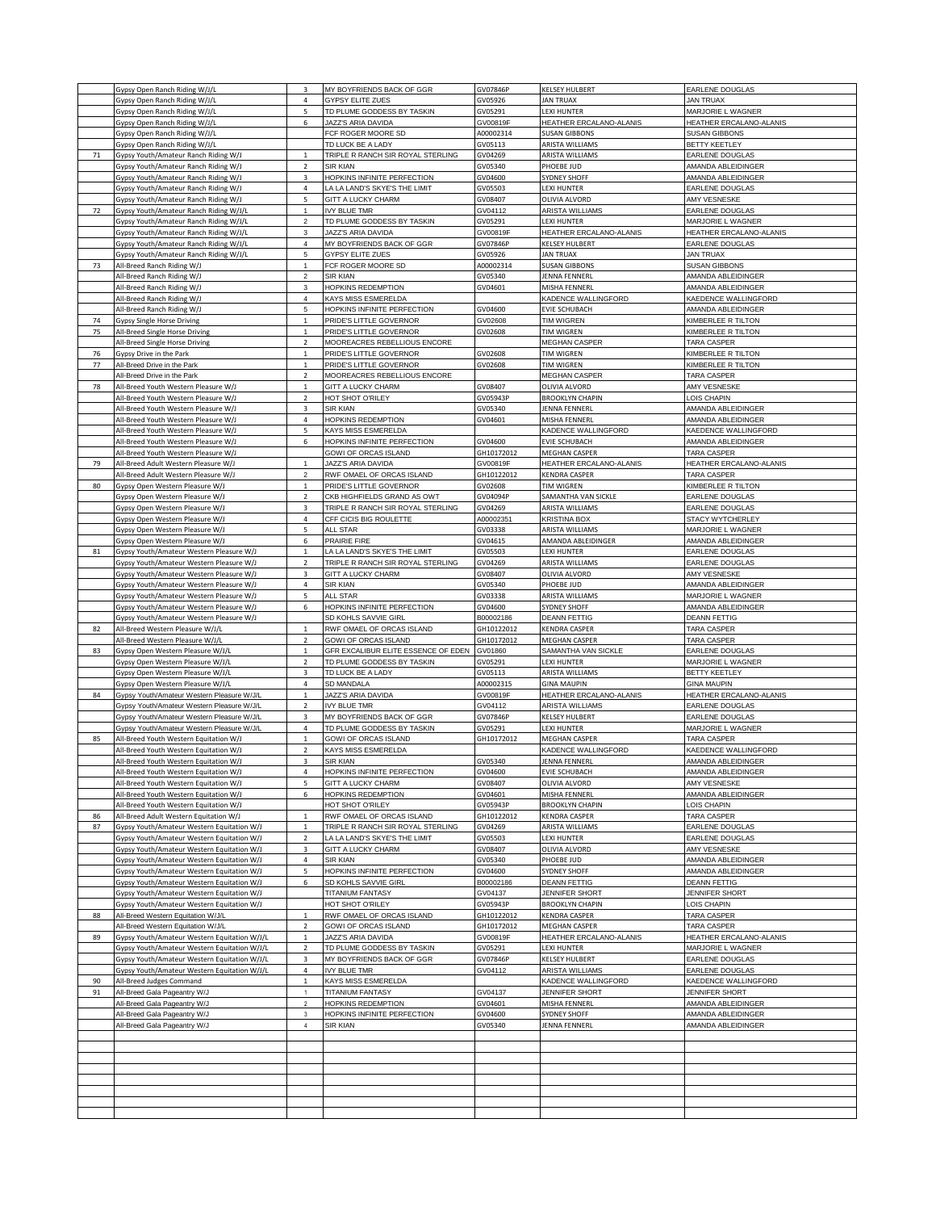| MY BOYFRIENDS BACK OF GGR<br>GV07846P<br>Gypsy Open Ranch Riding W/J/L<br>3<br>Gypsy Open Ranch Riding W/J/L<br>$\overline{4}$<br>GV05926<br>GYPSY ELITE ZUES<br>Gypsy Open Ranch Riding W/J/L<br>TD PLUME GODDESS BY TASKIN<br>GV05291<br>5<br>Gypsy Open Ranch Riding W/J/L<br>6<br>GV00819F<br>JAZZ'S ARIA DAVIDA<br>Gypsy Open Ranch Riding W/J/L<br>FCF ROGER MOORE SD<br>A00002314<br>Gypsy Open Ranch Riding W/J/L<br>TD LUCK BE A LADY<br>GV05113<br>$71\,$<br>Gypsy Youth/Amateur Ranch Riding W/J<br>$\,$ 1 $\,$<br>TRIPLE R RANCH SIR ROYAL STERLING<br>GV04269 | <b>KELSEY HULBERT</b>   | EARLENE DOUGLAS           |
|----------------------------------------------------------------------------------------------------------------------------------------------------------------------------------------------------------------------------------------------------------------------------------------------------------------------------------------------------------------------------------------------------------------------------------------------------------------------------------------------------------------------------------------------------------------------------|-------------------------|---------------------------|
|                                                                                                                                                                                                                                                                                                                                                                                                                                                                                                                                                                            |                         |                           |
|                                                                                                                                                                                                                                                                                                                                                                                                                                                                                                                                                                            | <b>JAN TRUAX</b>        | <b>JAN TRUAX</b>          |
|                                                                                                                                                                                                                                                                                                                                                                                                                                                                                                                                                                            | LEXI HUNTER             | MARJORIE L WAGNER         |
|                                                                                                                                                                                                                                                                                                                                                                                                                                                                                                                                                                            | HEATHER ERCALANO-ALANIS | HEATHER ERCALANO-ALANIS   |
|                                                                                                                                                                                                                                                                                                                                                                                                                                                                                                                                                                            | <b>SUSAN GIBBONS</b>    | <b>SUSAN GIBBONS</b>      |
|                                                                                                                                                                                                                                                                                                                                                                                                                                                                                                                                                                            | ARISTA WILLIAMS         | <b>BETTY KEETLEY</b>      |
|                                                                                                                                                                                                                                                                                                                                                                                                                                                                                                                                                                            | <b>ARISTA WILLIAMS</b>  | EARLENE DOUGLAS           |
| Gypsy Youth/Amateur Ranch Riding W/J<br>$\overline{2}$                                                                                                                                                                                                                                                                                                                                                                                                                                                                                                                     |                         | AMANDA ABLEIDINGER        |
| GV05340<br><b>SIR KIAN</b>                                                                                                                                                                                                                                                                                                                                                                                                                                                                                                                                                 | PHOEBE JUD              |                           |
| HOPKINS INFINITE PERFECTION<br>Gypsy Youth/Amateur Ranch Riding W/J<br>3<br>GV04600                                                                                                                                                                                                                                                                                                                                                                                                                                                                                        | <b>SYDNEY SHOFF</b>     | AMANDA ABLEIDINGER        |
| Gypsy Youth/Amateur Ranch Riding W/J<br>4<br>LA LA LAND'S SKYE'S THE LIMIT<br>GV05503                                                                                                                                                                                                                                                                                                                                                                                                                                                                                      | LEXI HUNTER             | EARLENE DOUGLAS           |
| 5<br><b>GITT A LUCKY CHARM</b><br>GV08407<br>Gypsy Youth/Amateur Ranch Riding W/J                                                                                                                                                                                                                                                                                                                                                                                                                                                                                          | OLIVIA ALVORD           | AMY VESNESKE              |
| 72<br>Gypsy Youth/Amateur Ranch Riding W/J/L<br>$\mathbf{1}$<br><b>IVY BLUE TMR</b><br>GV04112                                                                                                                                                                                                                                                                                                                                                                                                                                                                             | ARISTA WILLIAMS         | EARLENE DOUGLAS           |
| Gypsy Youth/Amateur Ranch Riding W/J/L<br>$\overline{2}$<br>TD PLUME GODDESS BY TASKIN<br>GV05291                                                                                                                                                                                                                                                                                                                                                                                                                                                                          | LEXI HUNTER             | MARJORIE L WAGNER         |
| Gypsy Youth/Amateur Ranch Riding W/J/L<br>3<br>JAZZ'S ARIA DAVIDA<br>GV00819F                                                                                                                                                                                                                                                                                                                                                                                                                                                                                              | HEATHER ERCALANO-ALANIS | HEATHER ERCALANO-ALANIS   |
| Gypsy Youth/Amateur Ranch Riding W/J/L<br>4<br>MY BOYFRIENDS BACK OF GGR<br>GV07846P                                                                                                                                                                                                                                                                                                                                                                                                                                                                                       | KELSEY HULBERT          | EARLENE DOUGLAS           |
| Gypsy Youth/Amateur Ranch Riding W/J/L<br>5<br><b>GYPSY ELITE ZUES</b><br>GV05926                                                                                                                                                                                                                                                                                                                                                                                                                                                                                          | <b>JAN TRUAX</b>        | <b>JAN TRUAX</b>          |
| 73<br>All-Breed Ranch Riding W/J<br>$\mathbf{1}$<br>FCF ROGER MOORE SD<br>A00002314                                                                                                                                                                                                                                                                                                                                                                                                                                                                                        | <b>SUSAN GIBBONS</b>    | <b>SUSAN GIBBONS</b>      |
| All-Breed Ranch Riding W/J<br>$\overline{2}$<br><b>SIR KIAN</b><br>GV05340                                                                                                                                                                                                                                                                                                                                                                                                                                                                                                 | JENNA FENNERL           | AMANDA ABLEIDINGER        |
| HOPKINS REDEMPTION                                                                                                                                                                                                                                                                                                                                                                                                                                                                                                                                                         | MISHA FENNERL           | AMANDA ABLEIDINGER        |
| All-Breed Ranch Riding W/J<br>3<br>GV04601                                                                                                                                                                                                                                                                                                                                                                                                                                                                                                                                 |                         |                           |
| All-Breed Ranch Riding W/J<br>KAYS MISS ESMERELDA<br>4                                                                                                                                                                                                                                                                                                                                                                                                                                                                                                                     | KADENCE WALLINGFORD     | KAEDENCE WALLINGFORD      |
| All-Breed Ranch Riding W/J<br>$\mathbf 5$<br>HOPKINS INFINITE PERFECTION<br>GV04600                                                                                                                                                                                                                                                                                                                                                                                                                                                                                        | EVIE SCHUBACH           | AMANDA ABLEIDINGER        |
| 74<br><b>Gypsy Single Horse Driving</b><br>$\mathbf{1}$<br>PRIDE'S LITTLE GOVERNOR<br>GV02608                                                                                                                                                                                                                                                                                                                                                                                                                                                                              | <b>TIM WIGREN</b>       | KIMBERLEE R TILTON        |
| 75<br>All-Breed Single Horse Driving<br>$1\,$<br>PRIDE'S LITTLE GOVERNOR<br>GV02608                                                                                                                                                                                                                                                                                                                                                                                                                                                                                        | <b>TIM WIGREN</b>       | KIMBERLEE R TILTON        |
| MOOREACRES REBELLIOUS ENCORE<br>All-Breed Single Horse Driving<br>$\overline{2}$                                                                                                                                                                                                                                                                                                                                                                                                                                                                                           | MEGHAN CASPER           | TARA CASPER               |
| 76<br>Gypsy Drive in the Park<br>1<br>PRIDE'S LITTLE GOVERNOR<br>GV02608                                                                                                                                                                                                                                                                                                                                                                                                                                                                                                   | TIM WIGREN              | <b>KIMBERLEE R TILTON</b> |
| 77<br>All-Breed Drive in the Park<br>PRIDE'S LITTLE GOVERNOR<br>GV02608<br>$\mathbf{1}$                                                                                                                                                                                                                                                                                                                                                                                                                                                                                    | <b>TIM WIGREN</b>       | KIMBERLEE R TILTON        |
| All-Breed Drive in the Park<br>$\overline{2}$<br>MOOREACRES REBELLIOUS ENCORE                                                                                                                                                                                                                                                                                                                                                                                                                                                                                              | MEGHAN CASPER           | <b>TARA CASPER</b>        |
| 78<br>All-Breed Youth Western Pleasure W/J<br>$1\,$<br><b>GITT A LUCKY CHARM</b><br>GV08407                                                                                                                                                                                                                                                                                                                                                                                                                                                                                | OLIVIA ALVORD           | AMY VESNESKE              |
| All-Breed Youth Western Pleasure W/J<br>$\overline{2}$<br>HOT SHOT O'RILEY<br>GV05943P                                                                                                                                                                                                                                                                                                                                                                                                                                                                                     | <b>BROOKLYN CHAPIN</b>  | <b>OIS CHAPIN</b>         |
| 3<br><b>SIR KIAN</b>                                                                                                                                                                                                                                                                                                                                                                                                                                                                                                                                                       |                         |                           |
| GV05340<br>All-Breed Youth Western Pleasure W/J                                                                                                                                                                                                                                                                                                                                                                                                                                                                                                                            | JENNA FENNERI           | AMANDA ABLEIDINGER        |
| $\overline{4}$<br>HOPKINS REDEMPTION<br>GV04601<br>All-Breed Youth Western Pleasure W/J                                                                                                                                                                                                                                                                                                                                                                                                                                                                                    | MISHA FENNERL           | AMANDA ABLEIDINGER        |
| All-Breed Youth Western Pleasure W/J<br>5<br>KAYS MISS ESMERELDA                                                                                                                                                                                                                                                                                                                                                                                                                                                                                                           | KADENCE WALLINGFORD     | KAEDENCE WALLINGFORD      |
| All-Breed Youth Western Pleasure W/J<br>6<br>HOPKINS INFINITE PERFECTION<br>GV04600                                                                                                                                                                                                                                                                                                                                                                                                                                                                                        | EVIE SCHUBACH           | AMANDA ABLEIDINGER        |
| All-Breed Youth Western Pleasure W/J<br><b>GOWI OF ORCAS ISLAND</b><br>GH10172012                                                                                                                                                                                                                                                                                                                                                                                                                                                                                          | MEGHAN CASPER           | TARA CASPER               |
| 79<br>JAZZ'S ARIA DAVIDA<br>GV00819F<br>All-Breed Adult Western Pleasure W/J<br>1                                                                                                                                                                                                                                                                                                                                                                                                                                                                                          | HEATHER ERCALANO-ALANIS | HEATHER ERCALANO-ALANIS   |
| All-Breed Adult Western Pleasure W/J<br>$\overline{2}$<br>RWF OMAEL OF ORCAS ISLAND<br>GH10122012                                                                                                                                                                                                                                                                                                                                                                                                                                                                          | <b>KENDRA CASPER</b>    | TARA CASPER               |
| 80<br>Gypsy Open Western Pleasure W/J<br>$\mathbf 1$<br>PRIDE'S LITTLE GOVERNOR<br>GV02608                                                                                                                                                                                                                                                                                                                                                                                                                                                                                 | TIM WIGREN              | KIMBERLEE R TILTON        |
| Gypsy Open Western Pleasure W/J<br>$\overline{2}$<br>CKB HIGHFIELDS GRAND AS OWT<br>GV04094P                                                                                                                                                                                                                                                                                                                                                                                                                                                                               | SAMANTHA VAN SICKLE     | EARLENE DOUGLAS           |
| Gypsy Open Western Pleasure W/J<br>3<br>TRIPLE R RANCH SIR ROYAL STERLING<br>GV04269                                                                                                                                                                                                                                                                                                                                                                                                                                                                                       | ARISTA WILLIAMS         | EARLENE DOUGLAS           |
| CFF CICIS BIG ROULETTE<br>A00002351<br>Gypsy Open Western Pleasure W/J<br>4                                                                                                                                                                                                                                                                                                                                                                                                                                                                                                | KRISTINA BOX            | STACY WYTCHERLEY          |
|                                                                                                                                                                                                                                                                                                                                                                                                                                                                                                                                                                            |                         |                           |
| 5<br>ALL STAR<br>GV03338<br>Gypsy Open Western Pleasure W/J                                                                                                                                                                                                                                                                                                                                                                                                                                                                                                                | ARISTA WILLIAMS         | MARJORIE L WAGNER         |
| $\,6\,$<br>PRAIRIE FIRE<br>GV04615<br>Gypsy Open Western Pleasure W/J                                                                                                                                                                                                                                                                                                                                                                                                                                                                                                      | AMANDA ABLEIDINGER      | AMANDA ABLEIDINGER        |
| Gypsy Youth/Amateur Western Pleasure W/J<br>LA LA LAND'S SKYE'S THE LIMIT<br>GV05503<br>81<br>$\mathbf{1}$                                                                                                                                                                                                                                                                                                                                                                                                                                                                 | LEXI HUNTER             | EARLENE DOUGLAS           |
| Gypsy Youth/Amateur Western Pleasure W/J<br>$\overline{2}$<br>TRIPLE R RANCH SIR ROYAL STERLING<br>GV04269                                                                                                                                                                                                                                                                                                                                                                                                                                                                 | ARISTA WILLIAMS         | EARLENE DOUGLAS           |
| <b>GITT A LUCKY CHARM</b><br>Gypsy Youth/Amateur Western Pleasure W/J<br>3<br>GV08407                                                                                                                                                                                                                                                                                                                                                                                                                                                                                      | OLIVIA ALVORD           | <b>AMY VESNESKE</b>       |
| Gypsy Youth/Amateur Western Pleasure W/J<br>$\overline{4}$<br>GV05340<br><b>SIR KIAN</b>                                                                                                                                                                                                                                                                                                                                                                                                                                                                                   | PHOEBE JUD              | AMANDA ABLEIDINGER        |
|                                                                                                                                                                                                                                                                                                                                                                                                                                                                                                                                                                            | ARISTA WILLIAMS         | MARJORIE L WAGNER         |
| Gypsy Youth/Amateur Western Pleasure W/J<br>5<br>ALL STAR<br>GV03338                                                                                                                                                                                                                                                                                                                                                                                                                                                                                                       | SYDNEY SHOFF            | AMANDA ABLEIDINGER        |
| GV04600                                                                                                                                                                                                                                                                                                                                                                                                                                                                                                                                                                    |                         |                           |
| Gypsy Youth/Amateur Western Pleasure W/J<br>6<br>HOPKINS INFINITE PERFECTION                                                                                                                                                                                                                                                                                                                                                                                                                                                                                               |                         |                           |
| Gypsy Youth/Amateur Western Pleasure W/J<br>SD KOHLS SAVVIE GIRL<br>B00002186                                                                                                                                                                                                                                                                                                                                                                                                                                                                                              | <b>DEANN FETTIG</b>     | DEANN FETTIG              |
| 82<br>All-Breed Western Pleasure W/J/L<br>$\mathbf 1$<br>RWF OMAEL OF ORCAS ISLAND<br>GH10122012                                                                                                                                                                                                                                                                                                                                                                                                                                                                           | KENDRA CASPER           | TARA CASPER               |
| GH10172012<br>All-Breed Western Pleasure W/J/L<br>$\overline{2}$<br>GOWI OF ORCAS ISLAND                                                                                                                                                                                                                                                                                                                                                                                                                                                                                   | MEGHAN CASPER           | TARA CASPER               |
| 83<br>Gypsy Open Western Pleasure W/J/L<br>GFR EXCALIBUR ELITE ESSENCE OF EDEN<br>GV01860<br>$\mathbf{1}$                                                                                                                                                                                                                                                                                                                                                                                                                                                                  | SAMANTHA VAN SICKLE     | EARLENE DOUGLAS           |
| Gypsy Open Western Pleasure W/J/L<br>$\overline{2}$<br>TD PLUME GODDESS BY TASKIN<br>GV05291                                                                                                                                                                                                                                                                                                                                                                                                                                                                               | LEXI HUNTER             | MARJORIE L WAGNER         |
| Gypsy Open Western Pleasure W/J/L<br>3<br>TD LUCK BE A LADY<br>GV05113                                                                                                                                                                                                                                                                                                                                                                                                                                                                                                     | ARISTA WILLIAMS         | BETTY KEETLEY             |
| SD MANDALA<br>A00002315<br>Gypsy Open Western Pleasure W/J/L<br>4                                                                                                                                                                                                                                                                                                                                                                                                                                                                                                          | <b>GINA MAUPIN</b>      | <b>GINA MAUPIN</b>        |
| Gypsy Youth/Amateur Western Pleasure W/J/L<br>JAZZ'S ARIA DAVIDA<br>GV00819F<br>84<br>$\mathbf{1}$                                                                                                                                                                                                                                                                                                                                                                                                                                                                         | HEATHER ERCALANO-ALANIS | HEATHER ERCALANO-ALANIS   |
| Gypsy Youth/Amateur Western Pleasure W/J/L<br>$\overline{2}$<br><b>IVY BLUE TMR</b><br>GV04112                                                                                                                                                                                                                                                                                                                                                                                                                                                                             | ARISTA WILLIAMS         | EARLENE DOUGLAS           |
| Gypsy Youth/Amateur Western Pleasure W/J/L<br>GV07846P<br>3<br>MY BOYFRIENDS BACK OF GGR                                                                                                                                                                                                                                                                                                                                                                                                                                                                                   | KELSEY HULBERT          | EARLENE DOUGLAS           |
| Gypsy Youth/Amateur Western Pleasure W/J/L<br>4<br>TD PLUME GODDESS BY TASKIN<br>GV05291                                                                                                                                                                                                                                                                                                                                                                                                                                                                                   | LEXI HUNTER             | MARJORIE L WAGNER         |
|                                                                                                                                                                                                                                                                                                                                                                                                                                                                                                                                                                            |                         | <b>TARA CASPER</b>        |
| <b>GOWI OF ORCAS ISLAND</b><br>85<br>All-Breed Youth Western Equitation W/.<br>GH10172012                                                                                                                                                                                                                                                                                                                                                                                                                                                                                  | MEGHAN CASPER           |                           |
| KAYS MISS ESMERELDA<br>All-Breed Youth Western Equitation W/J<br>$\overline{2}$                                                                                                                                                                                                                                                                                                                                                                                                                                                                                            | KADENCE WALLINGFORD     | KAEDENCE WALLINGFORD      |
| All-Breed Youth Western Equitation W/J<br>$\overline{\mathbf{3}}$<br><b>SIR KIAN</b><br>GV05340                                                                                                                                                                                                                                                                                                                                                                                                                                                                            | JENNA FENNERL           | AMANDA ABLEIDINGER        |
| GV04600<br>All-Breed Youth Western Equitation W/J<br>4<br>HOPKINS INFINITE PERFECTION                                                                                                                                                                                                                                                                                                                                                                                                                                                                                      | EVIE SCHUBACH           | AMANDA ABLEIDINGER        |
| All-Breed Youth Western Equitation W/J<br>5<br><b>GITT A LUCKY CHARM</b><br>GV08407                                                                                                                                                                                                                                                                                                                                                                                                                                                                                        | OLIVIA ALVORD           | AMY VESNESKE              |
| HOPKINS REDEMPTION<br>GV04601<br>All-Breed Youth Western Equitation W/J<br>6                                                                                                                                                                                                                                                                                                                                                                                                                                                                                               | MISHA FENNERL           | AMANDA ABLEIDINGER        |
| GV05943P<br>All-Breed Youth Western Equitation W/J<br>HOT SHOT O'RILEY                                                                                                                                                                                                                                                                                                                                                                                                                                                                                                     | <b>BROOKLYN CHAPIN</b>  | LOIS CHAPIN               |
| RWF OMAEL OF ORCAS ISLAND<br>86<br>All-Breed Adult Western Equitation W/J<br>GH10122012<br>$\mathbf 1$                                                                                                                                                                                                                                                                                                                                                                                                                                                                     | <b>KENDRA CASPER</b>    | TARA CASPER               |
| 87<br>Gypsy Youth/Amateur Western Equitation W/J<br>TRIPLE R RANCH SIR ROYAL STERLING<br>GV04269<br>$\mathbf{1}$                                                                                                                                                                                                                                                                                                                                                                                                                                                           | <b>ARISTA WILLIAMS</b>  | EARLENE DOUGLAS           |
| Gypsy Youth/Amateur Western Equitation W/J<br>LA LA LAND'S SKYE'S THE LIMIT<br>GV05503<br>$\overline{2}$                                                                                                                                                                                                                                                                                                                                                                                                                                                                   | LEXI HUNTER             | EARLENE DOUGLAS           |
| Gypsy Youth/Amateur Western Equitation W/J<br><b>GITT A LUCKY CHARM</b><br>GV08407<br>3                                                                                                                                                                                                                                                                                                                                                                                                                                                                                    | OLIVIA ALVORD           | AMY VESNESKE              |
| GV05340<br>Gypsy Youth/Amateur Western Equitation W/J<br><b>SIR KIAN</b><br>4                                                                                                                                                                                                                                                                                                                                                                                                                                                                                              | PHOEBE JUD              | AMANDA ABLEIDINGER        |
| 5                                                                                                                                                                                                                                                                                                                                                                                                                                                                                                                                                                          |                         |                           |
| Gypsy Youth/Amateur Western Equitation W/J<br>HOPKINS INFINITE PERFECTION<br>GV04600                                                                                                                                                                                                                                                                                                                                                                                                                                                                                       | SYDNEY SHOFF            | AMANDA ABLEIDINGER        |
| Gypsy Youth/Amateur Western Equitation W/J<br>6<br>SD KOHLS SAVVIE GIRL<br>B00002186                                                                                                                                                                                                                                                                                                                                                                                                                                                                                       | <b>DEANN FETTIG</b>     | <b>DEANN FETTIG</b>       |
| Gypsy Youth/Amateur Western Equitation W/J<br><b>TITANIUM FANTASY</b><br>GV04137                                                                                                                                                                                                                                                                                                                                                                                                                                                                                           | <b>JENNIFER SHORT</b>   | <b>JENNIFER SHORT</b>     |
| Gypsy Youth/Amateur Western Equitation W/J<br>HOT SHOT O'RILEY<br>GV05943P                                                                                                                                                                                                                                                                                                                                                                                                                                                                                                 | <b>BROOKLYN CHAPIN</b>  | OIS CHAPIN                |
| GH10122012<br>88<br>All-Breed Western Equitation W/J/L<br>RWF OMAEL OF ORCAS ISLAND<br>1                                                                                                                                                                                                                                                                                                                                                                                                                                                                                   | <b>KENDRA CASPER</b>    | TARA CASPER               |
| All-Breed Western Equitation W/J/L<br>$\overline{2}$<br>GOWI OF ORCAS ISLAND<br>GH10172012                                                                                                                                                                                                                                                                                                                                                                                                                                                                                 | MEGHAN CASPER           | TARA CASPER               |
| 89<br>Gypsy Youth/Amateur Western Equitation W/J/L<br>JAZZ'S ARIA DAVIDA<br>GV00819F<br>$\mathbf{1}$                                                                                                                                                                                                                                                                                                                                                                                                                                                                       | HEATHER ERCALANO-ALANIS | HEATHER ERCALANO-ALANIS   |
| Gypsy Youth/Amateur Western Equitation W/J/L<br>TD PLUME GODDESS BY TASKIN<br>GV05291<br>$\overline{2}$                                                                                                                                                                                                                                                                                                                                                                                                                                                                    | LEXI HUNTER             | MARJORIE L WAGNER         |
| Gypsy Youth/Amateur Western Equitation W/J/L<br>MY BOYFRIENDS BACK OF GGR<br>GV07846P<br>3                                                                                                                                                                                                                                                                                                                                                                                                                                                                                 | KELSEY HULBERT          | EARLENE DOUGLAS           |
| GV04112<br>Gypsy Youth/Amateur Western Equitation W/J/L<br>$\overline{4}$<br><b>IVY BLUE TMR</b>                                                                                                                                                                                                                                                                                                                                                                                                                                                                           | ARISTA WILLIAMS         | EARLENE DOUGLAS           |
| $\mathbf 1$                                                                                                                                                                                                                                                                                                                                                                                                                                                                                                                                                                |                         |                           |
| 90<br>All-Breed Judges Command<br>KAYS MISS ESMERELDA                                                                                                                                                                                                                                                                                                                                                                                                                                                                                                                      | KADENCE WALLINGFORD     | KAEDENCE WALLINGFORD      |
| 91<br>All-Breed Gala Pageantry W/J<br><b>TITANIUM FANTASY</b><br>GV04137<br>$\mathbf{1}$                                                                                                                                                                                                                                                                                                                                                                                                                                                                                   | JENNIFER SHORT          | JENNIFER SHORT            |
| All-Breed Gala Pageantry W/J<br>$\overline{\mathbf{c}}$<br>HOPKINS REDEMPTION<br>GV04601                                                                                                                                                                                                                                                                                                                                                                                                                                                                                   | MISHA FENNERL           | AMANDA ABLEIDINGER        |
| All-Breed Gala Pageantry W/J<br>HOPKINS INFINITE PERFECTION<br>GV04600<br>$\overline{3}$                                                                                                                                                                                                                                                                                                                                                                                                                                                                                   | SYDNEY SHOFF            | AMANDA ABLEIDINGER        |
| All-Breed Gala Pageantry W/J<br><b>SIR KIAN</b><br>GV05340<br>$\overline{4}$                                                                                                                                                                                                                                                                                                                                                                                                                                                                                               | JENNA FENNERL           | AMANDA ABLEIDINGER        |
|                                                                                                                                                                                                                                                                                                                                                                                                                                                                                                                                                                            |                         |                           |
|                                                                                                                                                                                                                                                                                                                                                                                                                                                                                                                                                                            |                         |                           |
|                                                                                                                                                                                                                                                                                                                                                                                                                                                                                                                                                                            |                         |                           |
|                                                                                                                                                                                                                                                                                                                                                                                                                                                                                                                                                                            |                         |                           |
|                                                                                                                                                                                                                                                                                                                                                                                                                                                                                                                                                                            |                         |                           |
|                                                                                                                                                                                                                                                                                                                                                                                                                                                                                                                                                                            |                         |                           |
|                                                                                                                                                                                                                                                                                                                                                                                                                                                                                                                                                                            |                         |                           |